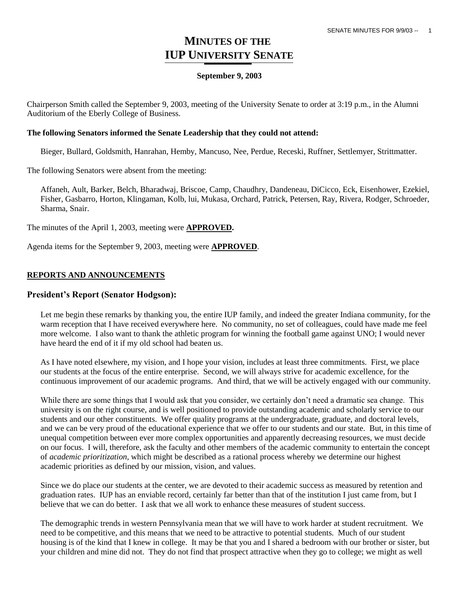# **MINUTES OF THE IUP UNIVERSITY SENATE**

## **September 9, 2003**

Chairperson Smith called the September 9, 2003, meeting of the University Senate to order at 3:19 p.m., in the Alumni Auditorium of the Eberly College of Business.

## **The following Senators informed the Senate Leadership that they could not attend:**

Bieger, Bullard, Goldsmith, Hanrahan, Hemby, Mancuso, Nee, Perdue, Receski, Ruffner, Settlemyer, Strittmatter.

The following Senators were absent from the meeting:

Affaneh, Ault, Barker, Belch, Bharadwaj, Briscoe, Camp, Chaudhry, Dandeneau, DiCicco, Eck, Eisenhower, Ezekiel, Fisher, Gasbarro, Horton, Klingaman, Kolb, lui, Mukasa, Orchard, Patrick, Petersen, Ray, Rivera, Rodger, Schroeder, Sharma, Snair.

The minutes of the April 1, 2003, meeting were **APPROVED.**

Agenda items for the September 9, 2003, meeting were **APPROVED**.

# **REPORTS AND ANNOUNCEMENTS**

# **President's Report (Senator Hodgson):**

Let me begin these remarks by thanking you, the entire IUP family, and indeed the greater Indiana community, for the warm reception that I have received everywhere here. No community, no set of colleagues, could have made me feel more welcome. I also want to thank the athletic program for winning the football game against UNO; I would never have heard the end of it if my old school had beaten us.

As I have noted elsewhere, my vision, and I hope your vision, includes at least three commitments. First, we place our students at the focus of the entire enterprise. Second, we will always strive for academic excellence, for the continuous improvement of our academic programs. And third, that we will be actively engaged with our community.

While there are some things that I would ask that you consider, we certainly don't need a dramatic sea change. This university is on the right course, and is well positioned to provide outstanding academic and scholarly service to our students and our other constituents. We offer quality programs at the undergraduate, graduate, and doctoral levels, and we can be very proud of the educational experience that we offer to our students and our state. But, in this time of unequal competition between ever more complex opportunities and apparently decreasing resources, we must decide on our focus. I will, therefore, ask the faculty and other members of the academic community to entertain the concept of *academic prioritization*, which might be described as a rational process whereby we determine our highest academic priorities as defined by our mission, vision, and values.

Since we do place our students at the center, we are devoted to their academic success as measured by retention and graduation rates. IUP has an enviable record, certainly far better than that of the institution I just came from, but I believe that we can do better. I ask that we all work to enhance these measures of student success.

The demographic trends in western Pennsylvania mean that we will have to work harder at student recruitment. We need to be competitive, and this means that we need to be attractive to potential students. Much of our student housing is of the kind that I knew in college. It may be that you and I shared a bedroom with our brother or sister, but your children and mine did not. They do not find that prospect attractive when they go to college; we might as well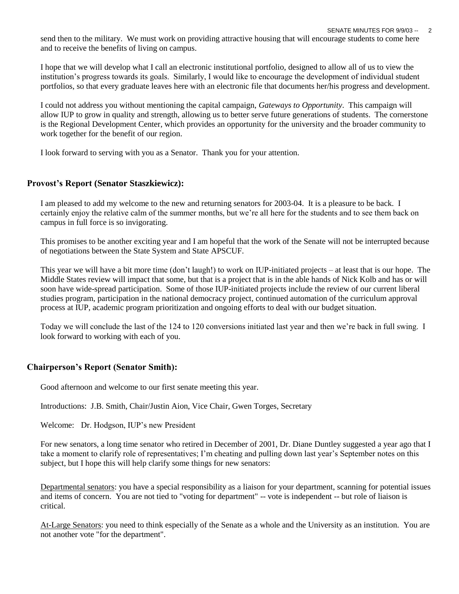send then to the military. We must work on providing attractive housing that will encourage students to come here and to receive the benefits of living on campus.

I hope that we will develop what I call an electronic institutional portfolio, designed to allow all of us to view the institution's progress towards its goals. Similarly, I would like to encourage the development of individual student portfolios, so that every graduate leaves here with an electronic file that documents her/his progress and development.

I could not address you without mentioning the capital campaign, *Gateways to Opportunity*. This campaign will allow IUP to grow in quality and strength, allowing us to better serve future generations of students. The cornerstone is the Regional Development Center, which provides an opportunity for the university and the broader community to work together for the benefit of our region.

I look forward to serving with you as a Senator. Thank you for your attention.

# **Provost's Report (Senator Staszkiewicz):**

I am pleased to add my welcome to the new and returning senators for 2003-04. It is a pleasure to be back. I certainly enjoy the relative calm of the summer months, but we're all here for the students and to see them back on campus in full force is so invigorating.

This promises to be another exciting year and I am hopeful that the work of the Senate will not be interrupted because of negotiations between the State System and State APSCUF.

This year we will have a bit more time (don't laugh!) to work on IUP-initiated projects – at least that is our hope. The Middle States review will impact that some, but that is a project that is in the able hands of Nick Kolb and has or will soon have wide-spread participation. Some of those IUP-initiated projects include the review of our current liberal studies program, participation in the national democracy project, continued automation of the curriculum approval process at IUP, academic program prioritization and ongoing efforts to deal with our budget situation.

Today we will conclude the last of the 124 to 120 conversions initiated last year and then we're back in full swing. I look forward to working with each of you.

# **Chairperson's Report (Senator Smith):**

Good afternoon and welcome to our first senate meeting this year.

Introductions: J.B. Smith, Chair/Justin Aion, Vice Chair, Gwen Torges, Secretary

Welcome: Dr. Hodgson, IUP's new President

For new senators, a long time senator who retired in December of 2001, Dr. Diane Duntley suggested a year ago that I take a moment to clarify role of representatives; I'm cheating and pulling down last year's September notes on this subject, but I hope this will help clarify some things for new senators:

Departmental senators: you have a special responsibility as a liaison for your department, scanning for potential issues and items of concern. You are not tied to "voting for department" -- vote is independent -- but role of liaison is critical.

At-Large Senators: you need to think especially of the Senate as a whole and the University as an institution. You are not another vote "for the department".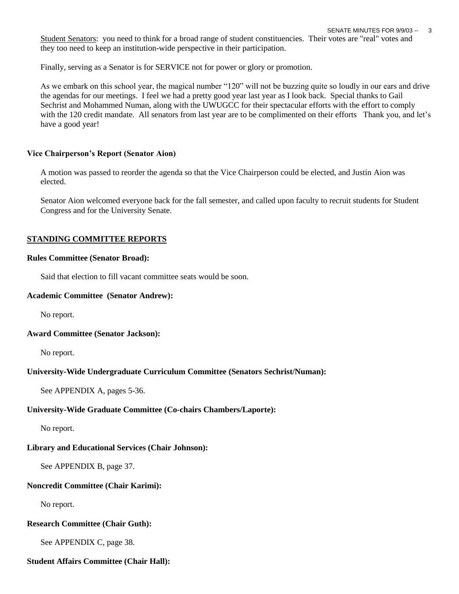Student Senators: you need to think for a broad range of student constituencies. Their votes are "real" votes and they too need to keep an institution-wide perspective in their participation.

Finally, serving as a Senator is for SERVICE not for power or glory or promotion.

As we embark on this school year, the magical number "120" will not be buzzing quite so loudly in our ears and drive the agendas for our meetings. I feel we had a pretty good year last year as I look back. Special thanks to Gail Sechrist and Mohammed Numan, along with the UWUGCC for their spectacular efforts with the effort to comply with the 120 credit mandate. All senators from last year are to be complimented on their efforts Thank you, and let's have a good year!

## **Vice Chairperson's Report (Senator Aion)**

A motion was passed to reorder the agenda so that the Vice Chairperson could be elected, and Justin Aion was elected.

Senator Aion welcomed everyone back for the fall semester, and called upon faculty to recruit students for Student Congress and for the University Senate.

# **STANDING COMMITTEE REPORTS**

## **Rules Committee (Senator Broad):**

Said that election to fill vacant committee seats would be soon.

## **Academic Committee (Senator Andrew):**

No report.

## **Award Committee (Senator Jackson):**

No report.

# **University-Wide Undergraduate Curriculum Committee (Senators Sechrist/Numan):**

See APPENDIX A, pages 5-36.

# **University-Wide Graduate Committee (Co-chairs Chambers/Laporte):**

No report.

# **Library and Educational Services (Chair Johnson):**

See APPENDIX B, page 37.

# **Noncredit Committee (Chair Karimi):**

No report.

# **Research Committee (Chair Guth):**

See APPENDIX C, page 38.

# **Student Affairs Committee (Chair Hall):**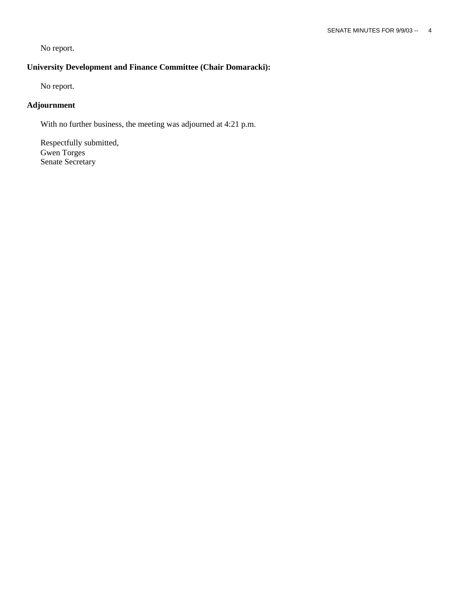No report.

# **University Development and Finance Committee (Chair Domaracki):**

No report.

# **Adjournment**

With no further business, the meeting was adjourned at 4:21 p.m.

Respectfully submitted, Gwen Torges Senate Secretary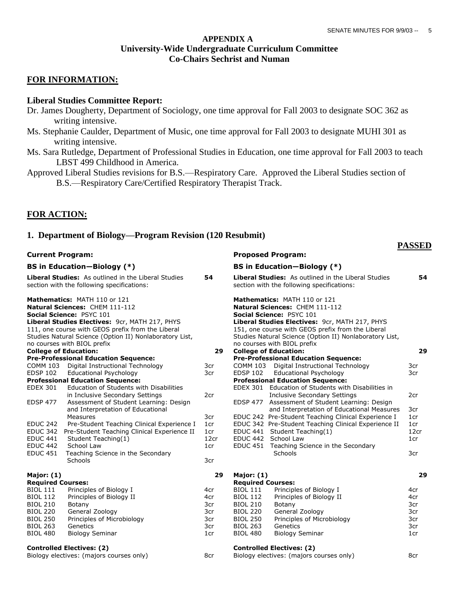# **APPENDIX A University-Wide Undergraduate Curriculum Committee Co-Chairs Sechrist and Numan**

# **FOR INFORMATION:**

## **Liberal Studies Committee Report:**

- Dr. James Dougherty, Department of Sociology, one time approval for Fall 2003 to designate SOC 362 as writing intensive.
- Ms. Stephanie Caulder, Department of Music, one time approval for Fall 2003 to designate MUHI 301 as writing intensive.
- Ms. Sara Rutledge, Department of Professional Studies in Education, one time approval for Fall 2003 to teach LBST 499 Childhood in America.

Approved Liberal Studies revisions for B.S.—Respiratory Care. Approved the Liberal Studies section of B.S.—Respiratory Care/Certified Respiratory Therapist Track.

# **FOR ACTION:**

# **1. Department of Biology—Program Revision (120 Resubmit)**

### **Current Program:**

|                                                                                                          | BS in Education-Biology (*)                                       |            |                                                                                       | <b>BS in Education-Biology (*)</b>                                      |
|----------------------------------------------------------------------------------------------------------|-------------------------------------------------------------------|------------|---------------------------------------------------------------------------------------|-------------------------------------------------------------------------|
| <b>Liberal Studies:</b> As outlined in the Liberal Studies<br>section with the following specifications: |                                                                   |            | <b>Liberal Studies:</b> As outlined in the<br>section with the following specificatio |                                                                         |
|                                                                                                          | Mathematics: MATH 110 or 121<br>Natural Sciences: CHEM 111-112    |            |                                                                                       | Mathematics: MATH 110 or 121<br>Natural Sciences: CHEM 111-112          |
|                                                                                                          | Social Science: PSYC 101                                          |            |                                                                                       | Social Science: PSYC 101                                                |
|                                                                                                          | Liberal Studies Electives: 9cr, MATH 217, PHYS                    |            |                                                                                       | Liberal Studies Electives: 9cr, MA                                      |
|                                                                                                          | 111, one course with GEOS prefix from the Liberal                 |            |                                                                                       | 151, one course with GEOS prefix fro                                    |
|                                                                                                          | Studies Natural Science (Option II) Nonlaboratory List,           |            |                                                                                       | Studies Natural Science (Option II) I                                   |
|                                                                                                          | no courses with BIOL prefix                                       |            |                                                                                       | no courses with BIOL prefix                                             |
|                                                                                                          | <b>College of Education:</b>                                      | 29         |                                                                                       | <b>College of Education:</b>                                            |
|                                                                                                          | <b>Pre-Professional Education Sequence:</b>                       |            |                                                                                       | <b>Pre-Professional Education Sequ</b>                                  |
| <b>COMM 103</b><br><b>EDSP 102</b>                                                                       | Digital Instructional Technology                                  | 3cr<br>3cr | <b>EDSP 102</b>                                                                       | COMM 103 Digital Instructional Te                                       |
|                                                                                                          | Educational Psychology<br><b>Professional Education Sequence:</b> |            |                                                                                       | <b>Educational Psychology</b><br><b>Professional Education Sequence</b> |
| <b>EDEX 301</b>                                                                                          | Education of Students with Disabilities                           |            |                                                                                       | EDEX 301 Education of Students w                                        |
|                                                                                                          | in Inclusive Secondary Settings                                   | 2cr        |                                                                                       | <b>Inclusive Secondary Sett</b>                                         |
| <b>EDSP 477</b>                                                                                          | Assessment of Student Learning: Design                            |            |                                                                                       | EDSP 477 Assessment of Student L                                        |
|                                                                                                          | and Interpretation of Educational                                 |            |                                                                                       | and Interpretation of Edu                                               |
|                                                                                                          | Measures                                                          | 3cr        |                                                                                       | EDUC 242 Pre-Student Teaching Cli                                       |
| <b>EDUC 242</b>                                                                                          | Pre-Student Teaching Clinical Experience I                        | 1cr        |                                                                                       | EDUC 342 Pre-Student Teaching Cli                                       |
| <b>EDUC 342</b>                                                                                          | Pre-Student Teaching Clinical Experience II                       | 1cr        |                                                                                       | EDUC 441 Student Teaching(1)                                            |
| <b>EDUC 441</b>                                                                                          | Student Teaching(1)                                               | 12cr       | <b>EDUC 442</b>                                                                       | School Law                                                              |
| <b>EDUC 442</b><br><b>EDUC 451</b>                                                                       | School Law<br>Teaching Science in the Secondary                   | 1cr        | <b>EDUC 451</b>                                                                       | Teaching Science in the<br>Schools                                      |
|                                                                                                          | Schools                                                           | 3cr        |                                                                                       |                                                                         |
| Major: (1)                                                                                               |                                                                   | 29         | Major: $(1)$                                                                          |                                                                         |
| <b>Required Courses:</b>                                                                                 |                                                                   |            | <b>Required Courses:</b>                                                              |                                                                         |
| <b>BIOL 111</b>                                                                                          | Principles of Biology I                                           | 4cr        | <b>BIOL 111</b>                                                                       | Principles of Biology I                                                 |
| <b>BIOL 112</b>                                                                                          | Principles of Biology II                                          | 4cr        | <b>BIOL 112</b>                                                                       | Principles of Biology II                                                |
| <b>BIOL 210</b><br><b>BIOL 220</b>                                                                       | Botany<br>General Zoology                                         | 3cr<br>3cr | <b>BIOL 210</b><br><b>BIOL 220</b>                                                    | Botany<br>General Zoology                                               |
| <b>BIOL 250</b>                                                                                          | Principles of Microbiology                                        | 3cr        | <b>BIOL 250</b>                                                                       | Principles of Microbiolo                                                |
| <b>BIOL 263</b>                                                                                          | Genetics                                                          | 3cr        | <b>BIOL 263</b>                                                                       | Genetics                                                                |
| <b>BIOL 480</b>                                                                                          | <b>Biology Seminar</b>                                            | 1cr        | <b>BIOL 480</b>                                                                       | <b>Biology Seminar</b>                                                  |

Biology Seminar

|            |                                    | <b>Proposed Program:</b>                                                                                 |            |
|------------|------------------------------------|----------------------------------------------------------------------------------------------------------|------------|
|            |                                    | BS in Education-Biology (*)                                                                              |            |
| 54         |                                    | <b>Liberal Studies:</b> As outlined in the Liberal Studies<br>section with the following specifications: | 54         |
|            |                                    | Mathematics: MATH 110 or 121<br>Natural Sciences: CHEM 111-112                                           |            |
|            |                                    | Social Science: PSYC 101                                                                                 |            |
|            |                                    | Liberal Studies Electives: 9cr, MATH 217, PHYS                                                           |            |
|            |                                    | 151, one course with GEOS prefix from the Liberal                                                        |            |
|            |                                    | Studies Natural Science (Option II) Nonlaboratory List,                                                  |            |
|            |                                    | no courses with BIOL prefix                                                                              |            |
| 29         |                                    | <b>College of Education:</b>                                                                             | 29         |
|            |                                    | <b>Pre-Professional Education Sequence:</b>                                                              |            |
| 3cr        |                                    | COMM 103 Digital Instructional Technology                                                                | 3cr        |
| 3cr        | EDSP 102                           | <b>Educational Psychology</b>                                                                            | 3cr        |
|            |                                    | <b>Professional Education Sequence:</b>                                                                  |            |
|            | <b>EDEX 301</b>                    | Education of Students with Disabilities in                                                               |            |
| 2cr        | <b>EDSP 477</b>                    | <b>Inclusive Secondary Settings</b>                                                                      | 2cr        |
|            |                                    | Assessment of Student Learning: Design<br>and Interpretation of Educational Measures                     | 3cr        |
| 3cr        |                                    | EDUC 242 Pre-Student Teaching Clinical Experience I                                                      | 1cr        |
| 1cr        |                                    | EDUC 342 Pre-Student Teaching Clinical Experience II                                                     | 1cr        |
| 1cr        | EDUC 441                           | Student Teaching(1)                                                                                      | 12cr       |
| 12cr       | EDUC 442                           | School Law                                                                                               | 1cr        |
| 1cr        | <b>EDUC 451</b>                    | Teaching Science in the Secondary                                                                        |            |
|            |                                    | Schools                                                                                                  | 3cr        |
| 3cr        |                                    |                                                                                                          |            |
| 29         | Major: (1)                         |                                                                                                          | 29         |
|            | <b>Required Courses:</b>           |                                                                                                          |            |
| 4cr        | <b>BIOL 111</b>                    | Principles of Biology I                                                                                  | 4cr        |
| 4cr        | <b>BIOL 112</b>                    | Principles of Biology II                                                                                 | 4cr        |
| 3cr        | <b>BIOL 210</b>                    | Botany                                                                                                   | 3cr        |
| 3cr        | <b>BIOL 220</b>                    | General Zoology                                                                                          | 3cr        |
| 3cr<br>3cr | <b>BIOL 250</b><br><b>BIOL 263</b> | Principles of Microbiology<br>Genetics                                                                   | 3cr<br>3cr |
| 1cr        | <b>BIOL 480</b>                    | <b>Biology Seminar</b>                                                                                   | 1cr        |
|            |                                    |                                                                                                          |            |

## **Controlled Electives: (2)**

| <b>Controlled Electives: (2)</b>         |     | <b>Controlled Electives: (2)</b>         |
|------------------------------------------|-----|------------------------------------------|
| Biology electives: (majors courses only) | 8cr | Biology electives: (majors courses only) |

**PASSED**

8cr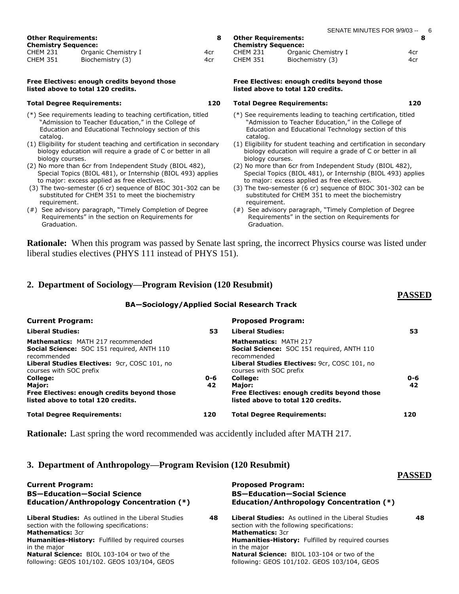| <b>Other Requirements:</b><br><b>Chemistry Sequence:</b> |                     |     |  |
|----------------------------------------------------------|---------------------|-----|--|
| <b>CHEM 231</b>                                          | Organic Chemistry I | 4cr |  |
| CHEM 351                                                 | Biochemistry (3)    | 4cr |  |

### **Free Electives: enough credits beyond those listed above to total 120 credits.**

- 
- (\*) See requirements leading to teaching certification, titled "Admission to Teacher Education," in the College of Education and Educational Technology section of this catalog.
- (1) Eligibility for student teaching and certification in secondary biology education will require a grade of C or better in all biology courses.
- (2) No more than 6cr from Independent Study (BIOL 482), Special Topics (BIOL 481), or Internship (BIOL 493) applies to major: excess applied as free electives.
- (3) The two-semester (6 cr) sequence of BIOC 301-302 can be substituted for CHEM 351 to meet the biochemistry requirement.
- (#) See advisory paragraph, "Timely Completion of Degree Requirements" in the section on Requirements for Graduation.

### SENATE MINUTES FOR 9/9/03 -- 6 **8**

**PASSED**

| <b>Chemistry Sequence:</b> |                  |     |  |
|----------------------------|------------------|-----|--|
|                            |                  |     |  |
| <b>CHEM 351</b>            | Biochemistry (3) | 4cr |  |

### **Free Electives: enough credits beyond those listed above to total 120 credits.**

**Other Requirements:** 

### **Total Degree Requirements: 120 Total Degree Requirements: 120**

- (\*) See requirements leading to teaching certification, titled "Admission to Teacher Education," in the College of Education and Educational Technology section of this catalog.
- (1) Eligibility for student teaching and certification in secondary biology education will require a grade of C or better in all biology courses.
- (2) No more than 6cr from Independent Study (BIOL 482), Special Topics (BIOL 481), or Internship (BIOL 493) applies to major: excess applied as free electives.
- (3) The two-semester (6 cr) sequence of BIOC 301-302 can be substituted for CHEM 351 to meet the biochemistry requirement.
- (#) See advisory paragraph, "Timely Completion of Degree Requirements" in the section on Requirements for Graduation.

**Rationale:** When this program was passed by Senate last spring, the incorrect Physics course was listed under liberal studies electives (PHYS 111 instead of PHYS 151).

# **2. Department of Sociology—Program Revision (120 Resubmit)**

### **BA—Sociology/Applied Social Research Track**

| <b>Current Program:</b>                                                                                                                                                                 |         | <b>Proposed Program:</b>                                                                                                                                             |     |
|-----------------------------------------------------------------------------------------------------------------------------------------------------------------------------------------|---------|----------------------------------------------------------------------------------------------------------------------------------------------------------------------|-----|
| <b>Liberal Studies:</b>                                                                                                                                                                 | 53      | <b>Liberal Studies:</b>                                                                                                                                              | 53  |
| <b>Mathematics: MATH 217 recommended</b><br><b>Social Science:</b> SOC 151 required, ANTH 110<br>recommended<br>Liberal Studies Electives: 9cr, COSC 101, no<br>courses with SOC prefix |         | Mathematics: MATH 217<br><b>Social Science: SOC 151 required, ANTH 110</b><br>recommended<br>Liberal Studies Electives: 9cr, COSC 101, no<br>courses with SOC prefix |     |
| College:                                                                                                                                                                                | $0 - 6$ | College:                                                                                                                                                             | 0-6 |
| Major:                                                                                                                                                                                  | 42      | <b>Maior:</b>                                                                                                                                                        | 42  |
| Free Electives: enough credits beyond those<br>listed above to total 120 credits.                                                                                                       |         | Free Electives: enough credits beyond those<br>listed above to total 120 credits.                                                                                    |     |
| <b>Total Degree Requirements:</b>                                                                                                                                                       | 120     | <b>Total Degree Requirements:</b>                                                                                                                                    | 120 |

**Rationale:** Last spring the word recommended was accidently included after MATH 217.

## **3. Department of Anthropology—Program Revision (120 Resubmit)**

|                                                                                                                                                                                                                                                                                                                      |    |                                                                                                                                                                                                                                                                                                                      | PASSED |  |
|----------------------------------------------------------------------------------------------------------------------------------------------------------------------------------------------------------------------------------------------------------------------------------------------------------------------|----|----------------------------------------------------------------------------------------------------------------------------------------------------------------------------------------------------------------------------------------------------------------------------------------------------------------------|--------|--|
| <b>Current Program:</b><br><b>BS-Education-Social Science</b><br><b>Education/Anthropology Concentration (*)</b>                                                                                                                                                                                                     |    | <b>Proposed Program:</b><br><b>BS-Education-Social Science</b><br><b>Education/Anthropology Concentration (*)</b>                                                                                                                                                                                                    |        |  |
| <b>Liberal Studies:</b> As outlined in the Liberal Studies<br>section with the following specifications:<br><b>Mathematics: 3cr</b><br><b>Humanities-History:</b> Fulfilled by required courses<br>in the major<br><b>Natural Science:</b> BIOL 103-104 or two of the<br>following: GEOS 101/102. GEOS 103/104, GEOS | 48 | <b>Liberal Studies:</b> As outlined in the Liberal Studies<br>section with the following specifications:<br><b>Mathematics: 3cr</b><br><b>Humanities-History:</b> Fulfilled by required courses<br>in the major<br><b>Natural Science:</b> BIOL 103-104 or two of the<br>following: GEOS 101/102. GEOS 103/104, GEOS | 48     |  |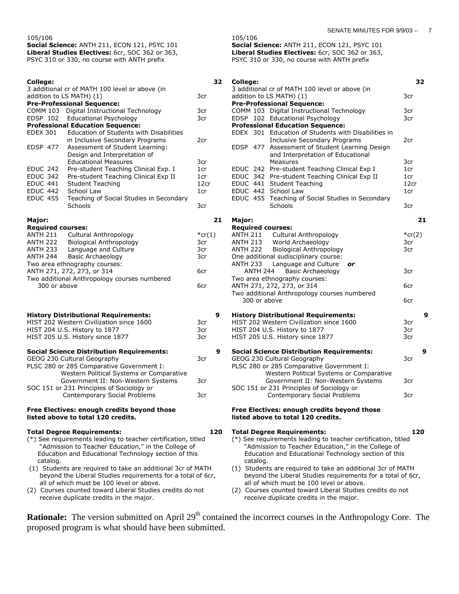### 105/106 105/106

**Liberal Studies Electives:** 6cr, SOC 362 or 363, PSYC 310 or 330, no course with ANTH prefix

| College:                                                                   |                                                                          |          | з |  |
|----------------------------------------------------------------------------|--------------------------------------------------------------------------|----------|---|--|
| 3 additional cr of MATH 100 level or above (in<br>addition to LS MATH) (1) |                                                                          |          |   |  |
|                                                                            | <b>Pre-Professional Sequence:</b>                                        | 3cr      |   |  |
|                                                                            | COMM 103 Digital Instructional Technology                                | 3cr      |   |  |
|                                                                            | EDSP 102 Educational Psychology                                          | 3cr      |   |  |
|                                                                            | <b>Professional Education Sequence:</b>                                  |          |   |  |
| <b>EDEX 301</b>                                                            | Education of Students with Disabilities                                  |          |   |  |
|                                                                            | in Inclusive Secondary Programs                                          | 2cr      |   |  |
| <b>EDSP 477</b>                                                            | Assessment of Student Learning:<br>Design and Interpretation of          |          |   |  |
|                                                                            | <b>Educational Measures</b>                                              | 3cr      |   |  |
| <b>EDUC 242</b>                                                            | Pre-student Teaching Clinical Exp. I                                     | 1cr      |   |  |
| <b>EDUC 342</b>                                                            | Pre-student Teaching Clinical Exp II                                     | 1cr      |   |  |
| <b>EDUC 441</b>                                                            | <b>Student Teaching</b>                                                  | 12cr     |   |  |
| <b>EDUC 442</b>                                                            | School Law                                                               | 1cr      |   |  |
| <b>EDUC 455</b>                                                            | Teaching of Social Studies in Secondary                                  |          |   |  |
|                                                                            | Schools                                                                  | 3cr      |   |  |
| Major:                                                                     |                                                                          |          | 2 |  |
| <b>Required courses:</b>                                                   |                                                                          |          |   |  |
| ANTH 211                                                                   | Cultural Anthropology                                                    | $*cr(1)$ |   |  |
| <b>ANTH 222</b>                                                            | <b>Biological Anthropology</b>                                           | 3cr      |   |  |
| <b>ANTH 233</b>                                                            | Language and Culture                                                     | 3cr      |   |  |
| <b>ANTH 244</b>                                                            | <b>Basic Archaeology</b>                                                 | 3cr      |   |  |
|                                                                            | Two area ethnography courses:<br>ANTH 271, 272, 273, or 314              | 6cr      |   |  |
|                                                                            | Two additional Anthropology courses numbered                             |          |   |  |
| 300 or above                                                               |                                                                          | 6cr      |   |  |
|                                                                            |                                                                          |          |   |  |
|                                                                            |                                                                          |          |   |  |
|                                                                            | <b>History Distributional Requirements:</b>                              |          |   |  |
|                                                                            | HIST 202 Western Civilization since 1600                                 | 3cr      |   |  |
|                                                                            | HIST 204 U.S. History to 1877                                            | 3cr      |   |  |
|                                                                            | HIST 205 U.S. History since 1877                                         | 3cr      |   |  |
|                                                                            |                                                                          |          |   |  |
|                                                                            | <b>Social Science Distribution Requirements:</b>                         |          |   |  |
|                                                                            | GEOG 230 Cultural Geography<br>PLSC 280 or 285 Comparative Government I: | 3cr      |   |  |
|                                                                            | Western Political Systems or Comparative                                 |          |   |  |
|                                                                            | Government II: Non-Western Systems                                       | 3cr      |   |  |
|                                                                            | SOC 151 or 231 Principles of Sociology or                                |          |   |  |
|                                                                            | <b>Contemporary Social Problems</b>                                      | 3cr      |   |  |
| Free Electives: enough credits beyond those                                |                                                                          |          |   |  |
|                                                                            | listed above to total 120 credits.                                       |          |   |  |

- (\*) See requirements leading to teacher certification, titled "Admission to Teacher Education," in the College of Education and Educational Technology section of this catalog.
- (1) Students are required to take an additional 3cr of MATH beyond the Liberal Studies requirements for a total of 6cr, all of which must be 100 level or above.
- (2) Courses counted toward Liberal Studies credits do not receive duplicate credits in the major.

**Social Science:** ANTH 211, ECON 121, PSYC 101 **Social Science:** ANTH 211, ECON 121, PSYC 101 **Liberal Studies Electives:** 6cr, SOC 362 or 363, PSYC 310 or 330, no course with ANTH prefix

| 32 | College:<br>3 additional cr of MATH 100 level or above (in                              | 32         |
|----|-----------------------------------------------------------------------------------------|------------|
|    | addition to LS MATH) (1)                                                                | 3cr        |
|    | <b>Pre-Professional Sequence:</b>                                                       |            |
|    | COMM 103 Digital Instructional Technology                                               | 3cr        |
|    | EDSP 102 Educational Psychology<br><b>Professional Education Sequence:</b>              | 3cr        |
|    | EDEX 301 Education of Students with Disabilities in                                     |            |
|    | <b>Inclusive Secondary Programs</b>                                                     | 2cr        |
|    | EDSP 477 Assessment of Student Learning Design                                          |            |
|    | and Interpretation of Educational                                                       |            |
|    | Measures                                                                                | 3cr        |
|    | EDUC 242<br>Pre-student Teaching Clinical Exp I<br>Pre-student Teaching Clinical Exp II | 1cr<br>1cr |
|    | EDUC 342<br>EDUC 441<br><b>Student Teaching</b>                                         | 12cr       |
|    | EDUC 442 School Law                                                                     | 1cr        |
|    | EDUC 455 Teaching of Social Studies in Secondary                                        |            |
|    | Schools                                                                                 | 3cr        |
| 21 | Major:                                                                                  | 21         |
|    | <b>Required courses:</b>                                                                |            |
| )  | ANTH 211 Cultural Anthropology                                                          | $*cr(2)$   |
|    | ANTH 213 World Archaeology<br>ANTH 222 Biological Anthropology                          | 3cr        |
|    |                                                                                         | 3cr        |
|    | One additional sudisciplinary course:                                                   |            |
|    | Language and Culture<br><b>ANTH 233</b><br>or                                           |            |
|    | <b>ANTH 244</b><br>Basic Archaeology                                                    | 3cr        |
|    | Two area ethnography courses:                                                           |            |
|    | ANTH 271, 272, 273, or 314                                                              | 6cr        |
|    | Two additional Anthropology courses numbered<br>300 or above                            | 6cr        |
|    |                                                                                         |            |
| 9  | <b>History Distributional Requirements:</b>                                             | 9          |
|    | HIST 202 Western Civilization since 1600                                                | 3cr        |
|    | HIST 204 U.S. History to 1877                                                           | 3cr        |
|    | HIST 205 U.S. History since 1877                                                        | 3cr        |
| 9  | <b>Social Science Distribution Requirements:</b>                                        | 9          |
|    | GEOG 230 Cultural Geography                                                             | 3cr        |
|    | PLSC 280 or 285 Comparative Government I:                                               |            |
|    | Western Political Systems or Comparative                                                |            |
|    | Government II: Non-Western Systems                                                      | 3cr        |
|    | SOC 151 or 231 Principles of Sociology or                                               |            |
|    | Contemporary Social Problems                                                            | 3cr        |
|    |                                                                                         |            |

### **Free Electives: enough credits beyond those listed above to total 120 credits.**

### **Total Degree Requirements: 120 Total Degree Requirements: 120**

- (\*) See requirements leading to teacher certification, titled "Admission to Teacher Education," in the College of Education and Educational Technology section of this catalog.
- (1) Students are required to take an additional 3cr of MATH beyond the Liberal Studies requirements for a total of 6cr, all of which must be 100 level or above.
- (2) Courses counted toward Liberal Studies credits do not receive duplicate credits in the major.

**Rationale:** The version submitted on April 29<sup>th</sup> contained the incorrect courses in the Anthropology Core. The proposed program is what should have been submitted.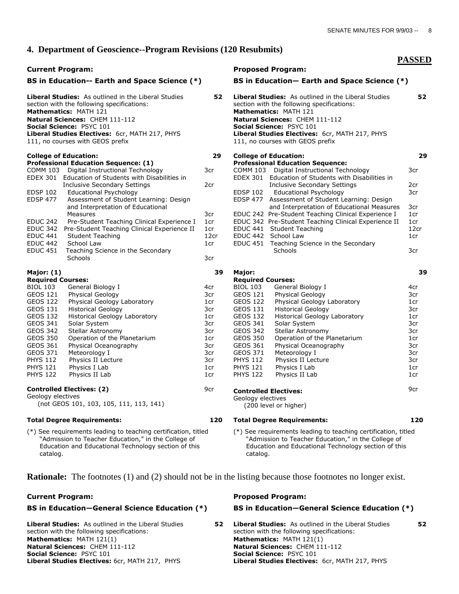# **4. Department of Geoscience--Program Revisions (120 Resubmits)**

## **Current Program: Proposed Program:**

## **BS in Education-- Earth and Space Science (\*) BS in Education— Earth and Space Science (\*)**

|                                    | <b>Liberal Studies:</b> As outlined in the Liberal Studies<br>section with the following specifications:<br>Mathematics: MATH 121<br>Natural Sciences: CHEM 111-112<br>Social Science: PSYC 101<br>Liberal Studies Electives: 6cr, MATH 217, PHYS<br>111, no courses with GEOS prefix | 52          |
|------------------------------------|---------------------------------------------------------------------------------------------------------------------------------------------------------------------------------------------------------------------------------------------------------------------------------------|-------------|
|                                    | <b>College of Education:</b>                                                                                                                                                                                                                                                          | 29          |
|                                    | <b>Professional Education Sequence: (1)</b>                                                                                                                                                                                                                                           |             |
|                                    | COMM 103 Digital Instructional Technology                                                                                                                                                                                                                                             | 3cr         |
| <b>EDEX 301</b>                    | Education of Students with Disabilities in                                                                                                                                                                                                                                            |             |
|                                    | <b>Inclusive Secondary Settings</b>                                                                                                                                                                                                                                                   | 2cr         |
| <b>EDSP 102</b>                    | <b>Educational Psychology</b>                                                                                                                                                                                                                                                         |             |
| <b>EDSP 477</b>                    | Assessment of Student Learning: Design                                                                                                                                                                                                                                                |             |
|                                    | and Interpretation of Educational                                                                                                                                                                                                                                                     |             |
|                                    | Measures                                                                                                                                                                                                                                                                              | 3cr         |
| <b>EDUC 242</b>                    | Pre-Student Teaching Clinical Experience I                                                                                                                                                                                                                                            | 1cr         |
| <b>EDUC 342</b><br><b>EDUC 441</b> | Pre-Student Teaching Clinical Experience II<br>Student Teaching                                                                                                                                                                                                                       | 1cr<br>12cr |
| <b>EDUC 442</b>                    | School Law                                                                                                                                                                                                                                                                            | 1cr         |
| <b>EDUC 451</b>                    | Teaching Science in the Secondary                                                                                                                                                                                                                                                     |             |
|                                    | Schools                                                                                                                                                                                                                                                                               | 3cr         |
|                                    |                                                                                                                                                                                                                                                                                       |             |
| Major: (1)                         |                                                                                                                                                                                                                                                                                       | 39          |
| <b>Required Courses:</b>           |                                                                                                                                                                                                                                                                                       |             |
| <b>BIOL 103</b>                    | General Biology I                                                                                                                                                                                                                                                                     | 4cr         |
| <b>GEOS 121</b>                    | Physical Geology                                                                                                                                                                                                                                                                      | 3cr         |
| <b>GEOS 122</b>                    | Physical Geology Laboratory                                                                                                                                                                                                                                                           | 1cr         |
| <b>GEOS 131</b>                    | <b>Historical Geology</b>                                                                                                                                                                                                                                                             | 3cr         |
| <b>GEOS 132</b>                    | <b>Historical Geology Laboratory</b>                                                                                                                                                                                                                                                  | 1cr         |
| <b>GEOS 341</b>                    | Solar System                                                                                                                                                                                                                                                                          | 3cr         |
| <b>GEOS 342</b>                    | Stellar Astronomy                                                                                                                                                                                                                                                                     | 3cr         |
| <b>GEOS 350</b>                    | Operation of the Planetarium                                                                                                                                                                                                                                                          | 1cr         |
| <b>GEOS 361</b>                    | Physical Oceanography                                                                                                                                                                                                                                                                 | 3cr         |
| <b>GEOS 371</b>                    | Meteorology I                                                                                                                                                                                                                                                                         | 3cr         |

# PHYS 122 Physics II Lab **Controlled Electives: (2)**

PHYS 112 Physics II Lecture PHYS 121 Physics I Lab

Geology electives (not GEOS 101, 103, 105, 111, 113, 141)

(\*) See requirements leading to teaching certification, titled "Admission to Teacher Education," in the College of Education and Educational Technology section of this catalog.

## **<sup>52</sup> Liberal Studies:** As outlined in the Liberal Studies section with the following specifications: **Mathematics:** MATH 121 **Mathematics:** MATH 121 **Natural Sciences:** CHEM 111-112 **Natural Sciences:** CHEM 111-112 **Social Science: PSYC 101 Liberal Studies Electives:** 6cr, MATH 217, PHYS 111, no courses with GEOS prefix **College of Education: Professional Education Sequence:** COMM 103 Digital Instructional Technology EDEX 301 Education of Students with Disabilities in Inclusive Secondary Settings EDSP 102 Educational Psychology EDSP 477 Assessment of Student Learning: Design and Interpretation of Educational Measures EDUC 242 Pre-Student Teaching Clinical Experience I EDUC 342 Pre-Student Teaching Clinical Experience II EDUC 441 Student Teaching EDUC 442 School Law EDUC 451 Teaching Science in the Secondary

**Major: Required Courses:** BIOL 103 General Biology I GEOS 121 Physical Geology GEOS 122 Physical Geology Laboratory GEOS 131 Historical Geology GEOS 132 Historical Geology Laboratory GEOS 341 Solar System GEOS 342 Stellar Astronomy GEOS 350 Operation of the Planetarium GEOS 361 Physical Oceanography GEOS 371 Meteorology I PHYS 112 Physics II Lecture PHYS 121 Physics I Lab PHYS 122 Physics II Lab **Controlled Electives:**  Geology electives (200 level or higher)  **39** 4cr 3cr 1cr 3cr 1cr 3cr 3cr 1cr 3cr 3cr 3cr 1cr 1cr 9cr

### **Total Degree Requirements: 120 Total Degree Requirements: 120**

Schools

(\*) See requirements leading to teaching certification, titled "Admission to Teacher Education," in the College of Education and Educational Technology section of this catalog.

**Rationale:** The footnotes (1) and (2) should not be in the listing because those footnotes no longer exist.

3cr 1cr 1cr

9cr

# **BS in Education—General Science Education (\*) BS in Education—General Science Education (\*)**

**Liberal Studies:** As outlined in the Liberal Studies section with the following specifications: **Mathematics:** MATH 121(1) **Mathematics:** MATH 121(1) **Natural Sciences:** CHEM 111-112 **Natural Sciences:** CHEM 111-112 **Social Science:** PSYC 101 **Social Science:** PSYC 101

### **Current Program: Proposed Program:**

 **52 Liberal Studies:** As outlined in the Liberal Studies section with the following specifications: **<sup>52</sup> Liberal Studies Electives:** 6cr, MATH 217, PHYS **Liberal Studies Electives:** 6cr, MATH 217, PHYS

# **PASSED**

**<sup>52</sup>**

 **29**

3cr 2cr 3cr

3cr 1cr 1cr 12cr 1cr 3cr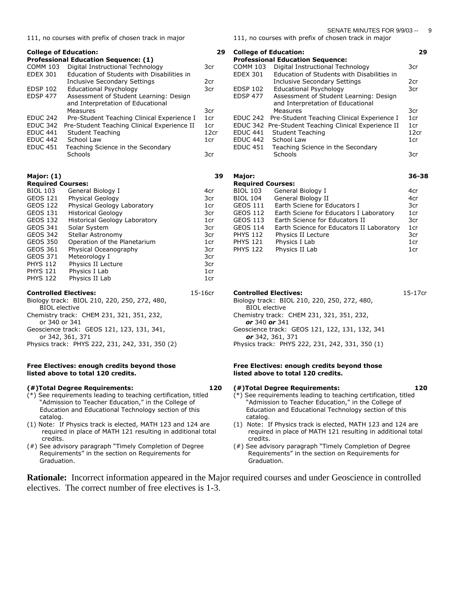111, no courses with prefix of chosen track in major 111, no courses with prefix of chosen track in major

### **College of Education:**

|                 | <b>Professional Education Sequence: (1)</b> |      |
|-----------------|---------------------------------------------|------|
| <b>COMM 103</b> | Digital Instructional Technology            | 3cr  |
| <b>EDEX 301</b> | Education of Students with Disabilities in  |      |
|                 | Inclusive Secondary Settings                | 2cr  |
| <b>EDSP 102</b> | Educational Psychology                      | 3cr  |
| <b>EDSP 477</b> | Assessment of Student Learning: Design      |      |
|                 | and Interpretation of Educational           |      |
|                 | Measures                                    | 3cr  |
| <b>EDUC 242</b> | Pre-Student Teaching Clinical Experience I  | 1cr  |
| <b>EDUC 342</b> | Pre-Student Teaching Clinical Experience II | 1cr  |
| <b>EDUC 441</b> | <b>Student Teaching</b>                     | 12cr |
| <b>EDUC 442</b> | School Law                                  | 1cr  |
| <b>EDUC 451</b> | Teaching Science in the Secondary           |      |
|                 | Schools                                     | 3cr  |

### **Major: (1)**

| <b>Required Courses:</b> |                                      |     |
|--------------------------|--------------------------------------|-----|
| <b>BIOL 103</b>          | General Biology I                    | 4cr |
| <b>GEOS 121</b>          | Physical Geology                     | 3cr |
| GEOS 122                 | Physical Geology Laboratory          | 1cr |
| <b>GEOS 131</b>          | <b>Historical Geology</b>            | 3cr |
| <b>GEOS 132</b>          | <b>Historical Geology Laboratory</b> | 1cr |
| GEOS 341                 | Solar System                         | 3cr |
| <b>GEOS 342</b>          | Stellar Astronomy                    | 3cr |
| GEOS 350                 | Operation of the Planetarium         | 1cr |
| GEOS 361                 | Physical Oceanography                | 3cr |
| <b>GEOS 371</b>          | Meteorology I                        | 3cr |
| <b>PHYS 112</b>          | Physics II Lecture                   | 3cr |
| <b>PHYS 121</b>          | Physics I Lab                        | 1cr |
| <b>PHYS 122</b>          | Physics II Lab                       | 1cr |
|                          |                                      |     |

| <b>Controlled Electives:</b>                    | $15-16$ cr |
|-------------------------------------------------|------------|
| Biology track: BIOL 210, 220, 250, 272, 480,    |            |
| <b>BIOL</b> elective                            |            |
| Chemistry track: CHEM 231, 321, 351, 232,       |            |
| or 340 or 341                                   |            |
| Geoscience track: GEOS 121, 123, 131, 341,      |            |
| or 342, 361, 371                                |            |
| Physics track: PHYS 222, 231, 242, 331, 350 (2) |            |

### **Free Electives: enough credits beyond those listed above to total 120 credits.**

### **(#)Total Degree Requirements: 120 (#)Total Degree Requirements: 120**

- (\*) See requirements leading to teaching certification, titled "Admission to Teacher Education," in the College of Education and Educational Technology section of this catalog.
- (1) Note: If Physics track is elected, MATH 123 and 124 are required in place of MATH 121 resulting in additional total credits.
- (#) See advisory paragraph "Timely Completion of Degree Requirements" in the section on Requirements for Graduation.

# SENATE MINUTES FOR 9/9/03 -- 9

| 29 |                                         | <b>College of Education:</b>                         | 29   |  |  |
|----|-----------------------------------------|------------------------------------------------------|------|--|--|
|    | <b>Professional Education Sequence:</b> |                                                      |      |  |  |
|    | <b>COMM 103</b>                         | Digital Instructional Technology                     | 3cr  |  |  |
|    | <b>EDEX 301</b>                         | Education of Students with Disabilities in           |      |  |  |
|    |                                         | Inclusive Secondary Settings                         | 2cr  |  |  |
|    | <b>EDSP 102</b>                         | Educational Psychology                               | 3cr  |  |  |
|    | <b>EDSP 477</b>                         | Assessment of Student Learning: Design               |      |  |  |
|    |                                         | and Interpretation of Educational                    |      |  |  |
|    |                                         | Measures                                             | 3cr  |  |  |
|    |                                         | EDUC 242 Pre-Student Teaching Clinical Experience I  | 1cr  |  |  |
|    |                                         | EDUC 342 Pre-Student Teaching Clinical Experience II | 1cr  |  |  |
| r  | <b>EDUC 441</b>                         | <b>Student Teaching</b>                              | 12cr |  |  |
|    | <b>EDUC 442</b>                         | School Law                                           | 1cr  |  |  |
|    | <b>EDUC 451</b>                         | Teaching Science in the Secondary                    |      |  |  |
|    |                                         | Schools                                              | 3cr  |  |  |

### **Major: Required Courses:** BIOL 103 General Biology I BIOL 104 General Biology II GEOS 111 Earth Sciene for Educators I GEOS 112 Earth Sciene for Educators I Laboratory<br>GEOS 113 Earth Science for Educators II Earth Science for Educators II GEOS 114 Earth Science for Educators II Laboratory<br>PHYS 112 Physics II Lecture Physics II Lecture PHYS 121 Physics I Lab **36-38** 4cr 4cr 3cr 1cr 3cr 1cr 3cr 1cr

| <b>Controlled Electives:</b>                    | 15-17cr |
|-------------------------------------------------|---------|
| Biology track: BIOL 210, 220, 250, 272, 480,    |         |
| <b>BIOL</b> elective                            |         |
| Chemistry track: CHEM 231, 321, 351, 232,       |         |
| or 340 or 341                                   |         |
| Geoscience track: GEOS 121, 122, 131, 132, 341  |         |
| or 342, 361, 371                                |         |
| Physics track: PHYS 222, 231, 242, 331, 350 (1) |         |

### **Free Electives: enough credits beyond those listed above to total 120 credits.**

PHYS 122 Physics II Lab

- (\*) See requirements leading to teaching certification, titled "Admission to Teacher Education," in the College of Education and Educational Technology section of this catalog.
- (1) Note: If Physics track is elected, MATH 123 and 124 are required in place of MATH 121 resulting in additional total credits.
- (#) See advisory paragraph "Timely Completion of Degree Requirements" in the section on Requirements for Graduation.

**Rationale:** Incorrect information appeared in the Major required courses and under Geoscience in controlled electives. The correct number of free electives is 1-3.

 **39**

1cr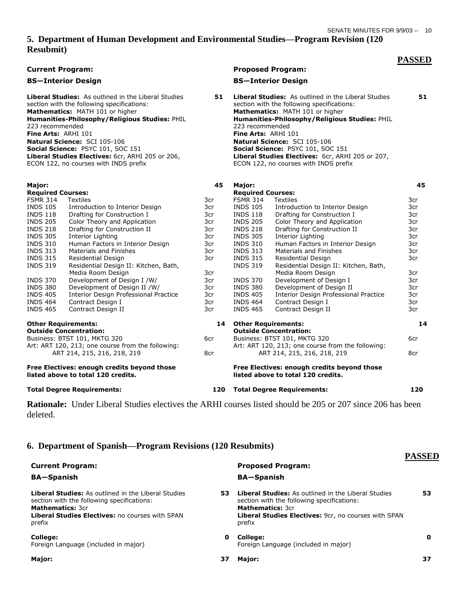# **5. Department of Human Development and Environmental Studies—Program Revision (120 Resubmit)**

|                                                                                                                                                                                                                                                                                                                                                                                                          |                                                                                   |     |                                        |                                                                                                                                                                                                                                                                                                                                                                | ששטטרו |
|----------------------------------------------------------------------------------------------------------------------------------------------------------------------------------------------------------------------------------------------------------------------------------------------------------------------------------------------------------------------------------------------------------|-----------------------------------------------------------------------------------|-----|----------------------------------------|----------------------------------------------------------------------------------------------------------------------------------------------------------------------------------------------------------------------------------------------------------------------------------------------------------------------------------------------------------------|--------|
| <b>Current Program:</b>                                                                                                                                                                                                                                                                                                                                                                                  |                                                                                   |     |                                        | <b>Proposed Program:</b>                                                                                                                                                                                                                                                                                                                                       |        |
| <b>BS-Interior Design</b>                                                                                                                                                                                                                                                                                                                                                                                |                                                                                   |     |                                        | <b>BS-Interior Design</b>                                                                                                                                                                                                                                                                                                                                      |        |
| <b>Liberal Studies:</b> As outlined in the Liberal Studies<br>section with the following specifications:<br>Mathematics: MATH 101 or higher<br>Humanities-Philosophy/Religious Studies: PHIL<br>223 recommended<br>Fine Arts: ARHI 101<br>Natural Science: SCI 105-106<br>Social Science: PSYC 101, SOC 151<br>Liberal Studies Electives: 6cr, ARHI 205 or 206,<br>ECON 122, no courses with INDS prefix |                                                                                   | 51  | 223 recommended<br>Fine Arts: ARHI 101 | <b>Liberal Studies:</b> As outlined in the Liberal Studies<br>section with the following specifications:<br>Mathematics: MATH 101 or higher<br>Humanities-Philosophy/Religious Studies: PHIL<br>Natural Science: SCI 105-106<br>Social Science: PSYC 101, SOC 151<br>Liberal Studies Electives: 6cr, ARHI 205 or 207,<br>ECON 122, no courses with INDS prefix | 51     |
| Major:                                                                                                                                                                                                                                                                                                                                                                                                   |                                                                                   | 45  | <b>Major:</b>                          |                                                                                                                                                                                                                                                                                                                                                                | 45     |
| <b>Required Courses:</b>                                                                                                                                                                                                                                                                                                                                                                                 |                                                                                   |     | <b>Required Courses:</b>               |                                                                                                                                                                                                                                                                                                                                                                |        |
| <b>FSMR 314</b>                                                                                                                                                                                                                                                                                                                                                                                          | <b>Textiles</b>                                                                   | 3cr | <b>FSMR 314</b>                        | <b>Textiles</b>                                                                                                                                                                                                                                                                                                                                                | 3cr    |
| <b>INDS 105</b>                                                                                                                                                                                                                                                                                                                                                                                          | Introduction to Interior Design                                                   | 3cr | <b>INDS 105</b>                        | Introduction to Interior Design                                                                                                                                                                                                                                                                                                                                | 3cr    |
| <b>INDS 118</b>                                                                                                                                                                                                                                                                                                                                                                                          | Drafting for Construction I                                                       | 3cr | <b>INDS 118</b>                        | Drafting for Construction I                                                                                                                                                                                                                                                                                                                                    | 3cr    |
| <b>INDS 205</b>                                                                                                                                                                                                                                                                                                                                                                                          | Color Theory and Application                                                      | 3cr | <b>INDS 205</b>                        | Color Theory and Application                                                                                                                                                                                                                                                                                                                                   | 3cr    |
| <b>INDS 218</b>                                                                                                                                                                                                                                                                                                                                                                                          | Drafting for Construction II                                                      | 3cr | <b>INDS 218</b>                        | Drafting for Construction II                                                                                                                                                                                                                                                                                                                                   | 3cr    |
| <b>INDS 305</b>                                                                                                                                                                                                                                                                                                                                                                                          | <b>Interior Lighting</b>                                                          | 3cr | <b>INDS 305</b>                        | <b>Interior Lighting</b>                                                                                                                                                                                                                                                                                                                                       | 3cr    |
| <b>INDS 310</b>                                                                                                                                                                                                                                                                                                                                                                                          | Human Factors in Interior Design                                                  | 3cr | <b>INDS 310</b>                        | Human Factors in Interior Design                                                                                                                                                                                                                                                                                                                               | 3cr    |
| <b>INDS 313</b>                                                                                                                                                                                                                                                                                                                                                                                          | Materials and Finishes                                                            | 3cr | <b>INDS 313</b>                        | Materials and Finishes                                                                                                                                                                                                                                                                                                                                         | 3cr    |
| <b>INDS 315</b>                                                                                                                                                                                                                                                                                                                                                                                          | Residential Design                                                                | 3cr | <b>INDS 315</b>                        | Residential Design                                                                                                                                                                                                                                                                                                                                             | 3cr    |
| <b>INDS 319</b>                                                                                                                                                                                                                                                                                                                                                                                          | Residential Design II: Kitchen, Bath,                                             |     | <b>INDS 319</b>                        | Residential Design II: Kitchen, Bath,                                                                                                                                                                                                                                                                                                                          |        |
|                                                                                                                                                                                                                                                                                                                                                                                                          | Media Room Design                                                                 | 3cr |                                        | Media Room Design                                                                                                                                                                                                                                                                                                                                              | 3cr    |
| <b>INDS 370</b>                                                                                                                                                                                                                                                                                                                                                                                          | Development of Design I /W/                                                       | 3cr | <b>INDS 370</b>                        | Development of Design I                                                                                                                                                                                                                                                                                                                                        | 3cr    |
| <b>INDS 380</b>                                                                                                                                                                                                                                                                                                                                                                                          | Development of Design II /W/                                                      | 3cr | <b>INDS 380</b>                        | Development of Design II                                                                                                                                                                                                                                                                                                                                       | 3cr    |
| <b>INDS 405</b>                                                                                                                                                                                                                                                                                                                                                                                          | Interior Design Professional Practice                                             | 3cr | <b>INDS 405</b>                        | Interior Design Professional Practice                                                                                                                                                                                                                                                                                                                          | 3cr    |
| <b>INDS 464</b>                                                                                                                                                                                                                                                                                                                                                                                          | Contract Design I                                                                 | 3cr | <b>INDS 464</b>                        | Contract Design I                                                                                                                                                                                                                                                                                                                                              | 3cr    |
| <b>INDS 465</b>                                                                                                                                                                                                                                                                                                                                                                                          | Contract Design II                                                                | 3cr | <b>INDS 465</b>                        | Contract Design II                                                                                                                                                                                                                                                                                                                                             | 3cr    |
| <b>Other Requirements:</b>                                                                                                                                                                                                                                                                                                                                                                               |                                                                                   | 14  | <b>Other Requirements:</b>             |                                                                                                                                                                                                                                                                                                                                                                | 14     |
|                                                                                                                                                                                                                                                                                                                                                                                                          | <b>Outside Concentration:</b>                                                     |     |                                        | <b>Outside Concentration:</b>                                                                                                                                                                                                                                                                                                                                  |        |
|                                                                                                                                                                                                                                                                                                                                                                                                          | Business: BTST 101, MKTG 320                                                      | 6cr |                                        | Business: BTST 101, MKTG 320                                                                                                                                                                                                                                                                                                                                   | 6cr    |
|                                                                                                                                                                                                                                                                                                                                                                                                          | Art: ART 120, 213; one course from the following:                                 |     |                                        | Art: ART 120, 213; one course from the following:                                                                                                                                                                                                                                                                                                              |        |
|                                                                                                                                                                                                                                                                                                                                                                                                          | ART 214, 215, 216, 218, 219                                                       | 8cr |                                        | ART 214, 215, 216, 218, 219                                                                                                                                                                                                                                                                                                                                    | 8cr    |
|                                                                                                                                                                                                                                                                                                                                                                                                          | Free Electives: enough credits beyond those<br>listed above to total 120 credits. |     |                                        | Free Electives: enough credits beyond those<br>listed above to total 120 credits.                                                                                                                                                                                                                                                                              |        |
|                                                                                                                                                                                                                                                                                                                                                                                                          | <b>Total Degree Requirements:</b>                                                 | 120 |                                        | <b>Total Degree Requirements:</b>                                                                                                                                                                                                                                                                                                                              | 120    |

**Rationale:** Under Liberal Studies electives the ARHI courses listed should be 205 or 207 since 206 has been deleted.

# **6. Department of Spanish—Program Revisions (120 Resubmits)**

|                                                                                                                                                                                                         |     |                                                                                                                                                                                                              | <b>PASSED</b> |
|---------------------------------------------------------------------------------------------------------------------------------------------------------------------------------------------------------|-----|--------------------------------------------------------------------------------------------------------------------------------------------------------------------------------------------------------------|---------------|
| <b>Current Program:</b>                                                                                                                                                                                 |     | <b>Proposed Program:</b>                                                                                                                                                                                     |               |
| <b>BA-Spanish</b>                                                                                                                                                                                       |     | <b>BA-Spanish</b>                                                                                                                                                                                            |               |
| <b>Liberal Studies:</b> As outlined in the Liberal Studies<br>section with the following specifications:<br><b>Mathematics: 3cr</b><br><b>Liberal Studies Electives: no courses with SPAN</b><br>prefix | 53. | <b>Liberal Studies:</b> As outlined in the Liberal Studies<br>section with the following specifications:<br><b>Mathematics: 3cr</b><br><b>Liberal Studies Electives:</b> 9cr, no courses with SPAN<br>prefix | 53            |
| College:<br>Foreign Language (included in major)                                                                                                                                                        | 0   | College:<br>Foreign Language (included in major)                                                                                                                                                             | 0             |
| Major:                                                                                                                                                                                                  | 37  | Major:                                                                                                                                                                                                       | 37            |

# **PASSED**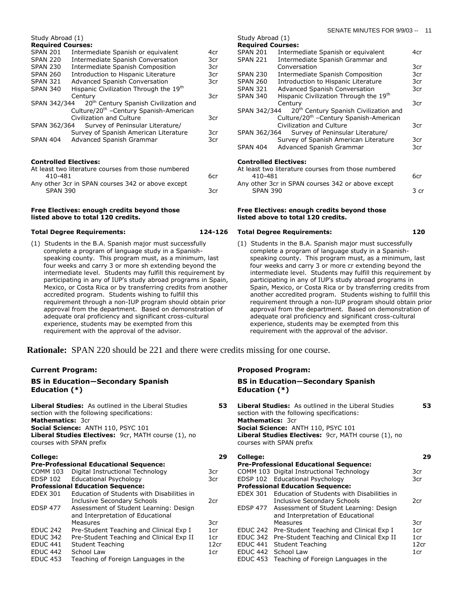### Study Abroad (1)

### **Required Courses:**

| Intermediate Spanish or equivalent<br><b>SPAN 201</b>                                                                   | 4cr |
|-------------------------------------------------------------------------------------------------------------------------|-----|
| Intermediate Spanish Conversation<br><b>SPAN 220</b>                                                                    | 3cr |
| Intermediate Spanish Composition<br><b>SPAN 230</b>                                                                     | 3cr |
| Introduction to Hispanic Literature<br><b>SPAN 260</b>                                                                  | 3cr |
| <b>Advanced Spanish Conversation</b><br><b>SPAN 321</b>                                                                 | 3cr |
| Hispanic Civilization Through the 19th<br><b>SPAN 340</b>                                                               |     |
| Century                                                                                                                 | 3cr |
| 20 <sup>th</sup> Century Spanish Civilization and<br>SPAN 342/344<br>Culture/20 <sup>th</sup> -Century Spanish-American |     |
| Civilization and Culture                                                                                                | 3cr |
| Survey of Peninsular Literature/<br>SPAN 362/364                                                                        |     |
| Survey of Spanish American Literature                                                                                   | 3cr |
| <b>SPAN 404</b><br>Advanced Spanish Grammar                                                                             | 3cr |
|                                                                                                                         |     |
|                                                                                                                         |     |

### **Controlled Electives:**

| At least two literature courses from those numbered |     |
|-----------------------------------------------------|-----|
| 410-481                                             | 6cr |
| Any other 3cr in SPAN courses 342 or above except   |     |
| SPAN 390                                            | 3cr |
|                                                     |     |

### **Free Electives: enough credits beyond those listed above to total 120 credits.**

### **Total Degree Requirements: 124-126 Total Degree Requirements: 120**

(1) Students in the B.A. Spanish major must successfully complete a program of language study in a Spanish speaking county. This program must, as a minimum, last four weeks and carry 3 or more sh extending beyond the intermediate level. Students may fulfill this requirement by participating in any of IUP's study abroad programs in Spain, Mexico, or Costa Rica or by transferring credits from another accredited program. Students wishing to fulfill this requirement through a non-IUP program should obtain prior approval from the department. Based on demonstration of adequate oral proficiency and significant cross-cultural experience, students may be exempted from this requirement with the approval of the advisor.

### SENATE MINUTES FOR 9/9/03 -- 11

# Study Abroad (1)

| <b>Required Courses:</b>     |                                                      |     |
|------------------------------|------------------------------------------------------|-----|
| <b>SPAN 201</b>              | Intermediate Spanish or equivalent                   | 4cr |
| <b>SPAN 221</b>              | Intermediate Spanish Grammar and                     |     |
|                              | Conversation                                         | 3cr |
| <b>SPAN 230</b>              | Intermediate Spanish Composition                     | 3cr |
| <b>SPAN 260</b>              | Introduction to Hispanic Literature                  | 3cr |
| <b>SPAN 321</b>              | Advanced Spanish Conversation                        | 3cr |
| <b>SPAN 340</b>              | Hispanic Civilization Through the 19th               |     |
|                              | Century                                              | 3cr |
| SPAN 342/344                 | 20 <sup>th</sup> Century Spanish Civilization and    |     |
|                              | Culture/20 <sup>th</sup> -Century Spanish-American   |     |
|                              | Civilization and Culture                             | 3cr |
| SPAN 362/364                 | Survey of Peninsular Literature/                     |     |
|                              | Survey of Spanish American Literature                | 3cr |
| <b>SPAN 404</b>              | Advanced Spanish Grammar                             | 3cr |
|                              |                                                      |     |
| <b>Controlled Electives:</b> |                                                      |     |
|                              | At loach turn literature courses from these numbered |     |

| At least two literature courses from those numbered |       |
|-----------------------------------------------------|-------|
| 410-481                                             | 6cr.  |
| Any other 3cr in SPAN courses 342 or above except   |       |
| SPAN 390                                            | -3 cr |

### **Free Electives: enough credits beyond those listed above to total 120 credits.**

(1) Students in the B.A. Spanish major must successfully complete a program of language study in a Spanish speaking county. This program must, as a minimum, last four weeks and carry 3 or more cr extending beyond the intermediate level. Students may fulfill this requirement by participating in any of IUP's study abroad programs in Spain, Mexico, or Costa Rica or by transferring credits from another accredited program. Students wishing to fulfill this requirement through a non-IUP program should obtain prior approval from the department. Based on demonstration of adequate oral proficiency and significant cross-cultural experience, students may be exempted from this requirement with the approval of the advisor.

**Rationale:** SPAN 220 should be 221 and there were credits missing for one course.

| <b>Current Program:</b>                       |                                                                                                                                                                                                                                          |      |                  | <b>Proposed Program:</b>                                                                                                                                                                                                                 |      |
|-----------------------------------------------|------------------------------------------------------------------------------------------------------------------------------------------------------------------------------------------------------------------------------------------|------|------------------|------------------------------------------------------------------------------------------------------------------------------------------------------------------------------------------------------------------------------------------|------|
| Education $(*)$                               | <b>BS in Education-Secondary Spanish</b>                                                                                                                                                                                                 |      | Education $(*)$  | <b>BS in Education-Secondary Spanish</b>                                                                                                                                                                                                 |      |
| Mathematics: 3cr                              | <b>Liberal Studies:</b> As outlined in the Liberal Studies<br>section with the following specifications:<br>Social Science: ANTH 110, PSYC 101<br><b>Liberal Studies Electives:</b> 9cr, MATH course (1), no<br>courses with SPAN prefix | 53   | Mathematics: 3cr | <b>Liberal Studies:</b> As outlined in the Liberal Studies<br>section with the following specifications:<br>Social Science: ANTH 110, PSYC 101<br><b>Liberal Studies Electives:</b> 9cr, MATH course (1), no<br>courses with SPAN prefix | 53   |
| College:                                      |                                                                                                                                                                                                                                          | 29   | College:         |                                                                                                                                                                                                                                          | 29   |
| <b>Pre-Professional Educational Sequence:</b> |                                                                                                                                                                                                                                          |      |                  | <b>Pre-Professional Educational Sequence:</b>                                                                                                                                                                                            |      |
| <b>COMM 103</b>                               | Digital Instructional Technology                                                                                                                                                                                                         | 3cr  |                  | COMM 103 Digital Instructional Technology                                                                                                                                                                                                | 3cr  |
| <b>EDSP 102</b>                               | Educational Psychology                                                                                                                                                                                                                   | 3cr  |                  | EDSP 102 Educational Psychology                                                                                                                                                                                                          | 3cr  |
|                                               | <b>Professional Education Sequence:</b>                                                                                                                                                                                                  |      |                  | <b>Professional Education Sequence:</b>                                                                                                                                                                                                  |      |
| <b>EDEX 301</b>                               | Education of Students with Disabilities in                                                                                                                                                                                               |      |                  | EDEX 301 Education of Students with Disabilities in                                                                                                                                                                                      |      |
|                                               | Inclusive Secondary Schools                                                                                                                                                                                                              | 2cr  |                  | Inclusive Secondary Schools                                                                                                                                                                                                              | 2cr  |
| <b>EDSP 477</b>                               | Assessment of Student Learning: Design                                                                                                                                                                                                   |      | <b>EDSP 477</b>  | Assessment of Student Learning: Design                                                                                                                                                                                                   |      |
|                                               | and Interpretation of Educational                                                                                                                                                                                                        |      |                  | and Interpretation of Educational                                                                                                                                                                                                        |      |
|                                               | Measures                                                                                                                                                                                                                                 | 3cr  |                  | Measures                                                                                                                                                                                                                                 | 3cr  |
| <b>EDUC 242</b>                               | Pre-Student Teaching and Clinical Exp I                                                                                                                                                                                                  | 1cr  |                  | EDUC 242 Pre-Student Teaching and Clinical Exp I                                                                                                                                                                                         | 1cr  |
| <b>EDUC 342</b>                               | Pre-Student Teaching and Clinical Exp II                                                                                                                                                                                                 | 1cr  |                  | EDUC 342 Pre-Student Teaching and Clinical Exp II                                                                                                                                                                                        | 1cr  |
| <b>EDUC 441</b>                               | <b>Student Teaching</b>                                                                                                                                                                                                                  | 12cr |                  | EDUC 441 Student Teaching                                                                                                                                                                                                                | 12cr |
| <b>EDUC 442</b>                               | School Law                                                                                                                                                                                                                               | 1cr  |                  | EDUC 442 School Law                                                                                                                                                                                                                      | 1cr  |
| <b>EDUC 453</b>                               | Teaching of Foreign Languages in the                                                                                                                                                                                                     |      |                  | EDUC 453 Teaching of Foreign Languages in the                                                                                                                                                                                            |      |
|                                               |                                                                                                                                                                                                                                          |      |                  |                                                                                                                                                                                                                                          |      |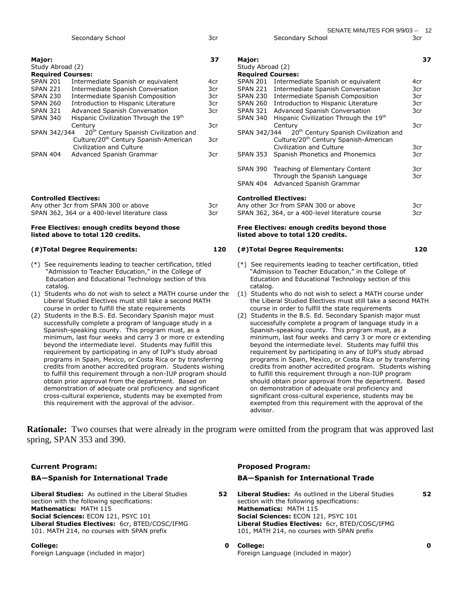| Major:<br>Study Abroad (2) |                                                    | 37  |
|----------------------------|----------------------------------------------------|-----|
| <b>Required Courses:</b>   |                                                    |     |
| <b>SPAN 201</b>            | Intermediate Spanish or equivalent                 | 4cr |
| <b>SPAN 221</b>            | Intermediate Spanish Conversation                  | 3cr |
| <b>SPAN 230</b>            | Intermediate Spanish Composition                   | 3cr |
| <b>SPAN 260</b>            | Introduction to Hispanic Literature                | 3cr |
| <b>SPAN 321</b>            | Advanced Spanish Conversation                      | 3cr |
| <b>SPAN 340</b>            | Hispanic Civilization Through the 19 <sup>th</sup> |     |
|                            | Century                                            | 3cr |
| SPAN 342/344               | 20 <sup>th</sup> Century Spanish Civilization and  |     |
|                            | Culture/20 <sup>th</sup> Century Spanish-American  | 3cr |
|                            | Civilization and Culture                           |     |
| <b>SPAN 404</b>            | Advanced Spanish Grammar                           | 3cr |

### **Controlled Electives:**

| Any other 3cr from SPAN 300 or above          | 3cr |
|-----------------------------------------------|-----|
| SPAN 362, 364 or a 400-level literature class | 3cr |

### **Free Electives: enough credits beyond those listed above to total 120 credits.**

- (\*) See requirements leading to teacher certification, titled "Admission to Teacher Education," in the College of Education and Educational Technology section of this catalog.
- (1) Students who do not wish to select a MATH course under the Liberal Studied Electives must still take a second MATH course in order to fulfill the state requirements
- (2) Students in the B.S. Ed. Secondary Spanish major must successfully complete a program of language study in a Spanish-speaking county. This program must, as a minimum, last four weeks and carry 3 or more cr extending beyond the intermediate level. Students may fulfill this requirement by participating in any of IUP's study abroad programs in Spain, Mexico, or Costa Rica or by transferring credits from another accredited program. Students wishing to fulfill this requirement through a non-IUP program should obtain prior approval from the department. Based on demonstration of adequate oral proficiency and significant cross-cultural experience, students may be exempted from this requirement with the approval of the advisor.

|                  | SENATE MINUTES FOR 9/9/03 -- 12 |     |
|------------------|---------------------------------|-----|
| Secondary School |                                 | 3cr |

| Major:                   |                                                   | З.  |
|--------------------------|---------------------------------------------------|-----|
| Study Abroad (2)         |                                                   |     |
| <b>Required Courses:</b> |                                                   |     |
| <b>SPAN 201</b>          | Intermediate Spanish or equivalent                | 4cr |
| SPAN 221                 | Intermediate Spanish Conversation                 | 3cr |
| SPAN 230                 | Intermediate Spanish Composition                  | 3cr |
| SPAN 260                 | Introduction to Hispanic Literature               | 3cr |
| SPAN 321                 | Advanced Spanish Conversation                     | 3cr |
| <b>SPAN 340</b>          | Hispanic Civilization Through the 19th            |     |
|                          | Centurv                                           | 3cr |
| SPAN 342/344             | 20 <sup>th</sup> Century Spanish Civilization and |     |
|                          | Culture/20 <sup>th</sup> Century Spanish-American |     |
|                          | Civilization and Culture                          | 3cr |
| SPAN 353                 | Spanish Phonetics and Phonemics                   | 3cr |
|                          |                                                   |     |
| <b>SPAN 390</b>          | Teaching of Elementary Content                    | 3cr |
|                          | Through the Spanish Language                      | 3cr |
| <b>SPAN 404</b>          | Advanced Spanish Grammar                          |     |
|                          |                                                   |     |

### **Controlled Electives:**

| Any other 3cr from SPAN 300 or above            | 3cr |
|-------------------------------------------------|-----|
| SPAN 362, 364, or a 400-level literature course | 3cr |

### **Free Electives: enough credits beyond those listed above to total 120 credits.**

### **(#)Total Degree Requirements: 120 (#)Total Degree Requirements: 120**

- (\*) See requirements leading to teacher certification, titled "Admission to Teacher Education," in the College of Education and Educational Technology section of this catalog.
- (1) Students who do not wish to select a MATH course under the Liberal Studied Electives must still take a second MATH course in order to fulfill the state requirements
- (2) Students in the B.S. Ed. Secondary Spanish major must successfully complete a program of language study in a Spanish-speaking county. This program must, as a minimum, last four weeks and carry 3 or more cr extending beyond the intermediate level. Students may fulfill this requirement by participating in any of IUP's study abroad programs in Spain, Mexico, or Costa Rica or by transferring credits from another accredited program. Students wishing to fulfill this requirement through a non-IUP program should obtain prior approval from the department. Based on demonstration of adequate oral proficiency and significant cross-cultural experience, students may be exempted from this requirement with the approval of the advisor.

**Rationale:** Two courses that were already in the program were omitted from the program that was approved last spring, SPAN 353 and 390.

### **Current Program: Proposed Program:**

**Liberal Studies:** As outlined in the Liberal Studies section with the following specifications: **Mathematics:** MATH 115 **Mathematics:** MATH 115 **Social Sciences:** ECON 121, PSYC 101 **Social Sciences:** ECON 121, PSYC 101 **Liberal Studies Electives:** 6cr, BTED/COSC/IFMG 101. MATH 214, no courses with SPAN prefix

**College:** Foreign Language (included in major)

### **BA—Spanish for International Trade BA—Spanish for International Trade**

- **52 Liberal Studies:** As outlined in the Liberal Studies section with the following specifications:  **52 Liberal Studies Electives:** 6cr, BTED/COSC/IFMG 101, MATH 214, no courses with SPAN prefix
	- **0 College:** Foreign Language (included in major)

 **37**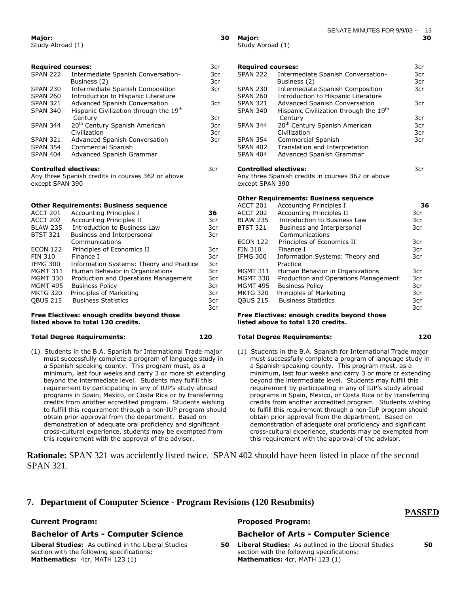### **Major:**

### Study Abroad (1)

| <b>Required courses:</b>     |                                                    | 3cr |  |
|------------------------------|----------------------------------------------------|-----|--|
| <b>SPAN 222</b>              | Intermediate Spanish Conversation-                 | 3cr |  |
|                              | Business (2)                                       | 3cr |  |
| <b>SPAN 230</b>              | Intermediate Spanish Composition                   | 3cr |  |
| <b>SPAN 260</b>              | Introduction to Hispanic Literature                |     |  |
| <b>SPAN 321</b>              | Advanced Spanish Conversation                      | 3cr |  |
| <b>SPAN 340</b>              | Hispanic Civilization through the 19 <sup>th</sup> |     |  |
|                              | Century                                            | 3cr |  |
| <b>SPAN 344</b>              | 20 <sup>th</sup> Century Spanish American          | 3cr |  |
|                              | Civilization                                       | 3cr |  |
| <b>SPAN 321</b>              | Advanced Spanish Conversation                      | 3cr |  |
| <b>SPAN 354</b>              | Commercial Spanish                                 |     |  |
| <b>SPAN 404</b>              | Advanced Spanish Grammar                           |     |  |
| <b>Controlled electives:</b> |                                                    |     |  |

**Controlled electives:** Any three Spanish credits in courses 362 or above

except SPAN 390

### **Other Requirements: Business sequence**

| ACCT 201        | <b>Accounting Principles I</b>           | 36  |
|-----------------|------------------------------------------|-----|
| ACCT 202        | <b>Accounting Principles II</b>          | 3cr |
| <b>BLAW 235</b> | Introduction to Business Law             | 3cr |
| <b>BTST 321</b> | Business and Interpersonal               | 3cr |
|                 | Communications                           |     |
| <b>ECON 122</b> | Principles of Economics II               | 3cr |
| <b>FIN 310</b>  | Finance I                                | 3cr |
| <b>IFMG 300</b> | Information Systems: Theory and Practice | 3cr |
| <b>MGMT 311</b> | Human Behavior in Organizations          | 3cr |
| <b>MGMT 330</b> | Production and Operations Management     | 3cr |
| <b>MGMT 495</b> | <b>Business Policy</b>                   | 3cr |
| <b>MKTG 320</b> | Principles of Marketing                  | 3cr |
| <b>OBUS 215</b> | <b>Business Statistics</b>               | 3cr |
|                 |                                          | 3cr |

### **Free Electives: enough credits beyond those listed above to total 120 credits.**

### **Total Degree Requirements: 120 Total Degree Requirements: 120**

(1) Students in the B.A. Spanish for International Trade major must successfully complete a program of language study in a Spanish-speaking county. This program must, as a minimum, last four weeks and carry 3 or more sh extending beyond the intermediate level. Students may fulfill this requirement by participating in any of IUP's study abroad programs in Spain, Mexico, or Costa Rica or by transferring credits from another accredited program. Students wishing to fulfill this requirement through a non-IUP program should obtain prior approval from the department. Based on demonstration of adequate oral proficiency and significant cross-cultural experience, students may be exempted from this requirement with the approval of the advisor.

### **30 Major:**

Study Abroad (1)

| <b>Required courses:</b>     |                                           | 3cr |
|------------------------------|-------------------------------------------|-----|
| <b>SPAN 222</b>              | Intermediate Spanish Conversation-        | 3cr |
|                              | Business (2)                              | 3cr |
| <b>SPAN 230</b>              | Intermediate Spanish Composition          | 3cr |
| <b>SPAN 260</b>              | Introduction to Hispanic Literature       |     |
| <b>SPAN 321</b>              | Advanced Spanish Conversation             | 3cr |
| <b>SPAN 340</b>              | Hispanic Civilization through the 19th    |     |
|                              | Century                                   | 3cr |
| <b>SPAN 344</b>              | 20 <sup>th</sup> Century Spanish American | 3cr |
|                              | Civilization                              | 3cr |
| <b>SPAN 354</b>              | Commercial Spanish                        | 3cr |
| <b>SPAN 402</b>              | Translation and Interpretation            |     |
| <b>SPAN 404</b>              | Advanced Spanish Grammar                  |     |
| <b>Controlled electives:</b> |                                           | 3cr |

Any three Spanish credits in courses 362 or above except SPAN 390

### **Other Requirements: Business sequence**

| ACCT 201        | <b>Accounting Principles I</b>               | 36  |
|-----------------|----------------------------------------------|-----|
| <b>ACCT 202</b> | Accounting Principles II                     | 3cr |
| <b>BLAW 235</b> | Introduction to Business Law                 | 3cr |
| <b>BTST 321</b> | Business and Interpersonal<br>Communications | 3cr |
| <b>ECON 122</b> | Principles of Economics II                   | 3cr |
| <b>FIN 310</b>  | Finance I                                    | 3cr |
| <b>IFMG 300</b> | Information Systems: Theory and<br>Practice  | 3cr |
| <b>MGMT 311</b> | Human Behavior in Organizations              | 3cr |
| <b>MGMT 330</b> | Production and Operations Management         | 3cr |
| <b>MGMT 495</b> | <b>Business Policy</b>                       | 3cr |
| <b>MKTG 320</b> | Principles of Marketing                      | 3cr |
| <b>OBUS 215</b> | <b>Business Statistics</b>                   | 3cr |
|                 |                                              | 3cr |

### **Free Electives: enough credits beyond those listed above to total 120 credits.**

(1) Students in the B.A. Spanish for International Trade major must successfully complete a program of language study in a Spanish-speaking county. This program must, as a minimum, last four weeks and carry 3 or more cr extending beyond the intermediate level. Students may fulfill this requirement by participating in any of IUP's study abroad programs in Spain, Mexico, or Costa Rica or by transferring credits from another accredited program. Students wishing to fulfill this requirement through a non-IUP program should obtain prior approval from the department. Based on demonstration of adequate oral proficiency and significant cross-cultural experience, students may be exempted from this requirement with the approval of the advisor.

**Rationale:** SPAN 321 was accidently listed twice. SPAN 402 should have been listed in place of the second SPAN 321.

# **7. Department of Computer Science - Program Revisions (120 Resubmits)**

**Liberal Studies:** As outlined in the Liberal Studies section with the following specifications: **Mathematics:** 4cr, MATH 123 (1) **Mathematics:** 4cr, MATH 123 (1)

## **Current Program: Proposed Program:**

# **Bachelor of Arts - Computer Science Bachelor of Arts - Computer Science**

**50 Liberal Studies:** As outlined in the Liberal Studies section with the following specifications:

**PASSED**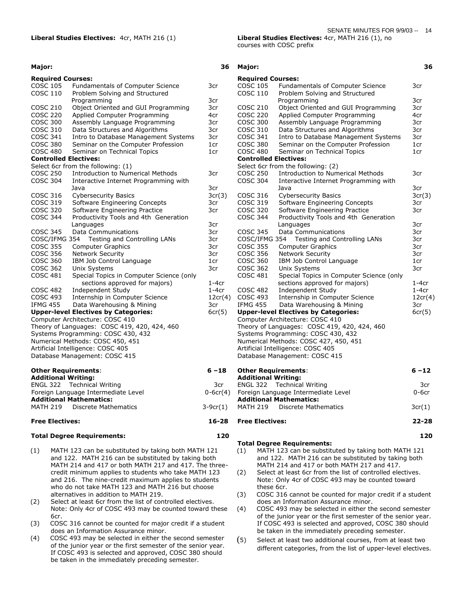# **Required Courses:**

| <b>COSC 105</b>              | Fundamentals of Computer Science             | 3cr          |
|------------------------------|----------------------------------------------|--------------|
| <b>COSC 110</b>              | Problem Solving and Structured               |              |
|                              | Programming                                  | 3cr          |
| <b>COSC 210</b>              | Object Oriented and GUI Programming          | 3cr          |
| <b>COSC 220</b>              | Applied Computer Programming                 | 4cr          |
| <b>COSC 300</b>              | Assembly Language Programming                | 3cr          |
| <b>COSC 310</b>              | Data Structures and Algorithms               | 3cr          |
| <b>COSC 341</b>              | Intro to Database Management Systems         | 3cr          |
| <b>COSC 380</b>              | Seminar on the Computer Profession           | 1cr          |
| <b>COSC 480</b>              | Seminar on Technical Topics                  | 1cr          |
| <b>Controlled Electives:</b> |                                              |              |
|                              | Select 6cr from the following: (1)           |              |
| <b>COSC 250</b>              | <b>Introduction to Numerical Methods</b>     | 3cr          |
| <b>COSC 304</b>              | Interactive Internet Programming with        |              |
|                              | Java                                         | 3cr          |
| <b>COSC 316</b>              | <b>Cybersecurity Basics</b>                  | 3cr(3)       |
| <b>COSC 319</b>              | Software Engineering Concepts                | 3cr          |
| <b>COSC 320</b>              | Software Engineering Practice                | 3cr          |
| <b>COSC 344</b>              | Productivity Tools and 4th Generation        |              |
|                              | Languages                                    | 3cr          |
| <b>COSC 345</b>              | Data Communications                          | 3cr          |
| COSC/IFMG 354                | Testing and Controlling LANs                 | 3cr          |
| <b>COSC 355</b>              | <b>Computer Graphics</b>                     | 3cr          |
| <b>COSC 356</b>              | Network Security                             | 3cr          |
| <b>COSC 360</b>              | IBM Job Control Language                     | 1cr          |
| <b>COSC 362</b>              | <b>Unix Systems</b>                          | 3cr          |
| <b>COSC 481</b>              | Special Topics in Computer Science (only     |              |
|                              | sections approved for majors)                | 1-4cr        |
| <b>COSC 482</b>              | Independent Study                            | $1-4cr$      |
| <b>COSC 493</b>              | Internship in Computer Science               | 12cr(4)      |
| <b>IFMG 455</b>              | Data Warehousing & Mining                    | 3cr          |
|                              | <b>Upper-level Electives by Categories:</b>  | 6cr(5)       |
|                              | Computer Architecture: COSC 410              |              |
|                              | Theory of Languages: COSC 419, 420, 424, 460 |              |
|                              | Systems Programming: COSC 430, 432           |              |
|                              | Numerical Methods: COSC 450, 451             |              |
|                              | Artificial Intelligence: COSC 405            |              |
|                              | Database Management: COSC 415                |              |
| <b>Other Requirements:</b>   |                                              | 6 – 18       |
| <b>Additional Writing:</b>   |                                              |              |
|                              | ENGL 322 Technical Writing                   | 3cr          |
|                              | Foreign Language Intermediate Level          | $0 - 6cr(4)$ |
|                              | <b>Additional Mathematics:</b>               |              |
|                              | MATH 219 Discrete Mathematics                | $3-9cr(1)$   |

### **Total Degree Requirements: 120**

- (1) MATH 123 can be substituted by taking both MATH 121 and 122. MATH 216 can be substituted by taking both MATH 214 and 417 or both MATH 217 and 417. The threecredit minimum applies to students who take MATH 123 and 216. The nine-credit maximum applies to students who do not take MATH 123 and MATH 216 but choose alternatives in addition to MATH 219.
- (2) Select at least 6cr from the list of controlled electives. Note: Only 4cr of COSC 493 may be counted toward these 6cr.
- (3) COSC 316 cannot be counted for major credit if a student does an Information Assurance minor.
- (4) COSC 493 may be selected in either the second semester of the junior year or the first semester of the senior year. If COSC 493 is selected and approved, COSC 380 should be taken in the immediately preceding semester.

courses with COSC prefix

**Major: 36 Major: 36 Required Courses:** COSC 105 Fundamentals of Computer Science COSC 110 Problem Solving and Structured Programming COSC 210 Object Oriented and GUI Programming COSC 220 Applied Computer Programming COSC 300 Assembly Language Programming COSC 310 Data Structures and Algorithms COSC 341 Intro to Database Management Systems COSC 380 Seminar on the Computer Profession COSC 480 Seminar on Technical Topics 3cr 3cr 3cr 4cr 3cr 3cr 3cr 1cr 1cr  $\mathcal{E}$  $\mathsf{r}$  $\mathsf{r}$  $r(4)$  COSC 493  $(5)$ **Controlled Electives:** Select 6cr from the following: (2)<br>COSC 250 Introduction to Num COSC 250 Introduction to Numerical Methods<br>COSC 304 Interactive Internet Programming v Interactive Internet Programming with Java COSC 316 Cybersecurity Basics<br>COSC 319 Software Engineering COSC 319 Software Engineering Concepts<br>COSC 320 Software Engineering Practice Software Engineering Practice COSC 344 Productivity Tools and 4th Generation Languages COSC 345 Data Communications COSC/IFMG 354 Testing and Controlling LANs COSC 355 Computer Graphics COSC 356 Network Security COSC 360 IBM Job Control Language<br>COSC 362 Unix Systems Unix Systems COSC 481 Special Topics in Computer Science (only sections approved for majors) COSC 482 Independent Study Internship in Computer Science IFMG 455 Data Warehousing & Mining **Upper-level Electives by Categories:**  Computer Architecture: COSC 410 Theory of Languages: COSC 419, 420, 424, 460 Systems Programming: COSC 430, 432 Numerical Methods: COSC 427, 450, 451 Artificial Intelligence: COSC 405 Database Management: COSC 415 3cr 3cr 3cr(3) 3cr 3cr 3cr 3cr 3cr 3cr 3cr 1cr 3cr 1-4cr 1-4cr 12cr(4) 3cr 6cr(5) **Other Requirements**: **6 –12 Additional Writing:** ENGL 322 Technical Writing 3cr  $F(4)$  Foreign Language Intermediate Level  $0-6$ cr **Additional Mathematics:** MATH 219 Discrete Mathematics 3cr(1) **Free Electives: 16-28 Free Electives: 22-28 Total Degree Requirements: 120**

- (1) MATH 123 can be substituted by taking both MATH 121 and 122. MATH 216 can be substituted by taking both MATH 214 and 417 or both MATH 217 and 417.
- (2) Select at least 6cr from the list of controlled electives. Note: Only 4cr of COSC 493 may be counted toward these 6cr.
- (3) COSC 316 cannot be counted for major credit if a student does an Information Assurance minor.
- (4) COSC 493 may be selected in either the second semester of the junior year or the first semester of the senior year. If COSC 493 is selected and approved, COSC 380 should be taken in the immediately preceding semester.
- (5) Select at least two additional courses, from at least two different categories, from the list of upper-level electives.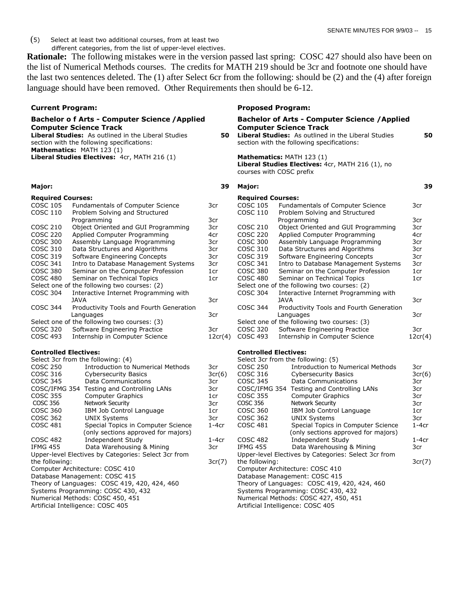(5) Select at least two additional courses, from at least two different categories, from the list of upper-level electives.

**Rationale:** The following mistakes were in the version passed last spring: COSC 427 should also have been on the list of Numerical Methods courses. The credits for MATH 219 should be 3cr and footnote one should have the last two sentences deleted. The (1) after Select 6cr from the following: should be (2) and the (4) after foreign language should have been removed. Other Requirements then should be 6-12.

# **Bachelor o f Arts - Computer Science /Applied Computer Science Track**

## **Required Courses:**

| <b>COSC 105</b> | <b>Fundamentals of Computer Science</b>      |  |
|-----------------|----------------------------------------------|--|
| <b>COSC 110</b> | Problem Solving and Structured               |  |
|                 | Programming                                  |  |
| COSC 210        | Object Oriented and GUI Programming          |  |
| COSC 220        | Applied Computer Programming                 |  |
| COSC 300        | Assembly Language Programming                |  |
| COSC 310        | Data Structures and Algorithms               |  |
| COSC 319        | Software Engineering Concepts                |  |
| COSC 341        | Intro to Database Management Systems         |  |
| <b>COSC 380</b> | Seminar on the Computer Profession           |  |
| <b>COSC 480</b> | Seminar on Technical Topics                  |  |
|                 | Select one of the following two courses: (2) |  |
| <b>COSC 304</b> | Interactive Internet Programming with        |  |
|                 | JAVA                                         |  |
| <b>COSC 344</b> | Productivity Tools and Fourth Generation     |  |
|                 | Languages                                    |  |
|                 | Select one of the following two courses: (3) |  |
| COSC 320        | Software Engineering Practice                |  |
| <b>COSC 493</b> | Internship in Computer Science               |  |

### **Controlled Electives:**

| Select 3cr from the following: (4)                   |  |  |  |  |
|------------------------------------------------------|--|--|--|--|
| Introduction to Numerical Methods                    |  |  |  |  |
| <b>Cybersecurity Basics</b>                          |  |  |  |  |
| Data Communications                                  |  |  |  |  |
| COSC/IFMG 354 Testing and Controlling LANs           |  |  |  |  |
| <b>Computer Graphics</b>                             |  |  |  |  |
| <b>Network Security</b>                              |  |  |  |  |
| IBM Job Control Language                             |  |  |  |  |
| <b>UNIX Systems</b>                                  |  |  |  |  |
| Special Topics in Computer Science                   |  |  |  |  |
| (only sections approved for majors)                  |  |  |  |  |
| Independent Study<br><b>COSC 482</b>                 |  |  |  |  |
| Data Warehousing & Mining                            |  |  |  |  |
| Upper-level Electives by Categories: Select 3cr from |  |  |  |  |
| the following:                                       |  |  |  |  |
| Computer Architecture: COSC 410                      |  |  |  |  |
| Database Management: COSC 415                        |  |  |  |  |
| Theory of Languages: COSC 419, 420, 424, 460         |  |  |  |  |
| Systems Programming: COSC 430, 432                   |  |  |  |  |
| Numerical Methods: COSC 450, 451                     |  |  |  |  |
| Artificial Intelligence: COSC 405                    |  |  |  |  |
|                                                      |  |  |  |  |

## **Current Program: Proposed Program: Proposed Program:**

|                                                                                                                                             | <b>Bachelor o f Arts - Computer Science / Applied</b><br><b>Computer Science Track</b> |         |                                                                                                   | <b>Bachelor of Arts - Computer Science / Applied</b><br><b>Computer Science Track</b>                            |         |
|---------------------------------------------------------------------------------------------------------------------------------------------|----------------------------------------------------------------------------------------|---------|---------------------------------------------------------------------------------------------------|------------------------------------------------------------------------------------------------------------------|---------|
| Liberal Studies: As outlined in the Liberal Studies<br>50<br>section with the following specifications:<br><b>Mathematics: MATH 123 (1)</b> |                                                                                        |         | Liberal Studies: As outlined in the Liberal Studies<br>section with the following specifications: |                                                                                                                  | 50      |
|                                                                                                                                             | <b>Liberal Studies Electives: 4cr, MATH 216 (1)</b>                                    |         |                                                                                                   | <b>Mathematics: MATH 123 (1)</b><br>Liberal Studies Electives: 4cr, MATH 216 (1), no<br>courses with COSC prefix |         |
| Major:                                                                                                                                      |                                                                                        | 39      | Major:                                                                                            |                                                                                                                  | 39      |
| <b>Required Courses:</b>                                                                                                                    |                                                                                        |         | <b>Required Courses:</b>                                                                          |                                                                                                                  |         |
| COSC 105<br>COSC 110                                                                                                                        | <b>Fundamentals of Computer Science</b><br>Problem Solving and Structured              | 3cr     | COSC 105<br>COSC 110                                                                              | <b>Fundamentals of Computer Science</b><br>Problem Solving and Structured                                        | 3cr     |
|                                                                                                                                             | Programming                                                                            | 3cr     |                                                                                                   | Programming                                                                                                      | 3cr     |
| COSC 210                                                                                                                                    | Object Oriented and GUI Programming                                                    | 3cr     | <b>COSC 210</b>                                                                                   | Object Oriented and GUI Programming                                                                              | 3cr     |
| <b>COSC 220</b>                                                                                                                             | Applied Computer Programming                                                           | 4cr     | <b>COSC 220</b>                                                                                   | Applied Computer Programming                                                                                     | 4cr     |
| <b>COSC 300</b>                                                                                                                             | Assembly Language Programming                                                          | 3cr     | <b>COSC 300</b>                                                                                   | Assembly Language Programming                                                                                    | 3cr     |
| COSC 310                                                                                                                                    | Data Structures and Algorithms                                                         | 3cr     | COSC 310                                                                                          | Data Structures and Algorithms                                                                                   | 3cr     |
| <b>COSC 319</b>                                                                                                                             | Software Engineering Concepts                                                          | 3cr     | <b>COSC 319</b>                                                                                   | Software Engineering Concepts                                                                                    | 3cr     |
| COSC 341                                                                                                                                    | Intro to Database Management Systems                                                   | 3cr     | COSC 341                                                                                          | Intro to Database Management Systems                                                                             | 3cr     |
| COSC 380                                                                                                                                    | Seminar on the Computer Profession                                                     | 1cr     | <b>COSC 380</b>                                                                                   | Seminar on the Computer Profession                                                                               | 1cr     |
| COSC 480                                                                                                                                    | Seminar on Technical Topics                                                            | 1cr     | <b>COSC 480</b>                                                                                   | Seminar on Technical Topics                                                                                      | 1cr     |
|                                                                                                                                             | Select one of the following two courses: (2)                                           |         |                                                                                                   | Select one of the following two courses: (2)                                                                     |         |
| COSC 304                                                                                                                                    | Interactive Internet Programming with                                                  |         | COSC 304                                                                                          | Interactive Internet Programming with                                                                            |         |
|                                                                                                                                             | JAVA                                                                                   | 3cr     |                                                                                                   | <b>JAVA</b>                                                                                                      | 3cr     |
| COSC 344                                                                                                                                    | Productivity Tools and Fourth Generation                                               |         | <b>COSC 344</b>                                                                                   | Productivity Tools and Fourth Generation                                                                         |         |
|                                                                                                                                             | Languages                                                                              | 3cr     |                                                                                                   | Languages                                                                                                        | 3cr     |
|                                                                                                                                             | Select one of the following two courses: (3)                                           |         |                                                                                                   | Select one of the following two courses: (3)                                                                     |         |
| COSC 320                                                                                                                                    | Software Engineering Practice                                                          | 3cr     | COSC 320                                                                                          | Software Engineering Practice                                                                                    | 3cr     |
| COSC 493                                                                                                                                    | Internship in Computer Science                                                         | 12cr(4) | <b>COSC 493</b>                                                                                   | Internship in Computer Science                                                                                   | 12cr(4) |

### **Controlled Electives:**

|            | Select 3cr from the following: (5)           |                                                      |         |  |  |
|------------|----------------------------------------------|------------------------------------------------------|---------|--|--|
| 3cr        | <b>COSC 250</b>                              | Introduction to Numerical Methods                    | 3cr     |  |  |
| 3cr(6)     | <b>COSC 316</b>                              | <b>Cybersecurity Basics</b>                          | 3cr(6)  |  |  |
| 3cr        | COSC 345                                     | Data Communications                                  | 3cr     |  |  |
| 3cr        |                                              | COSC/IFMG 354 Testing and Controlling LANs           | 3cr     |  |  |
| 1cr        | <b>COSC 355</b>                              | <b>Computer Graphics</b>                             | 3cr     |  |  |
| 3cr        | <b>COSC 356</b>                              | <b>Network Security</b>                              | 3cr     |  |  |
| 1cr        | COSC 360                                     | IBM Job Control Language                             | 1cr     |  |  |
| 3cr        | COSC 362                                     | <b>UNIX Systems</b>                                  | 3cr     |  |  |
| $1 - 4$ cr | <b>COSC 481</b>                              | Special Topics in Computer Science                   | $1-4cr$ |  |  |
|            |                                              | (only sections approved for majors)                  |         |  |  |
| $1-4cr$    | COSC 482                                     | Independent Study                                    | $1-4cr$ |  |  |
| 3cr        | IFMG 455<br>Data Warehousing & Mining        |                                                      |         |  |  |
|            |                                              | Upper-level Electives by Categories: Select 3cr from |         |  |  |
| 3cr(7)     | the following:                               |                                                      |         |  |  |
|            | Computer Architecture: COSC 410              |                                                      |         |  |  |
|            |                                              | Database Management: COSC 415                        |         |  |  |
|            | Theory of Languages: COSC 419, 420, 424, 460 |                                                      |         |  |  |
|            |                                              | Systems Programming: COSC 430, 432                   |         |  |  |
|            |                                              | Numerical Methods: COSC 427, 450, 451                |         |  |  |
|            | Artificial Intelligence: COSC 405            |                                                      |         |  |  |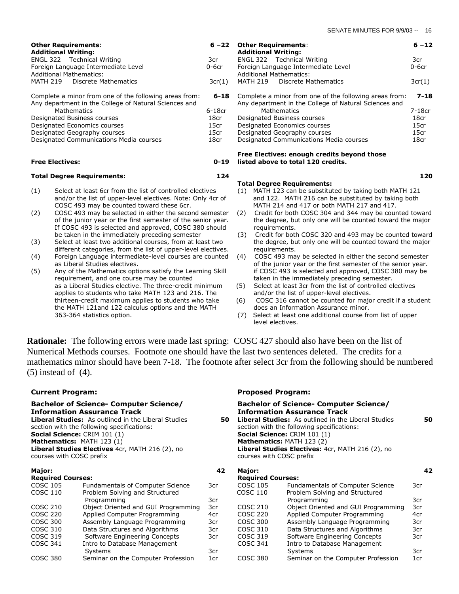| Mathematics                             | $6-18$ cr |
|-----------------------------------------|-----------|
| Designated Business courses             | 18cr      |
| Designated Economics courses            | 15cr      |
| Designated Geography courses            | 15cr      |
| Designated Communications Media courses | 18cr      |

### **Free Electives:**

### **Total Degree Requirements: 124**

- (1) Select at least 6cr from the list of controlled electives and/or the list of upper-level electives. Note: Only 4cr of COSC 493 may be counted toward these 6cr.
- (2) COSC 493 may be selected in either the second semester of the junior year or the first semester of the senior year. If COSC 493 is selected and approved, COSC 380 should be taken in the immediately preceding semester
- (3) Select at least two additional courses, from at least two different categories, from the list of upper-level electives.
- (4) Foreign Language intermediate-level courses are counted as Liberal Studies electives.
- (5) Any of the Mathematics options satisfy the Learning Skill requirement, and one course may be counted as a Liberal Studies elective. The three-credit minimum applies to students who take MATH 123 and 216. The thirteen-credit maximum applies to students who take the MATH 121and 122 calculus options and the MATH 363-364 statistics option.

18cr

**120**

| <b>Other Requirements:</b><br><b>Additional Writing:</b>                                                        | 6 – 12           |
|-----------------------------------------------------------------------------------------------------------------|------------------|
| ENGL 322 Technical Writing                                                                                      | 3cr              |
| Foreign Language Intermediate Level<br><b>Additional Mathematics:</b>                                           | $0-6cr$          |
| MATH 219 Discrete Mathematics                                                                                   | 3cr(1)           |
|                                                                                                                 |                  |
| Complete a minor from one of the following areas from:<br>Any department in the College of Natural Sciences and | $7 - 18$         |
| Mathematics                                                                                                     | 7-18cr           |
| Designated Business courses                                                                                     | 18cr             |
| Designated Economics courses                                                                                    | 15 <sub>cr</sub> |
| Designated Geography courses                                                                                    | 15cr             |

### **Free Electives: enough credits beyond those listed above to total 120 credits.**

Designated Communications Media courses

### **Total Degree Requirements:**

- (1) MATH 123 can be substituted by taking both MATH 121 and 122. MATH 216 can be substituted by taking both MATH 214 and 417 or both MATH 217 and 417.
- (2) Credit for both COSC 304 and 344 may be counted toward the degree, but only one will be counted toward the major requirements.
- (3) Credit for both COSC 320 and 493 may be counted toward the degree, but only one will be counted toward the major requirements.
- (4) COSC 493 may be selected in either the second semester of the junior year or the first semester of the senior year. if COSC 493 is selected and approved, COSC 380 may be taken in the immediately preceding semester.
- (5) Select at least 3cr from the list of controlled electives and/or the list of upper-level electives.
- (6) COSC 316 cannot be counted for major credit if a student does an Information Assurance minor.
- (7) Select at least one additional course from list of upper level electives.

**Rationale:** The following errors were made last spring: COSC 427 should also have been on the list of Numerical Methods courses. Footnote one should have the last two sentences deleted. The credits for a mathematics minor should have been 7-18. The footnote after select 3cr from the following should be numbered (5) instead of (4).

### **Current Program: Proposed Program:**

| <b>Bachelor of Science- Computer Science/</b><br><b>Information Assurance Track</b><br><b>Liberal Studies:</b> As outlined in the Liberal Studies<br>section with the following specifications:<br>Social Science: CRIM 101 (1)<br><b>Mathematics: MATH 123 (1)</b><br>Liberal Studies Electives 4cr, MATH 216 (2), no<br>courses with COSC prefix |                                         | 50  | courses with COSC prefix | <b>Bachelor of Science- Computer Science/</b><br><b>Information Assurance Track</b><br><b>Liberal Studies:</b> As outlined in the Liberal Studies<br>section with the following specifications:<br>Social Science: CRIM 101 (1)<br><b>Mathematics: MATH 123 (2)</b><br>Liberal Studies Electives: 4cr, MATH 216 (2), no | 50  |
|----------------------------------------------------------------------------------------------------------------------------------------------------------------------------------------------------------------------------------------------------------------------------------------------------------------------------------------------------|-----------------------------------------|-----|--------------------------|-------------------------------------------------------------------------------------------------------------------------------------------------------------------------------------------------------------------------------------------------------------------------------------------------------------------------|-----|
| Major:                                                                                                                                                                                                                                                                                                                                             |                                         | 42  | Major:                   |                                                                                                                                                                                                                                                                                                                         | 42  |
| <b>Required Courses:</b>                                                                                                                                                                                                                                                                                                                           |                                         |     | <b>Required Courses:</b> |                                                                                                                                                                                                                                                                                                                         |     |
| <b>COSC 105</b>                                                                                                                                                                                                                                                                                                                                    | <b>Fundamentals of Computer Science</b> | 3cr | <b>COSC 105</b>          | <b>Fundamentals of Computer Science</b>                                                                                                                                                                                                                                                                                 | 3cr |
| COSC 110                                                                                                                                                                                                                                                                                                                                           | Problem Solving and Structured          |     | COSC 110                 | Problem Solving and Structured                                                                                                                                                                                                                                                                                          |     |
|                                                                                                                                                                                                                                                                                                                                                    | Programming                             | 3cr |                          | Programming                                                                                                                                                                                                                                                                                                             | 3cr |
| COSC 210                                                                                                                                                                                                                                                                                                                                           | Object Oriented and GUI Programming     | 3cr | COSC 210                 | Object Oriented and GUI Programming                                                                                                                                                                                                                                                                                     | 3cr |
| <b>COSC 220</b>                                                                                                                                                                                                                                                                                                                                    | Applied Computer Programming            | 4cr | <b>COSC 220</b>          | Applied Computer Programming                                                                                                                                                                                                                                                                                            | 4cr |
| <b>COSC 300</b>                                                                                                                                                                                                                                                                                                                                    | Assembly Language Programming           | 3cr | <b>COSC 300</b>          | Assembly Language Programming                                                                                                                                                                                                                                                                                           | 3cr |
| <b>COSC 310</b>                                                                                                                                                                                                                                                                                                                                    | Data Structures and Algorithms          | 3cr | COSC 310                 | Data Structures and Algorithms                                                                                                                                                                                                                                                                                          | 3cr |
| <b>COSC 319</b>                                                                                                                                                                                                                                                                                                                                    | Software Engineering Concepts           | 3cr | COSC 319                 | Software Engineering Concepts                                                                                                                                                                                                                                                                                           | 3cr |
| COSC 341                                                                                                                                                                                                                                                                                                                                           | Intro to Database Management            |     | COSC 341                 | Intro to Database Management                                                                                                                                                                                                                                                                                            |     |
|                                                                                                                                                                                                                                                                                                                                                    | Systems                                 | 3cr |                          | Systems                                                                                                                                                                                                                                                                                                                 | 3cr |
| <b>COSC 380</b>                                                                                                                                                                                                                                                                                                                                    | Seminar on the Computer Profession      | 1cr | <b>COSC 380</b>          | Seminar on the Computer Profession                                                                                                                                                                                                                                                                                      | 1cr |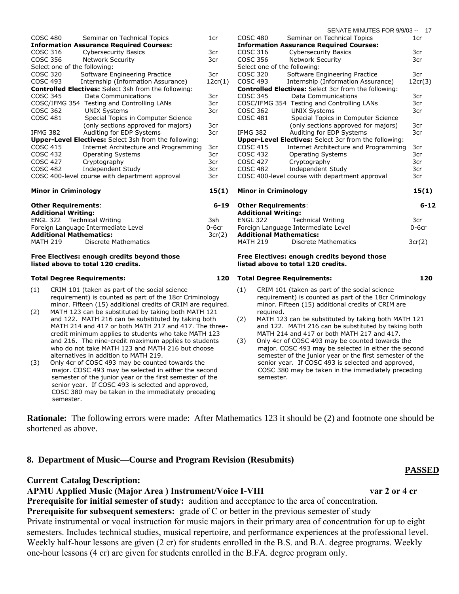| COSC 480                       | Seminar on Technical Topics                                  | 1cr             |  |  |
|--------------------------------|--------------------------------------------------------------|-----------------|--|--|
|                                | <b>Information Assurance Required Courses:</b>               |                 |  |  |
| COSC 316                       | <b>Cybersecurity Basics</b>                                  | 3cr             |  |  |
| <b>COSC 356</b>                | Network Security                                             | 3cr             |  |  |
| Select one of the following:   |                                                              |                 |  |  |
| COSC 320                       | Software Engineering Practice                                | 3cr             |  |  |
| COSC 493                       | Internship (Information Assurance)                           | 12cr(1)         |  |  |
|                                | Controlled Electives: Select 3sh from the following:         |                 |  |  |
| <b>COSC 345</b>                | Data Communications                                          | 3cr             |  |  |
|                                | COSC/IFMG 354 Testing and Controlling LANs                   | 3cr             |  |  |
| <b>COSC 362</b>                | <b>UNIX Systems</b>                                          | 3cr             |  |  |
| COSC 481                       | Special Topics in Computer Science                           |                 |  |  |
|                                | (only sections approved for majors)                          | 3cr             |  |  |
| <b>IFMG 382</b>                | Auditing for EDP Systems                                     | 3cr             |  |  |
|                                | <b>Upper-Level Electives:</b> Select 3sh from the following: |                 |  |  |
| <b>COSC 415</b>                | Internet Architecture and Programming                        | 3cr             |  |  |
| <b>COSC 432</b>                | <b>Operating Systems</b>                                     | 3cr             |  |  |
| COSC 427                       | Cryptography                                                 | 3cr             |  |  |
| <b>COSC 482</b>                | Independent Study                                            | 3cr             |  |  |
|                                | COSC 400-level course with department approval               | 3cr             |  |  |
| <b>Minor in Criminology</b>    |                                                              | 15(1)           |  |  |
| <b>Other Requirements:</b>     |                                                              | $6 - 19$        |  |  |
| <b>Additional Writing:</b>     |                                                              |                 |  |  |
| ENGL 322 Technical Writing     |                                                              | 3sh             |  |  |
|                                | Foreign Language Intermediate Level                          | 0-6cr<br>3cr(2) |  |  |
| <b>Additional Mathematics:</b> |                                                              |                 |  |  |

### **Free Electives: enough credits beyond those listed above to total 120 credits.**

MATH 219 Discrete Mathematics

- (1) CRIM 101 (taken as part of the social science requirement) is counted as part of the 18cr Criminology minor. Fifteen (15) additional credits of CRIM are required.
- (2) MATH 123 can be substituted by taking both MATH 121 and 122. MATH 216 can be substituted by taking both MATH 214 and 417 or both MATH 217 and 417. The threecredit minimum applies to students who take MATH 123 and 216. The nine-credit maximum applies to students who do not take MATH 123 and MATH 216 but choose alternatives in addition to MATH 219.
- (3) Only 4cr of COSC 493 may be counted towards the major. COSC 493 may be selected in either the second semester of the junior year or the first semester of the senior year. If COSC 493 is selected and approved, COSC 380 may be taken in the immediately preceding semester.

| Other Requirements:          |                                                              | 6-19    | Other Requirements:          |                                                              | $6 - 12$ |
|------------------------------|--------------------------------------------------------------|---------|------------------------------|--------------------------------------------------------------|----------|
| <b>Minor in Criminology</b>  |                                                              | 15(1)   | <b>Minor in Criminology</b>  |                                                              | 15(1)    |
|                              | COSC 400-level course with department approval               | 3cr     |                              | COSC 400-level course with department approval               | 3cr      |
| COSC 482                     | Independent Study                                            | 3cr     | <b>COSC 482</b>              | Independent Study                                            | 3cr      |
| COSC 427                     | Cryptography                                                 | 3cr     | <b>COSC 427</b>              | Cryptography                                                 | 3cr      |
| COSC 432                     | <b>Operating Systems</b>                                     | 3cr     | COSC 432                     | <b>Operating Systems</b>                                     | 3cr      |
| COSC 415                     | Internet Architecture and Programming                        | 3cr     | <b>COSC 415</b>              | Internet Architecture and Programming                        | 3cr      |
|                              | <b>Upper-Level Electives:</b> Select 3sh from the following: |         |                              | <b>Upper-Level Electives:</b> Select 3cr from the following: |          |
| IFMG 382                     | Auditing for EDP Systems                                     | 3cr     | <b>IFMG 382</b>              | Auditing for EDP Systems                                     | 3cr      |
|                              | (only sections approved for majors)                          | 3cr     |                              | (only sections approved for majors)                          | 3cr      |
| COSC 481                     | Special Topics in Computer Science                           |         | <b>COSC 481</b>              | Special Topics in Computer Science                           |          |
| COSC 362                     | <b>UNIX Systems</b>                                          | 3cr     | COSC 362                     | <b>UNIX Systems</b>                                          | 3cr      |
|                              | COSC/IFMG 354 Testing and Controlling LANs                   | 3cr     | COSC/IFMG 354                | Testing and Controlling LANs                                 | 3cr      |
| COSC 345                     | Data Communications                                          | 3cr     | COSC 345                     | Data Communications                                          | 3cr      |
|                              | <b>Controlled Electives:</b> Select 3sh from the following:  |         |                              | <b>Controlled Electives:</b> Select 3cr from the following:  |          |
| COSC 493                     | Internship (Information Assurance)                           | 12cr(1) | COSC 493                     | Internship (Information Assurance)                           | 12cr(3)  |
| COSC 320                     | Software Engineering Practice                                | 3cr     | COSC 320                     | Software Engineering Practice                                | 3cr      |
| Select one of the following: |                                                              |         | Select one of the following: |                                                              |          |
| COSC 356                     | <b>Network Security</b>                                      | 3cr     | COSC 356                     | <b>Network Security</b>                                      | 3cr      |
| COSC 316                     | <b>Cybersecurity Basics</b>                                  | 3cr     | COSC 316                     | <b>Cybersecurity Basics</b>                                  | 3cr      |
|                              | <b>Information Assurance Required Courses:</b>               |         |                              | <b>Information Assurance Required Courses:</b>               |          |
| COSC 480                     | Seminar on Technical Topics                                  | 1cr     | <b>COSC 480</b>              | Seminar on Technical Topics                                  | 1cr      |
|                              |                                                              |         |                              | SENATE MINUTES FOR 9/9/03 --                                 | - 17     |

| $6 - 12$ |  |
|----------|--|
|          |  |
|          |  |
| $0-6cr$  |  |
|          |  |
| 3cr(2)   |  |
|          |  |

### **Free Electives: enough credits beyond those listed above to total 120 credits.**

### **Total Degree Requirements: 120 Total Degree Requirements: 120**

- (1) CRIM 101 (taken as part of the social science requirement) is counted as part of the 18cr Criminology minor. Fifteen (15) additional credits of CRIM are required.
- (2) MATH 123 can be substituted by taking both MATH 121 and 122. MATH 216 can be substituted by taking both MATH 214 and 417 or both MATH 217 and 417.
- (3) Only 4cr of COSC 493 may be counted towards the major. COSC 493 may be selected in either the second semester of the junior year or the first semester of the senior year. If COSC 493 is selected and approved, COSC 380 may be taken in the immediately preceding semester.

**Rationale:** The following errors were made: After Mathematics 123 it should be (2) and footnote one should be shortened as above.

# **8. Department of Music—Course and Program Revision (Resubmits)**

# **Current Catalog Description:**

# **APMU Applied Music (Major Area ) Instrument/Voice I-VIII var 2 or 4 cr**

**Prerequisite for initial semester of study:** audition and acceptance to the area of concentration. **Prerequisite for subsequent semesters:** grade of C or better in the previous semester of study Private instrumental or vocal instruction for music majors in their primary area of concentration for up to eight semesters. Includes technical studies, musical repertoire, and performance experiences at the professional level. Weekly half-hour lessons are given (2 cr) for students enrolled in the B.S. and B.A. degree programs. Weekly one-hour lessons (4 cr) are given for students enrolled in the B.FA. degree program only.

# **PASSED**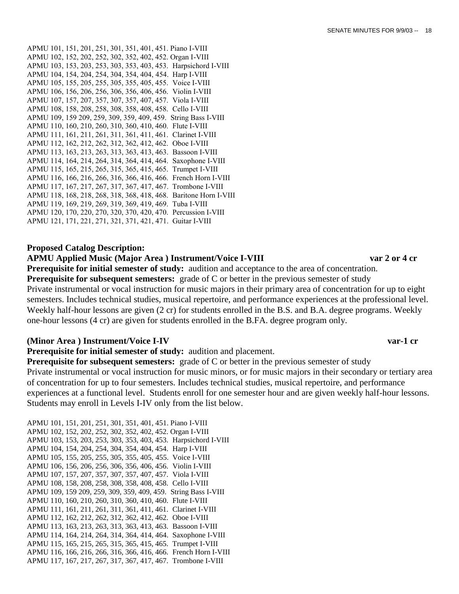APMU 101, 151, 201, 251, 301, 351, 401, 451. Piano I-VIII APMU 102, 152, 202, 252, 302, 352, 402, 452. Organ I-VIII APMU 103, 153, 203, 253, 303, 353, 403, 453. Harpsichord I-VIII APMU 104, 154, 204, 254, 304, 354, 404, 454. Harp I-VIII APMU 105, 155, 205, 255, 305, 355, 405, 455. Voice I-VIII APMU 106, 156, 206, 256, 306, 356, 406, 456. Violin I-VIII APMU 107, 157, 207, 357, 307, 357, 407, 457. Viola I-VIII APMU 108, 158, 208, 258, 308, 358, 408, 458. Cello I-VIII APMU 109, 159 209, 259, 309, 359, 409, 459. String Bass I-VIII APMU 110, 160, 210, 260, 310, 360, 410, 460. Flute I-VIII APMU 111, 161, 211, 261, 311, 361, 411, 461. Clarinet I-VIII APMU 112, 162, 212, 262, 312, 362, 412, 462. Oboe I-VIII APMU 113, 163, 213, 263, 313, 363, 413, 463. Bassoon I-VIII APMU 114, 164, 214, 264, 314, 364, 414, 464. Saxophone I-VIII APMU 115, 165, 215, 265, 315, 365, 415, 465. Trumpet I-VIII APMU 116, 166, 216, 266, 316, 366, 416, 466. French Horn I-VIII APMU 117, 167, 217, 267, 317, 367, 417, 467. Trombone I-VIII APMU 118, 168, 218, 268, 318, 368, 418, 468. Baritone Horn I-VIII APMU 119, 169, 219, 269, 319, 369, 419, 469. Tuba I-VIII APMU 120, 170, 220, 270, 320, 370, 420, 470. Percussion I-VIII APMU 121, 171, 221, 271, 321, 371, 421, 471. Guitar I-VIII

# **Proposed Catalog Description:**

## **APMU Applied Music (Major Area ) Instrument/Voice I-VIII var 2 or 4 cr**

**Prerequisite for initial semester of study:** audition and acceptance to the area of concentration. **Prerequisite for subsequent semesters:** grade of C or better in the previous semester of study Private instrumental or vocal instruction for music majors in their primary area of concentration for up to eight semesters. Includes technical studies, musical repertoire, and performance experiences at the professional level. Weekly half-hour lessons are given (2 cr) for students enrolled in the B.S. and B.A. degree programs. Weekly one-hour lessons (4 cr) are given for students enrolled in the B.FA. degree program only.

## **(Minor Area ) Instrument/Voice I-IV var-1 cr**

**Prerequisite for initial semester of study:** audition and placement.

**Prerequisite for subsequent semesters:** grade of C or better in the previous semester of study Private instrumental or vocal instruction for music minors, or for music majors in their secondary or tertiary area of concentration for up to four semesters. Includes technical studies, musical repertoire, and performance experiences at a functional level. Students enroll for one semester hour and are given weekly half-hour lessons. Students may enroll in Levels I-IV only from the list below.

APMU 101, 151, 201, 251, 301, 351, 401, 451. Piano I-VIII APMU 102, 152, 202, 252, 302, 352, 402, 452. Organ I-VIII APMU 103, 153, 203, 253, 303, 353, 403, 453. Harpsichord I-VIII APMU 104, 154, 204, 254, 304, 354, 404, 454. Harp I-VIII APMU 105, 155, 205, 255, 305, 355, 405, 455. Voice I-VIII APMU 106, 156, 206, 256, 306, 356, 406, 456. Violin I-VIII APMU 107, 157, 207, 357, 307, 357, 407, 457. Viola I-VIII APMU 108, 158, 208, 258, 308, 358, 408, 458. Cello I-VIII APMU 109, 159 209, 259, 309, 359, 409, 459. String Bass I-VIII APMU 110, 160, 210, 260, 310, 360, 410, 460. Flute I-VIII APMU 111, 161, 211, 261, 311, 361, 411, 461. Clarinet I-VIII APMU 112, 162, 212, 262, 312, 362, 412, 462. Oboe I-VIII APMU 113, 163, 213, 263, 313, 363, 413, 463. Bassoon I-VIII APMU 114, 164, 214, 264, 314, 364, 414, 464. Saxophone I-VIII APMU 115, 165, 215, 265, 315, 365, 415, 465. Trumpet I-VIII APMU 116, 166, 216, 266, 316, 366, 416, 466. French Horn I-VIII APMU 117, 167, 217, 267, 317, 367, 417, 467. Trombone I-VIII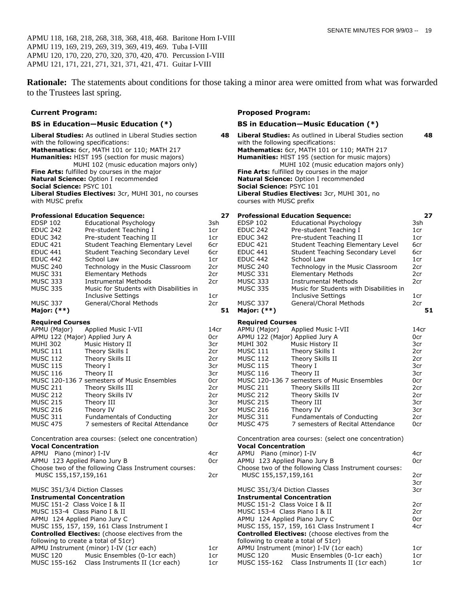APMU 118, 168, 218, 268, 318, 368, 418, 468. Baritone Horn I-VIII APMU 119, 169, 219, 269, 319, 369, 419, 469. Tuba I-VIII APMU 120, 170, 220, 270, 320, 370, 420, 470. Percussion I-VIII APMU 121, 171, 221, 271, 321, 371, 421, 471. Guitar I-VIII

**Rationale:** The statements about conditions for those taking a minor area were omitted from what was forwarded to the Trustees last spring.

### **BS in Education—Music Education (\*) BS in Education—Music Education (\*)**

**Liberal Studies:** As outlined in Liberal Studies section with the following specifications: **Mathematics:** 6cr, MATH 101 or 110; MATH 217 **Humanities:** HIST 195 (section for music majors) MUHI 102 (music education majors only) **Fine Arts:** fulfilled by courses in the major **Natural Science:** Option I recommended **Social Science:** PSYC 101 **Liberal Studies Electives:** 3cr, MUHI 301, no courses with MUSC prefix

| <b>Professional Education Sequence:</b> |                                         | 27  | <b>Professional Education Sequence:</b> |                                         |     |
|-----------------------------------------|-----------------------------------------|-----|-----------------------------------------|-----------------------------------------|-----|
| <b>EDSP 102</b>                         | Educational Psychology                  | 3sh | <b>EDSP 102</b>                         | Educational Psychology                  | 3sh |
| <b>EDUC 242</b>                         | Pre-student Teaching I                  | 1cr | <b>EDUC 242</b>                         | Pre-student Teaching I                  | 1cr |
| <b>EDUC 342</b>                         | Pre-student Teaching II                 | 1cr | <b>EDUC 342</b>                         | Pre-student Teaching II                 | 1cr |
| <b>EDUC 421</b>                         | Student Teaching Elementary Level       | 6cr | <b>EDUC 421</b>                         | Student Teaching Elementary Level       | 6cr |
| <b>EDUC 441</b>                         | Student Teaching Secondary Level        | 6cr | <b>EDUC 441</b>                         | Student Teaching Secondary Level        | 6cr |
| <b>EDUC 442</b>                         | School Law                              | 1cr | EDUC 442                                | School Law                              | 1cr |
| <b>MUSC 240</b>                         | Technology in the Music Classroom       | 2cr | <b>MUSC 240</b>                         | Technology in the Music Classroom       | 2cr |
| <b>MUSC 331</b>                         | Elementary Methods                      | 2cr | <b>MUSC 331</b>                         | Elementary Methods                      | 2cr |
| <b>MUSC 333</b>                         | <b>Instrumental Methods</b>             | 2cr | <b>MUSC 333</b>                         | <b>Instrumental Methods</b>             | 2cr |
| <b>MUSC 335</b>                         | Music for Students with Disabilities in |     | <b>MUSC 335</b>                         | Music for Students with Disabilities in |     |
|                                         | Inclusive Settings                      | 1cr |                                         | Inclusive Settings                      | 1cr |
| <b>MUSC 337</b>                         | General/Choral Methods                  | 2cr | <b>MUSC 337</b>                         | General/Choral Methods                  | 2cr |
| Major: $(**)$                           |                                         | 51  | Major: $(**)$                           |                                         | 51  |

### **Required Courses**

| APMU (Major)                    | Applied Music I-VII                         | 14cr |
|---------------------------------|---------------------------------------------|------|
| APMU 122 (Major) Applied Jury A |                                             | 0cr  |
| <b>MUHI 302</b>                 | Music History II                            | 3cr  |
| <b>MUSC 111</b>                 | Theory Skills I                             | 2cr  |
| <b>MUSC 112</b>                 | Theory Skills II                            | 2cr  |
| <b>MUSC 115</b>                 | Theory I                                    | 3cr  |
| <b>MUSC 116</b>                 | Theory II                                   | 3cr  |
|                                 | MUSC 120-136 7 semesters of Music Ensembles | 0cr  |
| <b>MUSC 211</b>                 | Theory Skills III                           | 2cr  |
| <b>MUSC 212</b>                 | Theory Skills IV                            | 2cr  |
| <b>MUSC 215</b>                 | Theory III                                  | 3cr  |
| <b>MUSC 216</b>                 | Theory IV                                   | 3cr  |
| <b>MUSC 311</b>                 | Fundamentals of Conducting                  | 2cr  |
| <b>MUSC 475</b>                 | 7 semesters of Recital Attendance           | 0cr  |

# Concentration area courses: (select one concentration) **Vocal Concentration**

| APMU Piano (minor) I-IV                               | 4cr |
|-------------------------------------------------------|-----|
| APMU 123 Applied Piano Jury B                         | 0cr |
| Choose two of the following Class Instrument courses: |     |
| MUSC 155,157,159,161                                  | 2cr |

### MUSC 351/3/4 Diction Classes

| <b>Instrumental Concentration</b> |                                                         |     |
|-----------------------------------|---------------------------------------------------------|-----|
| MUSC 151-2 Class Voice I & II     |                                                         |     |
| MUSC 153-4 Class Piano I & II     |                                                         |     |
| APMU 124 Applied Piano Jury C     |                                                         |     |
|                                   | MUSC 155, 157, 159, 161 Class Instrument I              |     |
|                                   | <b>Controlled Electives:</b> (choose electives from the |     |
|                                   | following to create a total of 51cr)                    |     |
|                                   | APMU Instrument (minor) I-IV (1cr each)                 | 1cr |
| MUSC 120                          | Music Ensembles (0-1cr each)                            | 1cr |
|                                   | MUSC 155-162 Class Instruments II (1cr each)            | 1cr |
|                                   |                                                         |     |

### **Current Program: Proposed Program:**

 **48 Liberal Studies:** As outlined in Liberal Studies section with the following specifications: **Mathematics:** 6cr, MATH 101 or 110; MATH 217 **Humanities:** HIST 195 (section for music majors) MUHI 102 (music education majors only) **Fine Arts:** fulfilled by courses in the major **Natural Science:** Option I recommended **Social Science:** PSYC 101 **Liberal Studies Electives:** 3cr, MUHI 301, no courses with MUSC prefix **48**

### **27 Professional Education Sequence:** EDSP 102 Educational Psychology<br>EDUC 242 Pre-student Teaching I Pre-student Teaching I EDUC 342 Pre-student Teaching II EDUC 421 Student Teaching Elementary Level<br>EDUC 441 Student Teaching Secondary Level Student Teaching Secondary Level EDUC 442 School Law MUSC 240 Technology in the Music Classroom MUSC 331 Elementary Methods MUSC 333 Instrumental Methods MUSC 335 Music for Students with Disabilities in Inclusive Settings **27** 3sh 1cr 1cr 6cr 6cr 1cr 2cr 2cr 2cr 1cr

### **Required Courses**

| APMU (Major)    | Applied Music I-VII                         | 14 <sub>cr</sub> |
|-----------------|---------------------------------------------|------------------|
|                 | APMU 122 (Major) Applied Jury A             | 0cr              |
| <b>MUHI 302</b> | Music History II                            | 3cr              |
| <b>MUSC 111</b> | Theory Skills I                             | 2cr              |
| <b>MUSC 112</b> | Theory Skills II                            | 2cr              |
| <b>MUSC 115</b> | Theory I                                    | 3cr              |
| <b>MUSC 116</b> | Theory II                                   | 3cr              |
|                 | MUSC 120-136 7 semesters of Music Ensembles | 0cr              |
| <b>MUSC 211</b> | Theory Skills III                           | 2cr              |
| <b>MUSC 212</b> | Theory Skills IV                            | 2cr              |
| <b>MUSC 215</b> | Theory III                                  | 3cr              |
| <b>MUSC 216</b> | Theory IV                                   | 3cr              |
| <b>MUSC 311</b> | Fundamentals of Conducting                  | 2cr              |
| <b>MUSC 475</b> | 7 semesters of Recital Attendance           | 0cr              |
|                 |                                             |                  |

Concentration area courses: (select one concentration) **Vocal Concentration** APMU Piano (minor) I-IV APMU 123 Applied Piano Jury B Choose two of the following Class Instrument courses: MUSC 155,157,159,161 MUSC 351/3/4 Diction Classes **Instrumental Concentration** MUSC 151-2 Class Voice I & II MUSC 153-4 Class Piano I & II APMU 124 Applied Piano Jury C MUSC 155, 157, 159, 161 Class Instrument I 4cr 0cr 2cr 3cr 3cr 2cr 2cr 0cr 4cr

### following to create a total of 51cr) APMU Instrument (minor) I-IV (1cr each) MUSC 120 Music Ensembles (0-1cr each) MUSC 155-162 Class Instruments II (1cr each) 1cr 1cr 1cr

**Controlled Electives:** (choose electives from the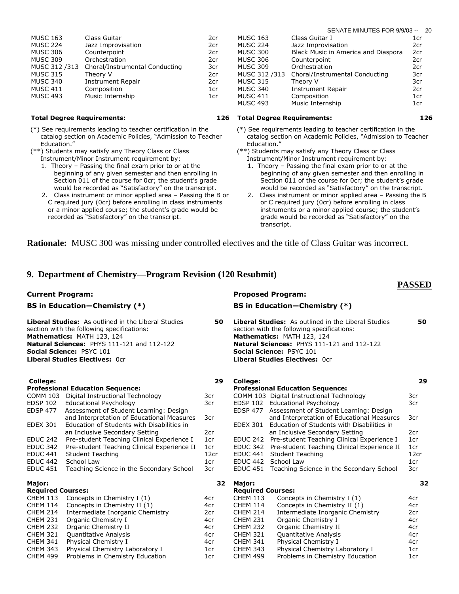|                 |                                |     |                 | SENATE MINUTES FOR 9/9/03 -- 20     |     |
|-----------------|--------------------------------|-----|-----------------|-------------------------------------|-----|
| <b>MUSC 163</b> | Class Guitar                   | 2cr | <b>MUSC 163</b> | Class Guitar I                      | 1cr |
| <b>MUSC 224</b> | Jazz Improvisation             | 2cr | <b>MUSC 224</b> | Jazz Improvisation                  | 2cr |
| <b>MUSC 306</b> | Counterpoint                   | 2cr | <b>MUSC 300</b> | Black Music in America and Diaspora | 2cr |
| <b>MUSC 309</b> | Orchestration                  | 2cr | <b>MUSC 306</b> | Counterpoint                        | 2cr |
| MUSC 312 /313   | Choral/Instrumental Conducting | 3cr | <b>MUSC 309</b> | Orchestration                       | 2cr |
| <b>MUSC 315</b> | Theory V                       | 2cr | MUSC 312 /313   | Choral/Instrumental Conducting      | 3cr |
| <b>MUSC 340</b> | Instrument Repair              | 2cr | <b>MUSC 315</b> | Theory V                            | 3cr |
| <b>MUSC 411</b> | Composition                    | 1cr | <b>MUSC 340</b> | <b>Instrument Repair</b>            | 2cr |
| <b>MUSC 493</b> | Music Internship               | 1cr | <b>MUSC 411</b> | Composition                         | 1cr |
|                 |                                |     | <b>MUSC 493</b> | Music Internship                    | 1cr |

- (\*) See requirements leading to teacher certification in the catalog section on Academic Policies, "Admission to Teacher Education."
- (\*\*) Students may satisfy any Theory Class or Class Instrument/Minor Instrument requirement by:
	- 1. Theory Passing the final exam prior to or at the beginning of any given semester and then enrolling in Section 011 of the course for 0cr; the student's grade would be recorded as "Satisfactory" on the transcript.
	- 2. Class instrument or minor applied area Passing the B or C required jury (0cr) before enrolling in class instruments or a minor applied course; the student's grade would be recorded as "Satisfactory" on the transcript.

### **Total Degree Requirements: 126 Total Degree Requirements: 126**

- (\*) See requirements leading to teacher certification in the catalog section on Academic Policies, "Admission to Teacher Education."
- (\*\*) Students may satisfy any Theory Class or Class Instrument/Minor Instrument requirement by:
	- 1. Theory Passing the final exam prior to or at the beginning of any given semester and then enrolling in Section 011 of the course for 0cr; the student's grade would be recorded as "Satisfactory" on the transcript.
	- 2. Class instrument or minor applied area Passing the B or C required jury (0cr) before enrolling in class instruments or a minor applied course; the student's grade would be recorded as "Satisfactory" on the transcript.

**Rationale:** MUSC 300 was missing under controlled electives and the title of Class Guitar was incorrect.

# **9. Department of Chemistry—Program Revision (120 Resubmit)**

|                                                                                                                                                                                                                                                           |                                                                     |                 |                                                                                                                                                                                                                                                           |                                                                              | <b>PASSED</b> |
|-----------------------------------------------------------------------------------------------------------------------------------------------------------------------------------------------------------------------------------------------------------|---------------------------------------------------------------------|-----------------|-----------------------------------------------------------------------------------------------------------------------------------------------------------------------------------------------------------------------------------------------------------|------------------------------------------------------------------------------|---------------|
| <b>Current Program:</b>                                                                                                                                                                                                                                   |                                                                     |                 |                                                                                                                                                                                                                                                           | <b>Proposed Program:</b>                                                     |               |
| <b>BS in Education-Chemistry (*)</b>                                                                                                                                                                                                                      |                                                                     |                 | <b>BS in Education-Chemistry (*)</b>                                                                                                                                                                                                                      |                                                                              |               |
| <b>Liberal Studies:</b> As outlined in the Liberal Studies<br>section with the following specifications:<br>Mathematics: MATH 123, 124<br>Natural Sciences: PHYS 111-121 and 112-122<br>Social Science: PSYC 101<br><b>Liberal Studies Electives: Ocr</b> |                                                                     | 50              | <b>Liberal Studies:</b> As outlined in the Liberal Studies<br>section with the following specifications:<br>Mathematics: MATH 123, 124<br>Natural Sciences: PHYS 111-121 and 112-122<br>Social Science: PSYC 101<br><b>Liberal Studies Electives: Ocr</b> |                                                                              | 50            |
| <b>College:</b>                                                                                                                                                                                                                                           |                                                                     | 29              | College:                                                                                                                                                                                                                                                  |                                                                              | 29            |
|                                                                                                                                                                                                                                                           | <b>Professional Education Sequence:</b>                             |                 |                                                                                                                                                                                                                                                           | <b>Professional Education Sequence:</b>                                      |               |
| <b>EDSP 102</b>                                                                                                                                                                                                                                           | COMM 103 Digital Instructional Technology<br>Educational Psychology | 3cr<br>3cr      |                                                                                                                                                                                                                                                           | COMM 103 Digital Instructional Technology<br>EDSP 102 Educational Psychology | 3cr<br>3cr    |
| <b>EDSP 477</b>                                                                                                                                                                                                                                           | Assessment of Student Learning: Design                              |                 | <b>EDSP 477</b>                                                                                                                                                                                                                                           | Assessment of Student Learning: Design                                       |               |
|                                                                                                                                                                                                                                                           | and Interpretation of Educational Measures                          | 3cr             |                                                                                                                                                                                                                                                           | and Interpretation of Educational Measures                                   | 3cr           |
| <b>EDEX 301</b>                                                                                                                                                                                                                                           | Education of Students with Disabilities in                          |                 | <b>EDEX 301</b>                                                                                                                                                                                                                                           | Education of Students with Disabilities in                                   |               |
|                                                                                                                                                                                                                                                           | an Inclusive Secondary Setting                                      | 2cr             |                                                                                                                                                                                                                                                           | an Inclusive Secondary Setting                                               | 2cr           |
| <b>EDUC 242</b>                                                                                                                                                                                                                                           | Pre-student Teaching Clinical Experience I                          | 1cr             |                                                                                                                                                                                                                                                           | EDUC 242 Pre-student Teaching Clinical Experience I                          | 1cr           |
| <b>EDUC 342</b>                                                                                                                                                                                                                                           | Pre-student Teaching Clinical Experience II                         | 1cr             |                                                                                                                                                                                                                                                           | EDUC 342 Pre-student Teaching Clinical Experience II                         | 1cr           |
| <b>EDUC 441</b>                                                                                                                                                                                                                                           | <b>Student Teaching</b>                                             | 12cr            |                                                                                                                                                                                                                                                           | EDUC 441 Student Teaching                                                    | 12cr          |
| <b>EDUC 442</b>                                                                                                                                                                                                                                           | School Law                                                          | 1cr             |                                                                                                                                                                                                                                                           | EDUC 442 School Law                                                          | 1cr           |
| <b>EDUC 451</b>                                                                                                                                                                                                                                           | Teaching Science in the Secondary School                            | 3cr             |                                                                                                                                                                                                                                                           | EDUC 451 Teaching Science in the Secondary School                            | 3cr           |
| Major:                                                                                                                                                                                                                                                    |                                                                     | 32              | <b>Major:</b>                                                                                                                                                                                                                                             |                                                                              | 32            |
| <b>Required Courses:</b>                                                                                                                                                                                                                                  |                                                                     |                 | <b>Required Courses:</b>                                                                                                                                                                                                                                  |                                                                              |               |
| <b>CHEM 113</b>                                                                                                                                                                                                                                           | Concepts in Chemistry I (1)                                         | 4cr             | <b>CHEM 113</b>                                                                                                                                                                                                                                           | Concepts in Chemistry I (1)                                                  | 4cr           |
| <b>CHEM 114</b>                                                                                                                                                                                                                                           | Concepts in Chemistry II (1)                                        | 4cr             | <b>CHEM 114</b>                                                                                                                                                                                                                                           | Concepts in Chemistry II (1)                                                 | 4cr           |
| <b>CHEM 214</b>                                                                                                                                                                                                                                           | Intermediate Inorganic Chemistry                                    | 2 <sub>cr</sub> | <b>CHEM 214</b>                                                                                                                                                                                                                                           | Intermediate Inorganic Chemistry                                             | 2cr           |
| <b>CHEM 231</b>                                                                                                                                                                                                                                           | Organic Chemistry I                                                 | 4cr             | <b>CHEM 231</b>                                                                                                                                                                                                                                           | Organic Chemistry I                                                          | 4cr           |
| <b>CHEM 232</b>                                                                                                                                                                                                                                           | Organic Chemistry II                                                | 4cr             | <b>CHEM 232</b>                                                                                                                                                                                                                                           | Organic Chemistry II                                                         | 4cr           |
| <b>CHEM 321</b>                                                                                                                                                                                                                                           | Quantitative Analysis                                               | 4cr             | <b>CHEM 321</b>                                                                                                                                                                                                                                           | Quantitative Analysis                                                        | 4cr           |
| <b>CHEM 341</b>                                                                                                                                                                                                                                           | Physical Chemistry I                                                | 4cr             | <b>CHEM 341</b>                                                                                                                                                                                                                                           | Physical Chemistry I                                                         | 4cr           |
| <b>CHEM 343</b>                                                                                                                                                                                                                                           | Physical Chemistry Laboratory I                                     | 1cr             | <b>CHEM 343</b>                                                                                                                                                                                                                                           | Physical Chemistry Laboratory I                                              | 1cr           |
| <b>CHEM 499</b>                                                                                                                                                                                                                                           | Problems in Chemistry Education                                     | 1cr             | <b>CHEM 499</b>                                                                                                                                                                                                                                           | Problems in Chemistry Education                                              | 1cr           |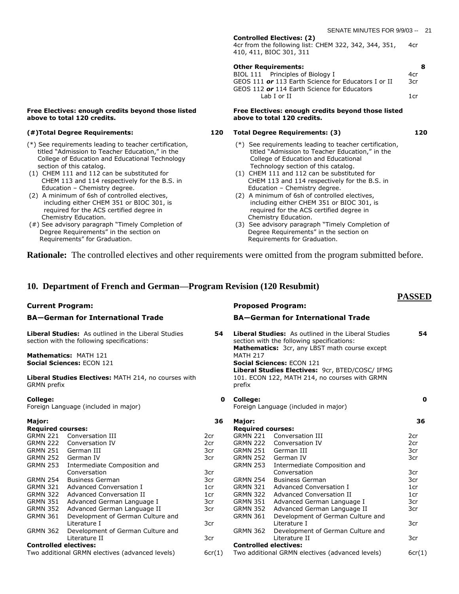### **Free Electives: enough credits beyond those listed above to total 120 credits.**

### **(#)Total Degree Requirements: 120 Total Degree Requirements: (3) 120**

- (\*) See requirements leading to teacher certification, titled "Admission to Teacher Education," in the College of Education and Educational Technology section of this catalog.
- (1) CHEM 111 and 112 can be substituted for CHEM 113 and 114 respectively for the B.S. in Education – Chemistry degree.
- (2) A minimum of 6sh of controlled electives, including either CHEM 351 or BIOC 301, is required for the ACS certified degree in Chemistry Education.
- (#) See advisory paragraph "Timely Completion of Degree Requirements" in the section on Requirements" for Graduation.

# **Controlled Electives: (2)**

4cr from the following list: CHEM 322, 342, 344, 351, 410, 411, BIOC 301, 311 4cr

## **Other Requirements:**

| BIOL 111 Principles of Biology I                    | 4cr  |
|-----------------------------------------------------|------|
| GEOS 111 or 113 Earth Science for Educators I or II | 3cr  |
| GEOS 112 or 114 Earth Science for Educators         |      |
| Lab I or II                                         | 1 cr |

 **Free Electives: enough credits beyond those listed above to total 120 credits.**

- 
- (\*) See requirements leading to teacher certification, titled "Admission to Teacher Education," in the College of Education and Educational Technology section of this catalog.
- (1) CHEM 111 and 112 can be substituted for CHEM 113 and 114 respectively for the B.S. in Education – Chemistry degree.
- (2) A minimum of 6sh of controlled electives, including either CHEM 351 or BIOC 301, is required for the ACS certified degree in Chemistry Education.
- (3) See advisory paragraph "Timely Completion of Degree Requirements" in the section on Requirements for Graduation.

**Rationale:** The controlled electives and other requirements were omitted from the program submitted before.

# **10. Department of French and German—Program Revision (120 Resubmit)**

|                                                                                                          |                                                      |        |                                      |                                                                                                                                                           | <b>PASSED</b>   |
|----------------------------------------------------------------------------------------------------------|------------------------------------------------------|--------|--------------------------------------|-----------------------------------------------------------------------------------------------------------------------------------------------------------|-----------------|
| <b>Current Program:</b>                                                                                  |                                                      |        | <b>Proposed Program:</b>             |                                                                                                                                                           |                 |
|                                                                                                          | <b>BA-German for International Trade</b>             |        |                                      | <b>BA-German for International Trade</b>                                                                                                                  |                 |
| <b>Liberal Studies:</b> As outlined in the Liberal Studies<br>section with the following specifications: |                                                      | 54     |                                      | <b>Liberal Studies:</b> As outlined in the Liberal Studies<br>section with the following specifications:<br>Mathematics: 3cr, any LBST math course except |                 |
|                                                                                                          | Mathematics: MATH 121                                |        | <b>MATH 217</b>                      |                                                                                                                                                           |                 |
|                                                                                                          | <b>Social Sciences: ECON 121</b>                     |        |                                      | Social Sciences: ECON 121                                                                                                                                 |                 |
|                                                                                                          | Liberal Studies Electives: MATH 214, no courses with |        |                                      | Liberal Studies Electives: 9cr, BTED/COSC/ IFMG<br>101. ECON 122, MATH 214, no courses with GRMN                                                          |                 |
| <b>GRMN</b> prefix                                                                                       |                                                      |        | prefix                               |                                                                                                                                                           |                 |
| <b>College:</b>                                                                                          |                                                      | 0      | <b>College:</b>                      |                                                                                                                                                           | $\mathbf 0$     |
| Foreign Language (included in major)                                                                     |                                                      |        | Foreign Language (included in major) |                                                                                                                                                           |                 |
| Major:                                                                                                   |                                                      | 36     | Major:                               |                                                                                                                                                           | 36              |
| <b>Required courses:</b>                                                                                 |                                                      |        | <b>Required courses:</b>             |                                                                                                                                                           |                 |
| <b>GRMN 221</b>                                                                                          | Conversation III                                     | 2cr    | <b>GRMN 221</b>                      | Conversation III                                                                                                                                          | 2cr             |
| GRMN 222                                                                                                 | Conversation IV                                      | 2cr    | GRMN 222                             | Conversation IV                                                                                                                                           | 2cr             |
| <b>GRMN 251</b>                                                                                          | German III                                           | 3cr    | <b>GRMN 251</b>                      | German III                                                                                                                                                | 3cr             |
| <b>GRMN 252</b>                                                                                          | German IV                                            | 3cr    | GRMN 252                             | German IV                                                                                                                                                 | 3cr             |
| <b>GRMN 253</b>                                                                                          | Intermediate Composition and                         |        | <b>GRMN 253</b>                      | Intermediate Composition and                                                                                                                              |                 |
|                                                                                                          | Conversation                                         | 3cr    |                                      | Conversation                                                                                                                                              | 3cr             |
| <b>GRMN 254</b>                                                                                          | <b>Business German</b>                               | 3cr    | <b>GRMN 254</b>                      | <b>Business German</b>                                                                                                                                    | 3cr             |
| <b>GRMN 321</b>                                                                                          | <b>Advanced Conversation I</b>                       | 1cr    | GRMN 321                             | <b>Advanced Conversation I</b>                                                                                                                            | 1cr             |
|                                                                                                          | GRMN 322 Advanced Conversation II                    | 1cr    | GRMN 322                             | <b>Advanced Conversation II</b>                                                                                                                           | 1 <sub>cr</sub> |
| GRMN 351                                                                                                 | Advanced German Language I                           | 3cr    | GRMN 351                             | Advanced German Language I                                                                                                                                | 3cr             |
| <b>GRMN 352</b>                                                                                          | Advanced German Language II                          | 3cr    | <b>GRMN 352</b>                      | Advanced German Language II                                                                                                                               | 3cr             |
| <b>GRMN 361</b>                                                                                          | Development of German Culture and                    |        | <b>GRMN 361</b>                      | Development of German Culture and                                                                                                                         |                 |
|                                                                                                          | Literature I                                         | 3cr    |                                      | Literature I                                                                                                                                              | 3cr             |
| <b>GRMN 362</b>                                                                                          | Development of German Culture and                    |        | <b>GRMN 362</b>                      | Development of German Culture and                                                                                                                         |                 |
|                                                                                                          | Literature II                                        | 3cr    |                                      | Literature II                                                                                                                                             | 3cr             |
| <b>Controlled electives:</b>                                                                             |                                                      |        | <b>Controlled electives:</b>         |                                                                                                                                                           |                 |
|                                                                                                          | Two additional GRMN electives (advanced levels)      | 6cr(1) |                                      | Two additional GRMN electives (advanced levels)                                                                                                           | 6cr(1)          |

**8**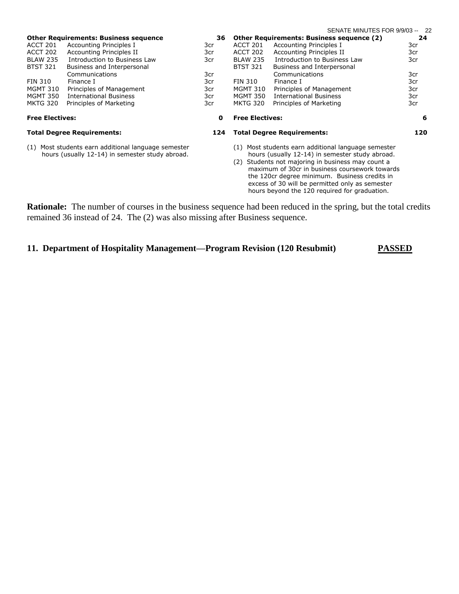|                                                                                                           |                                              |              |                        | SENATE MINUTES FOR 9/9/03 -- 22                                                                                                                                                                       |     |   |
|-----------------------------------------------------------------------------------------------------------|----------------------------------------------|--------------|------------------------|-------------------------------------------------------------------------------------------------------------------------------------------------------------------------------------------------------|-----|---|
|                                                                                                           | <b>Other Requirements: Business sequence</b> | 36           |                        | <b>Other Requirements: Business sequence (2)</b>                                                                                                                                                      | 24  |   |
| ACCT 201                                                                                                  | Accounting Principles I                      | 3cr          | ACCT 201               | Accounting Principles I                                                                                                                                                                               | 3cr |   |
| ACCT 202                                                                                                  | Accounting Principles II                     | 3cr.         | ACCT 202               | Accounting Principles II                                                                                                                                                                              | 3cr |   |
| <b>BLAW 235</b>                                                                                           | Introduction to Business Law                 | 3cr.         | <b>BLAW 235</b>        | Introduction to Business Law                                                                                                                                                                          | 3cr |   |
| <b>BTST 321</b>                                                                                           | Business and Interpersonal                   |              | <b>BTST 321</b>        | Business and Interpersonal                                                                                                                                                                            |     |   |
|                                                                                                           | Communications                               | 3cr          |                        | Communications                                                                                                                                                                                        | 3cr |   |
| <b>FIN 310</b>                                                                                            | Finance I                                    | 3cr          | <b>FIN 310</b>         | Finance I                                                                                                                                                                                             | 3cr |   |
| MGMT 310                                                                                                  | Principles of Management                     | 3cr          | MGMT 310               | Principles of Management                                                                                                                                                                              | 3cr |   |
| <b>MGMT 350</b>                                                                                           | <b>International Business</b>                | 3cr.         | <b>MGMT 350</b>        | <b>International Business</b>                                                                                                                                                                         | 3cr |   |
| <b>MKTG 320</b>                                                                                           | Principles of Marketing                      | 3cr.         | MKTG 320               | Principles of Marketing                                                                                                                                                                               | 3cr |   |
| <b>Free Electives:</b>                                                                                    |                                              | <sup>0</sup> | <b>Free Electives:</b> |                                                                                                                                                                                                       |     | 6 |
|                                                                                                           | <b>Total Degree Requirements:</b>            | 124          |                        | <b>Total Degree Requirements:</b>                                                                                                                                                                     | 120 |   |
| Most students earn additional language semester<br>(1)<br>hours (usually 12-14) in semester study abroad. |                                              |              | (1)<br>(2)             | Most students earn additional language semester<br>hours (usually 12-14) in semester study abroad.<br>Students not majoring in business may count a<br>maximum of 30cr in business coursework towards |     |   |
|                                                                                                           |                                              |              |                        | the 120cr degree minimum. Business credits in<br>excess of 30 will be permitted only as semester                                                                                                      |     |   |

**Rationale:** The number of courses in the business sequence had been reduced in the spring, but the total credits remained 36 instead of 24. The (2) was also missing after Business sequence.

hours beyond the 120 required for graduation.

# **11. Department of Hospitality Management—Program Revision (120 Resubmit) PASSED**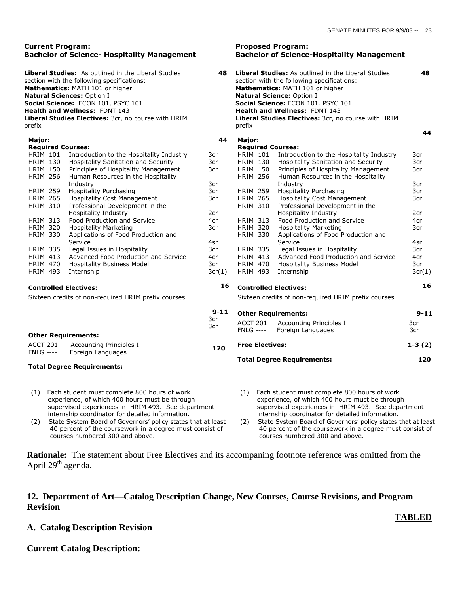**48**

 **44**

 **16**

3cr 3cr 3cr 3cr 3cr 3cr 2cr 4cr 3cr 4sr 3cr 4cr 3cr 3cr(1)

### **Current Program: Proposed Program: Bachelor of Science- Hospitality Management Bachelor of Science-Hospitality Management Liberal Studies:** As outlined in the Liberal Studies section with the following specifications:  **48 Liberal Studies:** As outlined in the Liberal Studies section with the following specifications: **Mathematics:** MATH 101 or higher **Mathematics: MATH 101 or higher Mathematics: MATH 101 or higher Natural Sciences:** Option I **Natural Science:** Option I **Social Science:** ECON 101, PSYC 101 **Social Science:** ECON 101. PSYC 101 **Health and Wellness:** FDNT 143 **Health and Wellness:** FDNT 143 **Liberal Studies Electives:** 3cr, no course with HRIM prefix **Liberal Studies Electives:** 3cr, no course with HRIM prefix **Major: Required Courses:** HRIM 101 Introduction to the Hospitality Industry HRIM 130 Hospitality Sanitation and Security HRIM 150 Principles of Hospitality Management HRIM 256 Human Resources in the Hospitality **Industry** HRIM 259 Hospitality Purchasing HRIM 265 Hospitality Cost Management HRIM 310 Professional Development in the Hospitality Industry HRIM 313 Food Production and Service HRIM 320 Hospitality Marketing HRIM 330 Applications of Food Production and Service HRIM 335 Legal Issues in Hospitality HRIM 413 Advanced Food Production and Service HRIM 470 Hospitality Business Model HRIM 493 Internship  **44** 3cr 3cr 3cr 3cr 3cr 3cr 2cr 4cr 3cr 4sr 3cr 4cr 3cr 3cr(1) **Major: Required Courses:** HRIM 101 Introduction to the Hospitality Industry HRIM 130 Hospitality Sanitation and Security HRIM 150 Principles of Hospitality Management HRIM 256 Human Resources in the Hospitality **Industry** HRIM 259 Hospitality Purchasing HRIM 265 Hospitality Cost Management HRIM 310 Professional Development in the Hospitality Industry HRIM 313 Food Production and Service HRIM 320 Hospitality Marketing HRIM 330 Applications of Food Production and Service HRIM 335 Legal Issues in Hospitality HRIM 413 Advanced Food Production and Service HRIM 470 Hospitality Business Model HRIM 493 Internship **Controlled Electives:** Sixteen credits of non-required HRIM prefix courses  **16 Controlled Electives:** Sixteen credits of non-required HRIM prefix courses **Other Requirements:** ACCT 201 Accounting Principles I FNLG ---- Foreign Languages **Total Degree Requirements: 9-11** 3cr 3cr  **120 Other Requirements: 9-11** ACCT 201 Accounting Principles I 3cr FNLG ---- Foreign Languages 3cr **Free Electives: 1-3 (2) Total Degree Requirements: 120**

- (1) Each student must complete 800 hours of work experience, of which 400 hours must be through supervised experiences in HRIM 493. See department internship coordinator for detailed information.
- (2) State System Board of Governors' policy states that at least 40 percent of the coursework in a degree must consist of courses numbered 300 and above.
- (1) Each student must complete 800 hours of work experience, of which 400 hours must be through supervised experiences in HRIM 493. See department internship coordinator for detailed information.

(2) State System Board of Governors' policy states that at least 40 percent of the coursework in a degree must consist of courses numbered 300 and above.

**Rationale:** The statement about Free Electives and its accompaning footnote reference was omitted from the April  $29<sup>th</sup>$  agenda.

# **12. Department of Art—Catalog Description Change, New Courses, Course Revisions, and Program Revision**

# **A. Catalog Description Revision**

**Current Catalog Description:**

# **TABLED**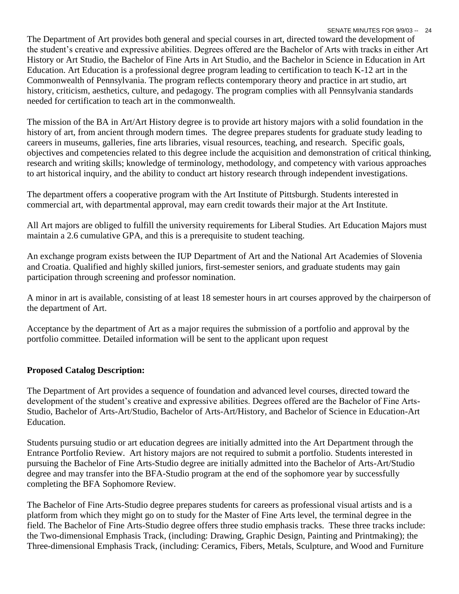The Department of Art provides both general and special courses in art, directed toward the development of the student's creative and expressive abilities. Degrees offered are the Bachelor of Arts with tracks in either Art History or Art Studio, the Bachelor of Fine Arts in Art Studio, and the Bachelor in Science in Education in Art Education. Art Education is a professional degree program leading to certification to teach K-12 art in the Commonwealth of Pennsylvania. The program reflects contemporary theory and practice in art studio, art history, criticism, aesthetics, culture, and pedagogy. The program complies with all Pennsylvania standards needed for certification to teach art in the commonwealth.

SENATE MINUTES FOR 9/9/03 -- 24

The mission of the BA in Art/Art History degree is to provide art history majors with a solid foundation in the history of art, from ancient through modern times. The degree prepares students for graduate study leading to careers in museums, galleries, fine arts libraries, visual resources, teaching, and research. Specific goals, objectives and competencies related to this degree include the acquisition and demonstration of critical thinking, research and writing skills; knowledge of terminology, methodology, and competency with various approaches to art historical inquiry, and the ability to conduct art history research through independent investigations.

The department offers a cooperative program with the Art Institute of Pittsburgh. Students interested in commercial art, with departmental approval, may earn credit towards their major at the Art Institute.

All Art majors are obliged to fulfill the university requirements for Liberal Studies. Art Education Majors must maintain a 2.6 cumulative GPA, and this is a prerequisite to student teaching.

An exchange program exists between the IUP Department of Art and the National Art Academies of Slovenia and Croatia. Qualified and highly skilled juniors, first-semester seniors, and graduate students may gain participation through screening and professor nomination.

A minor in art is available, consisting of at least 18 semester hours in art courses approved by the chairperson of the department of Art.

Acceptance by the department of Art as a major requires the submission of a portfolio and approval by the portfolio committee. Detailed information will be sent to the applicant upon request

# **Proposed Catalog Description:**

The Department of Art provides a sequence of foundation and advanced level courses, directed toward the development of the student's creative and expressive abilities. Degrees offered are the Bachelor of Fine Arts-Studio, Bachelor of Arts-Art/Studio, Bachelor of Arts-Art/History, and Bachelor of Science in Education-Art Education.

Students pursuing studio or art education degrees are initially admitted into the Art Department through the Entrance Portfolio Review. Art history majors are not required to submit a portfolio. Students interested in pursuing the Bachelor of Fine Arts-Studio degree are initially admitted into the Bachelor of Arts-Art/Studio degree and may transfer into the BFA-Studio program at the end of the sophomore year by successfully completing the BFA Sophomore Review.

The Bachelor of Fine Arts-Studio degree prepares students for careers as professional visual artists and is a platform from which they might go on to study for the Master of Fine Arts level, the terminal degree in the field. The Bachelor of Fine Arts-Studio degree offers three studio emphasis tracks. These three tracks include: the Two-dimensional Emphasis Track, (including: Drawing, Graphic Design, Painting and Printmaking); the Three-dimensional Emphasis Track, (including: Ceramics, Fibers, Metals, Sculpture, and Wood and Furniture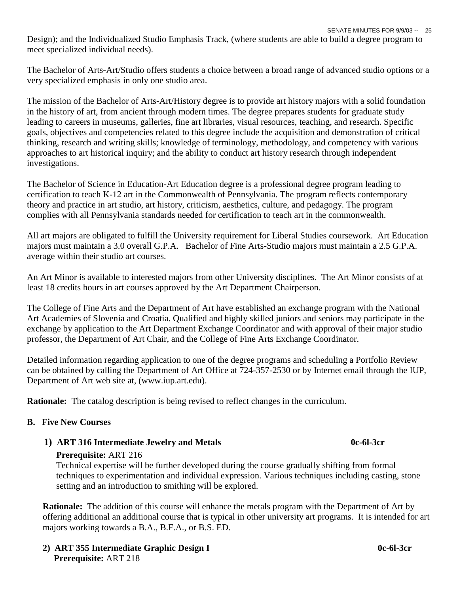Design); and the Individualized Studio Emphasis Track, (where students are able to build a degree program to meet specialized individual needs).

The Bachelor of Arts-Art/Studio offers students a choice between a broad range of advanced studio options or a very specialized emphasis in only one studio area.

The mission of the Bachelor of Arts-Art/History degree is to provide art history majors with a solid foundation in the history of art, from ancient through modern times. The degree prepares students for graduate study leading to careers in museums, galleries, fine art libraries, visual resources, teaching, and research. Specific goals, objectives and competencies related to this degree include the acquisition and demonstration of critical thinking, research and writing skills; knowledge of terminology, methodology, and competency with various approaches to art historical inquiry; and the ability to conduct art history research through independent investigations.

The Bachelor of Science in Education-Art Education degree is a professional degree program leading to certification to teach K-12 art in the Commonwealth of Pennsylvania. The program reflects contemporary theory and practice in art studio, art history, criticism, aesthetics, culture, and pedagogy. The program complies with all Pennsylvania standards needed for certification to teach art in the commonwealth.

All art majors are obligated to fulfill the University requirement for Liberal Studies coursework. Art Education majors must maintain a 3.0 overall G.P.A. Bachelor of Fine Arts-Studio majors must maintain a 2.5 G.P.A. average within their studio art courses.

An Art Minor is available to interested majors from other University disciplines. The Art Minor consists of at least 18 credits hours in art courses approved by the Art Department Chairperson.

The College of Fine Arts and the Department of Art have established an exchange program with the National Art Academies of Slovenia and Croatia. Qualified and highly skilled juniors and seniors may participate in the exchange by application to the Art Department Exchange Coordinator and with approval of their major studio professor, the Department of Art Chair, and the College of Fine Arts Exchange Coordinator.

Detailed information regarding application to one of the degree programs and scheduling a Portfolio Review can be obtained by calling the Department of Art Office at 724-357-2530 or by Internet email through the IUP, Department of Art web site at, (www.iup.art.edu).

**Rationale:** The catalog description is being revised to reflect changes in the curriculum.

# **B. Five New Courses**

# **1) ART 316 Intermediate Jewelry and Metals 0c-6l-3cr**

# **Prerequisite:** ART 216

 Technical expertise will be further developed during the course gradually shifting from formal techniques to experimentation and individual expression. Various techniques including casting, stone setting and an introduction to smithing will be explored.

 **Rationale:** The addition of this course will enhance the metals program with the Department of Art by offering additional an additional course that is typical in other university art programs. It is intended for art majors working towards a B.A., B.F.A., or B.S. ED.

 **2) ART 355 Intermediate Graphic Design I 0c-6l-3cr Prerequisite:** ART 218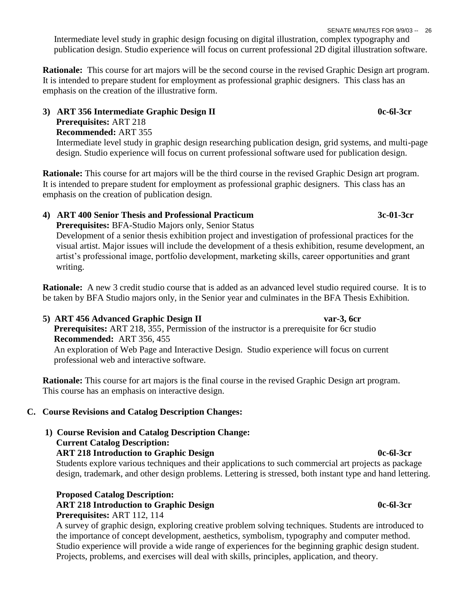Intermediate level study in graphic design focusing on digital illustration, complex typography and publication design. Studio experience will focus on current professional 2D digital illustration software.

 **Rationale:** This course for art majors will be the second course in the revised Graphic Design art program. It is intended to prepare student for employment as professional graphic designers. This class has an emphasis on the creation of the illustrative form.

 **3) ART 356 Intermediate Graphic Design II 0c-6l-3cr Prerequisites:** ART 218  **Recommended:** ART 355 Intermediate level study in graphic design researching publication design, grid systems, and multi-page design. Studio experience will focus on current professional software used for publication design.

 **Rationale:** This course for art majors will be the third course in the revised Graphic Design art program. It is intended to prepare student for employment as professional graphic designers. This class has an emphasis on the creation of publication design.

# **4) ART 400 Senior Thesis and Professional Practicum 3c-01-3cr**

 **Prerequisites:** BFA-Studio Majors only, Senior Status Development of a senior thesis exhibition project and investigation of professional practices for the visual artist. Major issues will include the development of a thesis exhibition, resume development, an artist's professional image, portfolio development, marketing skills, career opportunities and grant writing.

**Rationale:** A new 3 credit studio course that is added as an advanced level studio required course. It is to be taken by BFA Studio majors only, in the Senior year and culminates in the BFA Thesis Exhibition.

 **5) ART 456 Advanced Graphic Design II var-3, 6cr**

 **Prerequisites:** ART 218, 355, Permission of the instructor is a prerequisite for 6cr studio  **Recommended:** ART 356, 455 An exploration of Web Page and Interactive Design. Studio experience will focus on current

professional web and interactive software.

 **Rationale:** This course for art majors is the final course in the revised Graphic Design art program. This course has an emphasis on interactive design.

# **C. Course Revisions and Catalog Description Changes:**

 **1) Course Revision and Catalog Description Change: Current Catalog Description: ART 218 Introduction to Graphic Design 0c-6l-3cr**

Students explore various techniques and their applications to such commercial art projects as package design, trademark, and other design problems. Lettering is stressed, both instant type and hand lettering.

# **Proposed Catalog Description: ART 218 Introduction to Graphic Design 0c-6l-3cr Prerequisites:** ART 112, 114

 A survey of graphic design, exploring creative problem solving techniques. Students are introduced to the importance of concept development, aesthetics, symbolism, typography and computer method. Studio experience will provide a wide range of experiences for the beginning graphic design student. Projects, problems, and exercises will deal with skills, principles, application, and theory.

SENATE MINUTES FOR 9/9/03 -- 26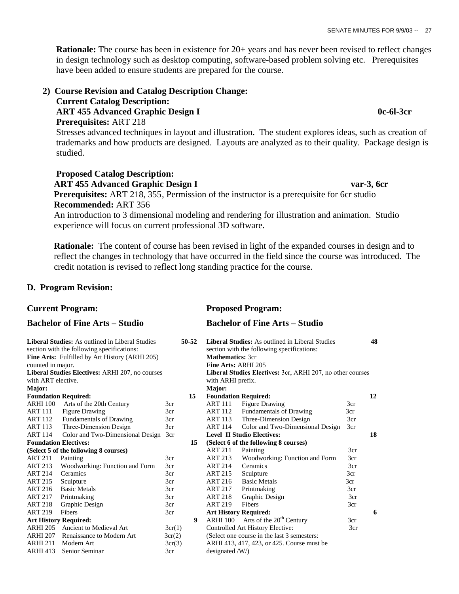**Rationale:** The course has been in existence for 20+ years and has never been revised to reflect changes in design technology such as desktop computing, software-based problem solving etc. Prerequisites have been added to ensure students are prepared for the course.

# **2) Course Revision and Catalog Description Change:**

 **Current Catalog Description: ART 455 Advanced Graphic Design I 0c-6l-3cr Prerequisites:** ART 218

Stresses advanced techniques in layout and illustration. The student explores ideas, such as creation of trademarks and how products are designed. Layouts are analyzed as to their quality. Package design is studied.

 **Proposed Catalog Description: ART 455 Advanced Graphic Design I var-3, 6cr Prerequisites:** ART 218, 355, Permission of the instructor is a prerequisite for 6cr studio  **Recommended:** ART 356

 An introduction to 3 dimensional modeling and rendering for illustration and animation. Studio experience will focus on current professional 3D software.

**Rationale:** The content of course has been revised in light of the expanded courses in design and to reflect the changes in technology that have occurred in the field since the course was introduced. The credit notation is revised to reflect long standing practice for the course.

# **D. Program Revision:**

# **Current Program: Proposed Program:**

## **Bachelor of Fine Arts – Studio Bachelor of Fine Arts – Studio**

**Liberal Studies:** As outlined in Liberal Studies section with the following specifications: **Fine Arts:** Fulfilled by Art History (ARHI 205) counted in major. **Liberal Studies Electives:** ARHI 207, no courses with ART elective. **Major: Foundation Required:** ARHI 100 Arts of the 20th Century 3cr ART 111 Figure Drawing 3cr ART 112 Fundamentals of Drawing 3cr ART 113 Three-Dimension Design 3cr ART 114 Color and Two-Dimensional Design 3cr **Foundation Electives: (Select 5 of the following 8 courses)** ART 211 Painting 3cr ART 213 Woodworking: Function and Form 3cr ART 214 Ceramics 3cr ART 215 Sculpture 3cr ART 216 Basic Metals 3cr ART 217 Printmaking 3cr ART 218 Graphic Design 3cr ART 219 Fibers 3cr **Art History Required:** ARHI 205 Ancient to Medieval Art 3cr(1) ARHI 207 Renaissance to Modern Art  $3cr(2)$ ARHI 211 Modern Art 3cr(3)

ARHI 413 Senior Seminar 3cr

| 50-52            |                                            | <b>Liberal Studies:</b> As outlined in Liberal Studies     |     | 48 |  |  |  |
|------------------|--------------------------------------------|------------------------------------------------------------|-----|----|--|--|--|
|                  | section with the following specifications: |                                                            |     |    |  |  |  |
|                  | Mathematics: 3cr                           |                                                            |     |    |  |  |  |
|                  | Fine Arts: ARHI 205                        |                                                            |     |    |  |  |  |
|                  |                                            | Liberal Studies Electives: 3cr, ARHI 207, no other courses |     |    |  |  |  |
|                  | with ARHI prefix.                          |                                                            |     |    |  |  |  |
|                  | Major:                                     |                                                            |     |    |  |  |  |
| 15               |                                            | <b>Foundation Required:</b>                                |     | 12 |  |  |  |
|                  | <b>ART 111</b>                             | <b>Figure Drawing</b>                                      | 3cr |    |  |  |  |
|                  | ART 112                                    | <b>Fundamentals of Drawing</b>                             | 3cr |    |  |  |  |
|                  |                                            | ART 113 Three-Dimension Design                             | 3cr |    |  |  |  |
|                  | ART 114                                    | Color and Two-Dimensional Design                           | 3cr |    |  |  |  |
|                  |                                            | <b>Level II Studio Electives:</b>                          |     | 18 |  |  |  |
| 15               |                                            | (Select 6 of the following 8 courses)                      |     |    |  |  |  |
|                  | <b>ART 211</b>                             | Painting                                                   | 3cr |    |  |  |  |
|                  | <b>ART 213</b>                             | Woodworking: Function and Form                             | 3cr |    |  |  |  |
|                  | <b>ART 214</b>                             | Ceramics                                                   | 3cr |    |  |  |  |
|                  | ART 215                                    | Sculpture                                                  | 3cr |    |  |  |  |
|                  | ART 216                                    | <b>Basic Metals</b>                                        | 3cr |    |  |  |  |
|                  | ART 217                                    | Printmaking                                                | 3cr |    |  |  |  |
|                  | <b>ART 218</b>                             | Graphic Design                                             | 3cr |    |  |  |  |
|                  | <b>ART 219</b>                             | Fibers                                                     | 3cr |    |  |  |  |
|                  |                                            | <b>Art History Required:</b>                               |     | 6  |  |  |  |
| $\boldsymbol{9}$ | ARHI 100                                   | Arts of the 20 <sup>th</sup> Century                       | 3cr |    |  |  |  |
|                  |                                            | Controlled Art History Elective:                           | 3cr |    |  |  |  |
|                  |                                            | (Select one course in the last 3 semesters:                |     |    |  |  |  |
|                  |                                            | ARHI 413, 417, 423, or 425. Course must be                 |     |    |  |  |  |
|                  | designated $/W$ )                          |                                                            |     |    |  |  |  |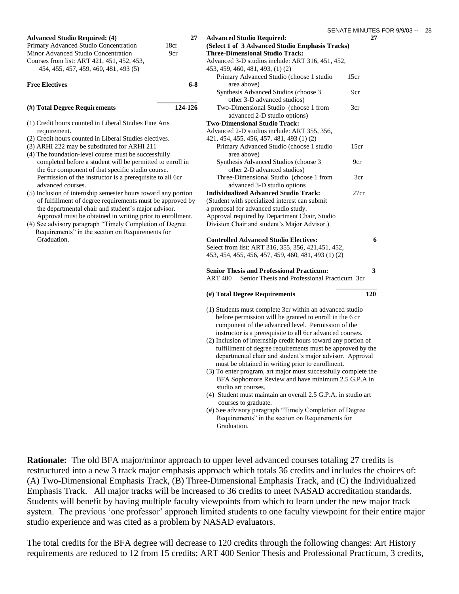FOR 9/9/03 -- 28

|                                                                                                             |                 |         |                                                                                                                                                                                                                                                                                                                                                                                                                                                                                                                                                                                                                                                                                                                                | <b>SENATE MINUTES</b> |
|-------------------------------------------------------------------------------------------------------------|-----------------|---------|--------------------------------------------------------------------------------------------------------------------------------------------------------------------------------------------------------------------------------------------------------------------------------------------------------------------------------------------------------------------------------------------------------------------------------------------------------------------------------------------------------------------------------------------------------------------------------------------------------------------------------------------------------------------------------------------------------------------------------|-----------------------|
| <b>Advanced Studio Required: (4)</b>                                                                        |                 | 27      | <b>Advanced Studio Required:</b>                                                                                                                                                                                                                                                                                                                                                                                                                                                                                                                                                                                                                                                                                               | 27                    |
| Primary Advanced Studio Concentration                                                                       | 18cr            |         | (Select 1 of 3 Advanced Studio Emphasis Tracks)                                                                                                                                                                                                                                                                                                                                                                                                                                                                                                                                                                                                                                                                                |                       |
| Minor Advanced Studio Concentration                                                                         | 9 <sub>cr</sub> |         | <b>Three-Dimensional Studio Track:</b>                                                                                                                                                                                                                                                                                                                                                                                                                                                                                                                                                                                                                                                                                         |                       |
| Courses from list: ART 421, 451, 452, 453,                                                                  |                 |         | Advanced 3-D studios include: ART 316, 451, 452,                                                                                                                                                                                                                                                                                                                                                                                                                                                                                                                                                                                                                                                                               |                       |
| 454, 455, 457, 459, 460, 481, 493 (5)                                                                       |                 |         | 453, 459, 460, 481, 493, (1) (2)                                                                                                                                                                                                                                                                                                                                                                                                                                                                                                                                                                                                                                                                                               |                       |
|                                                                                                             |                 |         | Primary Advanced Studio (choose 1 studio                                                                                                                                                                                                                                                                                                                                                                                                                                                                                                                                                                                                                                                                                       | 15cr                  |
| <b>Free Electives</b>                                                                                       |                 | $6 - 8$ | area above)                                                                                                                                                                                                                                                                                                                                                                                                                                                                                                                                                                                                                                                                                                                    |                       |
|                                                                                                             |                 |         | Synthesis Advanced Studios (choose 3<br>other 3-D advanced studios)                                                                                                                                                                                                                                                                                                                                                                                                                                                                                                                                                                                                                                                            | 9 <sub>cr</sub>       |
| (#) Total Degree Requirements                                                                               |                 | 124-126 | Two-Dimensional Studio (choose 1 from<br>advanced 2-D studio options)                                                                                                                                                                                                                                                                                                                                                                                                                                                                                                                                                                                                                                                          | 3cr                   |
| (1) Credit hours counted in Liberal Studies Fine Arts                                                       |                 |         | <b>Two-Dimensional Studio Track:</b>                                                                                                                                                                                                                                                                                                                                                                                                                                                                                                                                                                                                                                                                                           |                       |
| requirement.                                                                                                |                 |         | Advanced 2-D studios include: ART 355, 356,                                                                                                                                                                                                                                                                                                                                                                                                                                                                                                                                                                                                                                                                                    |                       |
| (2) Credit hours counted in Liberal Studies electives.                                                      |                 |         | 421, 454, 455, 456, 457, 481, 493 (1) (2)                                                                                                                                                                                                                                                                                                                                                                                                                                                                                                                                                                                                                                                                                      |                       |
| (3) ARHI 222 may be substituted for ARHI 211<br>(4) The foundation-level course must be successfully        |                 |         | Primary Advanced Studio (choose 1 studio<br>area above)                                                                                                                                                                                                                                                                                                                                                                                                                                                                                                                                                                                                                                                                        | 15cr                  |
| completed before a student will be permitted to enroll in                                                   |                 |         | Synthesis Advanced Studios (choose 3                                                                                                                                                                                                                                                                                                                                                                                                                                                                                                                                                                                                                                                                                           | 9 <sub>cr</sub>       |
| the 6cr component of that specific studio course.                                                           |                 |         | other 2-D advanced studios)                                                                                                                                                                                                                                                                                                                                                                                                                                                                                                                                                                                                                                                                                                    |                       |
| Permission of the instructor is a prerequisite to all 6cr                                                   |                 |         | Three-Dimensional Studio (choose 1 from                                                                                                                                                                                                                                                                                                                                                                                                                                                                                                                                                                                                                                                                                        | 3cr                   |
| advanced courses.                                                                                           |                 |         | advanced 3-D studio options                                                                                                                                                                                                                                                                                                                                                                                                                                                                                                                                                                                                                                                                                                    |                       |
| (5) Inclusion of internship semester hours toward any portion                                               |                 |         | <b>Individualized Advanced Studio Track:</b>                                                                                                                                                                                                                                                                                                                                                                                                                                                                                                                                                                                                                                                                                   | 27cr                  |
| of fulfillment of degree requirements must be approved by                                                   |                 |         | (Student with specialized interest can submit                                                                                                                                                                                                                                                                                                                                                                                                                                                                                                                                                                                                                                                                                  |                       |
| the departmental chair and student's major advisor.                                                         |                 |         | a proposal for advanced studio study.                                                                                                                                                                                                                                                                                                                                                                                                                                                                                                                                                                                                                                                                                          |                       |
| Approval must be obtained in writing prior to enrollment.                                                   |                 |         | Approval required by Department Chair, Studio                                                                                                                                                                                                                                                                                                                                                                                                                                                                                                                                                                                                                                                                                  |                       |
| (#) See advisory paragraph "Timely Completion of Degree<br>Requirements" in the section on Requirements for |                 |         | Division Chair and student's Major Advisor.)                                                                                                                                                                                                                                                                                                                                                                                                                                                                                                                                                                                                                                                                                   |                       |
| Graduation.                                                                                                 |                 |         | <b>Controlled Advanced Studio Electives:</b>                                                                                                                                                                                                                                                                                                                                                                                                                                                                                                                                                                                                                                                                                   | 6                     |
|                                                                                                             |                 |         | Select from list: ART 316, 355, 356, 421, 451, 452,                                                                                                                                                                                                                                                                                                                                                                                                                                                                                                                                                                                                                                                                            |                       |
|                                                                                                             |                 |         | 453, 454, 455, 456, 457, 459, 460, 481, 493 (1) (2)                                                                                                                                                                                                                                                                                                                                                                                                                                                                                                                                                                                                                                                                            |                       |
|                                                                                                             |                 |         | <b>Senior Thesis and Professional Practicum:</b><br>Senior Thesis and Professional Practicum 3cr<br><b>ART400</b>                                                                                                                                                                                                                                                                                                                                                                                                                                                                                                                                                                                                              | 3                     |
|                                                                                                             |                 |         | (#) Total Degree Requirements                                                                                                                                                                                                                                                                                                                                                                                                                                                                                                                                                                                                                                                                                                  | <b>120</b>            |
|                                                                                                             |                 |         | (1) Students must complete 3cr within an advanced studio<br>before permission will be granted to enroll in the 6 cr<br>component of the advanced level. Permission of the<br>instructor is a prerequisite to all 6cr advanced courses.<br>(2) Inclusion of internship credit hours toward any portion of<br>fulfillment of degree requirements must be approved by the<br>departmental chair and student's major advisor. Approval<br>must be obtained in writing prior to enrollment.<br>(3) To enter program, art major must successfully complete the<br>BFA Sophomore Review and have minimum 2.5 G.P.A in<br>studio art courses.<br>(4) Student must maintain an overall 2.5 G.P.A. in studio art<br>courses to graduate. |                       |

(#) See advisory paragraph "Timely Completion of Degree Requirements" in the section on Requirements for Graduation.

**Rationale:** The old BFA major/minor approach to upper level advanced courses totaling 27 credits is restructured into a new 3 track major emphasis approach which totals 36 credits and includes the choices of: (A) Two-Dimensional Emphasis Track, (B) Three-Dimensional Emphasis Track, and (C) the Individualized Emphasis Track. All major tracks will be increased to 36 credits to meet NASAD accreditation standards. Students will benefit by having multiple faculty viewpoints from which to learn under the new major track system. The previous 'one professor' approach limited students to one faculty viewpoint for their entire major studio experience and was cited as a problem by NASAD evaluators.

The total credits for the BFA degree will decrease to 120 credits through the following changes: Art History requirements are reduced to 12 from 15 credits; ART 400 Senior Thesis and Professional Practicum, 3 credits,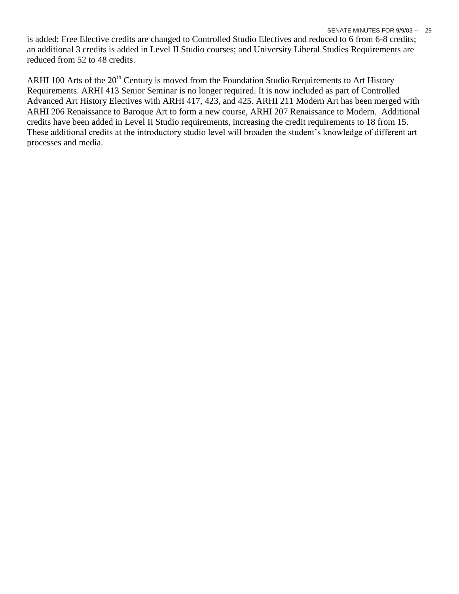is added; Free Elective credits are changed to Controlled Studio Electives and reduced to 6 from 6-8 credits; an additional 3 credits is added in Level II Studio courses; and University Liberal Studies Requirements are reduced from 52 to 48 credits.

ARHI 100 Arts of the 20<sup>th</sup> Century is moved from the Foundation Studio Requirements to Art History Requirements. ARHI 413 Senior Seminar is no longer required. It is now included as part of Controlled Advanced Art History Electives with ARHI 417, 423, and 425. ARHI 211 Modern Art has been merged with ARHI 206 Renaissance to Baroque Art to form a new course, ARHI 207 Renaissance to Modern. Additional credits have been added in Level II Studio requirements, increasing the credit requirements to 18 from 15. These additional credits at the introductory studio level will broaden the student's knowledge of different art processes and media.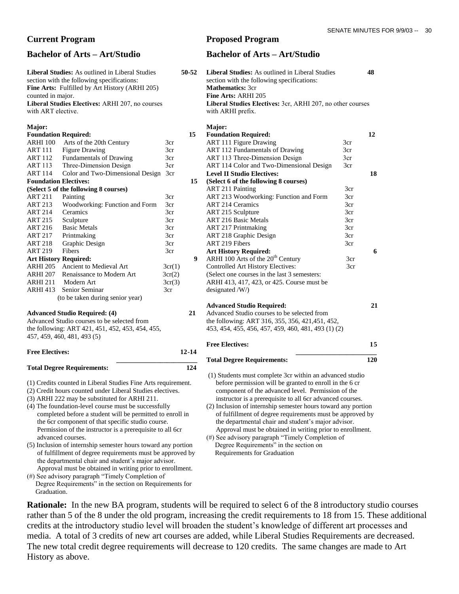**Liberal Studies:** As outlined in Liberal Studies **50-52** section with the following specifications: **Fine Arts:** Fulfilled by Art History (ARHI 205) counted in major. **Liberal Studies Electives:** ARHI 207, no courses with ART elective. **Major: Foundation Required: 15**  ARHI 100 Arts of the 20th Century 3cr ART 111 Figure Drawing 3cr ART 112 Fundamentals of Drawing 3cr<br>ART 113 Three-Dimension Design 3cr Three-Dimension Design 3cr ART 114 Color and Two-Dimensional Design 3cr **Foundation Electives:** 15 **(Select 5 of the following 8 courses)**

| <b>ART 211</b>  | Painting                         | 3cr    |   |
|-----------------|----------------------------------|--------|---|
| <b>ART 213</b>  | Woodworking: Function and Form   | 3cr    |   |
| <b>ART 214</b>  | Ceramics                         | 3cr    |   |
| <b>ART 215</b>  | Sculpture                        | 3cr    |   |
| <b>ART 216</b>  | <b>Basic Metals</b>              | 3cr    |   |
| <b>ART 217</b>  | Printmaking                      | 3cr    |   |
| <b>ART 218</b>  | Graphic Design                   | 3cr    |   |
| <b>ART 219</b>  | Fibers                           | 3cr    |   |
|                 | <b>Art History Required:</b>     |        | 9 |
| <b>ARHI 205</b> | Ancient to Medieval Art          | 3cr(1) |   |
| <b>ARHI 207</b> | Renaissance to Modern Art        | 3cr(2) |   |
| <b>ARHI 211</b> | Modern Art                       | 3cr(3) |   |
| ARHI 413        | Senior Seminar                   | 3cr    |   |
|                 | (to be taken during senior year) |        |   |

### **Advanced Studio Required: (4) 21**

Advanced Studio courses to be selected from the following: ART 421, 451, 452, 453, 454, 455, 457, 459, 460, 481, 493 (5)

| <b>Free Electives:</b> | $12 - 14$ |
|------------------------|-----------|
|                        |           |

### **Total Degree Requirements: 124**

- (1) Credits counted in Liberal Studies Fine Arts requirement.
- (2) Credit hours counted under Liberal Studies electives.
- (3) ARHI 222 may be substituted for ARHI 211.
- (4) The foundation-level course must be successfully completed before a student will be permitted to enroll in the 6cr component of that specific studio course. Permission of the instructor is a prerequisite to all 6cr advanced courses.
- (5) Inclusion of internship semester hours toward any portion of fulfillment of degree requirements must be approved by the departmental chair and student's major advisor. Approval must be obtained in writing prior to enrollment.
- $(\#)$  See advisory paragraph "Timely Completion of Degree Requirements" in the section on Requirements for Graduation.

# **Current Program Proposed Program**

# **Bachelor of Arts – Art/Studio Bachelor of Arts – Art/Studio**

| <b>Liberal Studies:</b> As outlined in Liberal Studies<br>section with the following specifications:<br><b>Mathematics: 3cr</b><br>Fine Arts: ARHI 205<br>Liberal Studies Electives: 3cr, ARHI 207, no other courses<br>with ARHI prefix.                                                                                                                                                                                                                                         |                                                                                       | 48       |
|-----------------------------------------------------------------------------------------------------------------------------------------------------------------------------------------------------------------------------------------------------------------------------------------------------------------------------------------------------------------------------------------------------------------------------------------------------------------------------------|---------------------------------------------------------------------------------------|----------|
| Major:<br><b>Foundation Required:</b><br>ART 111 Figure Drawing<br><b>ART 112 Fundamentals of Drawing</b><br>ART 113 Three-Dimension Design<br>ART 114 Color and Two-Dimensional Design<br><b>Level II Studio Electives:</b><br>(Select 6 of the following 8 courses)<br><b>ART 211 Painting</b><br>ART 213 Woodworking: Function and Form<br><b>ART 214 Ceramics</b><br>ART 215 Sculpture<br><b>ART 216 Basic Metals</b><br><b>ART 217 Printmaking</b><br>ART 218 Graphic Design | 3cr<br>3cr<br>3 <sub>cr</sub><br>3cr<br>3cr<br>3cr<br>3cr<br>3cr<br>3cr<br>3cr<br>3cr | 12<br>18 |
| <b>ART 219 Fibers</b><br><b>Art History Required:</b><br>ARHI 100 Arts of the 20 <sup>th</sup> Century<br>Controlled Art History Electives:<br>(Select one courses in the last 3 semesters:<br>ARHI 413, 417, 423, or 425. Course must be<br>designated /W/)                                                                                                                                                                                                                      | 3cr<br>3cr<br>3cr                                                                     | 6        |
| <b>Advanced Studio Required:</b><br>Advanced Studio courses to be selected from<br>the following: ART 316, 355, 356, 421, 451, 452,<br>453, 454, 455, 456, 457, 459, 460, 481, 493 (1) (2)                                                                                                                                                                                                                                                                                        |                                                                                       | 21       |
| <b>Free Electives:</b>                                                                                                                                                                                                                                                                                                                                                                                                                                                            |                                                                                       | 15       |
| <b>Total Degree Requirements:</b>                                                                                                                                                                                                                                                                                                                                                                                                                                                 |                                                                                       | 120      |
| (1) Students must complete 3cr within an advanced studio<br>before permission will be granted to enroll in the 6 cr<br>component of the advanced level. Permission of the<br>instructor is a prerequisite to all 6cr advanced courses.<br>(2) Inclusion of internship semester hours toward any portion<br>of fulfillment of degree requirements must be approved by                                                                                                              |                                                                                       |          |

the departmental chair and student's major advisor. Approval must be obtained in writing prior to enrollment.  $(\#)$  See advisory paragraph "Timely Completion of

Degree Requirements" in the section on Requirements for Graduation

**Rationale:** In the new BA program, students will be required to select 6 of the 8 introductory studio courses rather than 5 of the 8 under the old program, increasing the credit requirements to 18 from 15. These additional credits at the introductory studio level will broaden the student's knowledge of different art processes and media. A total of 3 credits of new art courses are added, while Liberal Studies Requirements are decreased. The new total credit degree requirements will decrease to 120 credits. The same changes are made to Art History as above.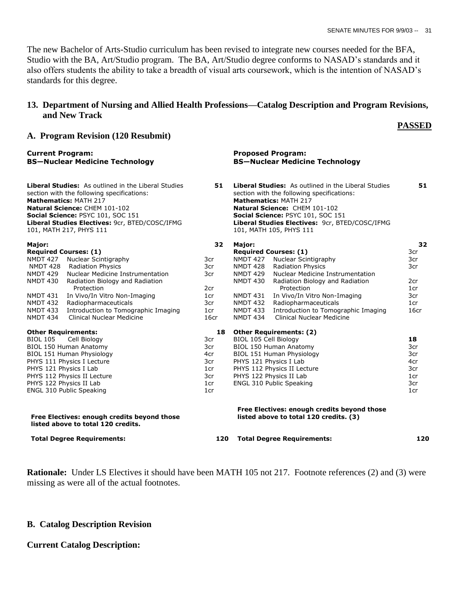**PASSED**

The new Bachelor of Arts-Studio curriculum has been revised to integrate new courses needed for the BFA, Studio with the BA, Art/Studio program. The BA, Art/Studio degree conforms to NASAD's standards and it also offers students the ability to take a breadth of visual arts coursework, which is the intention of NASAD's standards for this degree.

# **13. Department of Nursing and Allied Health Professions—Catalog Description and Program Revisions, and New Track**

## **A. Program Revision (120 Resubmit)**

| <b>Current Program:</b> | <b>BS-Nuclear Medicine Technology</b>                                                                                                                                                                                                                                                |      |                        | <b>Proposed Program:</b><br><b>BS-Nuclear Medicine Technology</b>                                                                                                                                                                                                                    |      |
|-------------------------|--------------------------------------------------------------------------------------------------------------------------------------------------------------------------------------------------------------------------------------------------------------------------------------|------|------------------------|--------------------------------------------------------------------------------------------------------------------------------------------------------------------------------------------------------------------------------------------------------------------------------------|------|
|                         | <b>Liberal Studies:</b> As outlined in the Liberal Studies<br>section with the following specifications:<br>Mathematics: MATH 217<br>Natural Science: CHEM 101-102<br>Social Science: PSYC 101, SOC 151<br>Liberal Studies Electives: 9cr, BTED/COSC/IFMG<br>101, MATH 217, PHYS 111 | 51   |                        | <b>Liberal Studies:</b> As outlined in the Liberal Studies<br>section with the following specifications:<br>Mathematics: MATH 217<br>Natural Science: CHEM 101-102<br>Social Science: PSYC 101, SOC 151<br>Liberal Studies Electives: 9cr, BTED/COSC/IFMG<br>101, MATH 105, PHYS 111 | 51   |
| Major:                  |                                                                                                                                                                                                                                                                                      | 32   | Major:                 |                                                                                                                                                                                                                                                                                      | 32   |
|                         | <b>Required Courses: (1)</b>                                                                                                                                                                                                                                                         |      |                        | <b>Required Courses: (1)</b>                                                                                                                                                                                                                                                         | 3cr  |
|                         | NMDT 427 Nuclear Scintigraphy                                                                                                                                                                                                                                                        | 3cr  | NMDT 427               | Nuclear Scintigraphy                                                                                                                                                                                                                                                                 | 3cr  |
|                         | NMDT 428 Radiation Physics                                                                                                                                                                                                                                                           | 3cr  | NMDT 428               | <b>Radiation Physics</b>                                                                                                                                                                                                                                                             | 3cr  |
|                         | NMDT 429 Nuclear Medicine Instrumentation                                                                                                                                                                                                                                            | 3cr  | NMDT 429               | Nuclear Medicine Instrumentation                                                                                                                                                                                                                                                     |      |
| NMDT 430                | Radiation Biology and Radiation                                                                                                                                                                                                                                                      |      | <b>NMDT 430</b>        | Radiation Biology and Radiation                                                                                                                                                                                                                                                      | 2cr  |
|                         | Protection                                                                                                                                                                                                                                                                           | 2cr  |                        | Protection                                                                                                                                                                                                                                                                           | 1cr  |
| <b>NMDT 431</b>         | In Vivo/In Vitro Non-Imaging                                                                                                                                                                                                                                                         | 1cr  | NMDT 431               | In Vivo/In Vitro Non-Imaging                                                                                                                                                                                                                                                         | 3cr  |
| <b>NMDT 432</b>         | Radiopharmaceuticals                                                                                                                                                                                                                                                                 | 3cr  | <b>NMDT 432</b>        | Radiopharmaceuticals                                                                                                                                                                                                                                                                 | 1cr  |
| <b>NMDT 433</b>         | Introduction to Tomographic Imaging                                                                                                                                                                                                                                                  | 1cr  | <b>NMDT 433</b>        | Introduction to Tomographic Imaging                                                                                                                                                                                                                                                  | 16cr |
| <b>NMDT 434</b>         | Clinical Nuclear Medicine                                                                                                                                                                                                                                                            | 16cr | <b>NMDT 434</b>        | Clinical Nuclear Medicine                                                                                                                                                                                                                                                            |      |
|                         | <b>Other Requirements:</b>                                                                                                                                                                                                                                                           | 18   |                        | <b>Other Requirements: (2)</b>                                                                                                                                                                                                                                                       |      |
| <b>BIOL 105</b>         | Cell Biology                                                                                                                                                                                                                                                                         | 3cr  | BIOL 105 Cell Biology  |                                                                                                                                                                                                                                                                                      | 18   |
|                         | BIOL 150 Human Anatomy                                                                                                                                                                                                                                                               | 3cr  |                        | BIOL 150 Human Anatomy                                                                                                                                                                                                                                                               | 3cr  |
|                         | BIOL 151 Human Physiology                                                                                                                                                                                                                                                            | 4cr  |                        | BIOL 151 Human Physiology                                                                                                                                                                                                                                                            | 3cr  |
|                         | PHYS 111 Physics I Lecture                                                                                                                                                                                                                                                           | 3cr  | PHYS 121 Physics I Lab |                                                                                                                                                                                                                                                                                      | 4cr  |
|                         | PHYS 121 Physics I Lab                                                                                                                                                                                                                                                               | 1cr  |                        | PHYS 112 Physics II Lecture                                                                                                                                                                                                                                                          | 3cr  |
|                         | PHYS 112 Physics II Lecture                                                                                                                                                                                                                                                          | 3cr  |                        | PHYS 122 Physics II Lab                                                                                                                                                                                                                                                              | 1cr  |
|                         | PHYS 122 Physics II Lab                                                                                                                                                                                                                                                              | 1cr  |                        | ENGL 310 Public Speaking                                                                                                                                                                                                                                                             | 3cr  |
|                         | ENGL 310 Public Speaking                                                                                                                                                                                                                                                             | 1cr  |                        |                                                                                                                                                                                                                                                                                      | 1cr  |
|                         | Free Electives: enough credits beyond those<br>listed above to total 120 credits.                                                                                                                                                                                                    |      |                        | Free Electives: enough credits beyond those<br>listed above to total 120 credits. (3)                                                                                                                                                                                                |      |

**Total Degree Requirements: 120 Total Degree Requirements: 120**

**Rationale:** Under LS Electives it should have been MATH 105 not 217. Footnote references (2) and (3) were missing as were all of the actual footnotes.

# **B. Catalog Description Revision**

# **Current Catalog Description:**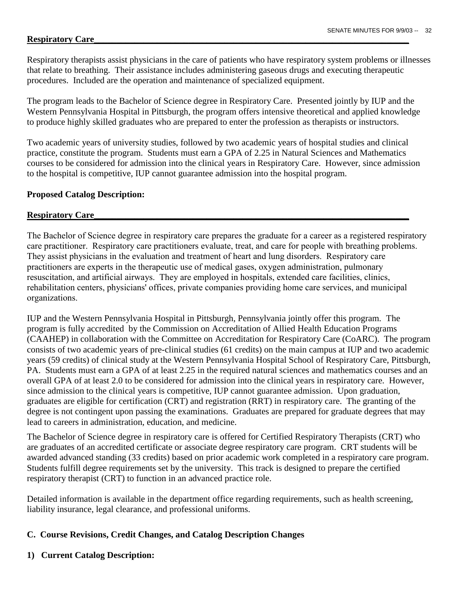# Respiratory Care

Respiratory therapists assist physicians in the care of patients who have respiratory system problems or illnesses that relate to breathing. Their assistance includes administering gaseous drugs and executing therapeutic procedures. Included are the operation and maintenance of specialized equipment.

The program leads to the Bachelor of Science degree in Respiratory Care. Presented jointly by IUP and the Western Pennsylvania Hospital in Pittsburgh, the program offers intensive theoretical and applied knowledge to produce highly skilled graduates who are prepared to enter the profession as therapists or instructors.

Two academic years of university studies, followed by two academic years of hospital studies and clinical practice, constitute the program. Students must earn a GPA of 2.25 in Natural Sciences and Mathematics courses to be considered for admission into the clinical years in Respiratory Care. However, since admission to the hospital is competitive, IUP cannot guarantee admission into the hospital program.

# **Proposed Catalog Description:**

# **Respiratory Care**

The Bachelor of Science degree in respiratory care prepares the graduate for a career as a registered respiratory care practitioner. Respiratory care practitioners evaluate, treat, and care for people with breathing problems. They assist physicians in the evaluation and treatment of heart and lung disorders. Respiratory care practitioners are experts in the therapeutic use of medical gases, oxygen administration, pulmonary resuscitation, and artificial airways. They are employed in hospitals, extended care facilities, clinics, rehabilitation centers, physicians' offices, private companies providing home care services, and municipal organizations.

IUP and the Western Pennsylvania Hospital in Pittsburgh, Pennsylvania jointly offer this program. The program is fully accredited by the Commission on Accreditation of Allied Health Education Programs (CAAHEP) in collaboration with the Committee on Accreditation for Respiratory Care (CoARC). The program consists of two academic years of pre-clinical studies (61 credits) on the main campus at IUP and two academic years (59 credits) of clinical study at the Western Pennsylvania Hospital School of Respiratory Care, Pittsburgh, PA. Students must earn a GPA of at least 2.25 in the required natural sciences and mathematics courses and an overall GPA of at least 2.0 to be considered for admission into the clinical years in respiratory care. However, since admission to the clinical years is competitive, IUP cannot guarantee admission. Upon graduation, graduates are eligible for certification (CRT) and registration (RRT) in respiratory care. The granting of the degree is not contingent upon passing the examinations. Graduates are prepared for graduate degrees that may lead to careers in administration, education, and medicine.

The Bachelor of Science degree in respiratory care is offered for Certified Respiratory Therapists (CRT) who are graduates of an accredited certificate or associate degree respiratory care program. CRT students will be awarded advanced standing (33 credits) based on prior academic work completed in a respiratory care program. Students fulfill degree requirements set by the university. This track is designed to prepare the certified respiratory therapist (CRT) to function in an advanced practice role.

Detailed information is available in the department office regarding requirements, such as health screening, liability insurance, legal clearance, and professional uniforms.

# **C. Course Revisions, Credit Changes, and Catalog Description Changes**

**1) Current Catalog Description:**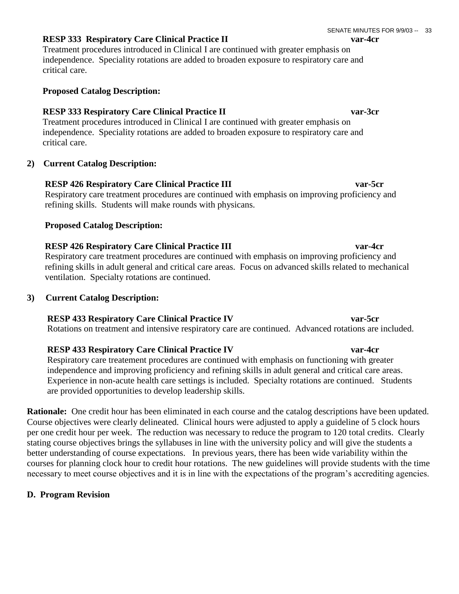# SENATE MINUTES FOR 9/9/03 -- 33

# **RESP 333 Respiratory Care Clinical Practice II var-4cr**

Treatment procedures introduced in Clinical I are continued with greater emphasis on independence. Speciality rotations are added to broaden exposure to respiratory care and critical care.

# **Proposed Catalog Description:**

# **RESP 333 Respiratory Care Clinical Practice II var-3cr**

Treatment procedures introduced in Clinical I are continued with greater emphasis on independence. Speciality rotations are added to broaden exposure to respiratory care and critical care.

# **2) Current Catalog Description:**

 **RESP 426 Respiratory Care Clinical Practice III var-5cr** Respiratory care treatment procedures are continued with emphasis on improving proficiency and refining skills. Students will make rounds with physicans.

# **Proposed Catalog Description:**

# **RESP 426 Respiratory Care Clinical Practice III var-4cr**

Respiratory care treatment procedures are continued with emphasis on improving proficiency and refining skills in adult general and critical care areas. Focus on advanced skills related to mechanical ventilation. Specialty rotations are continued.

# **3) Current Catalog Description:**

# **RESP 433 Respiratory Care Clinical Practice IV var-5cr**

Rotations on treatment and intensive respiratory care are continued. Advanced rotations are included.

# **RESP 433 Respiratory Care Clinical Practice IV var-4cr**

Respiratory care treatement procedures are continued with emphasis on functioning with greater independence and improving proficiency and refining skills in adult general and critical care areas. Experience in non-acute health care settings is included. Specialty rotations are continued. Students are provided opportunities to develop leadership skills.

**Rationale:** One credit hour has been eliminated in each course and the catalog descriptions have been updated. Course objectives were clearly delineated. Clinical hours were adjusted to apply a guideline of 5 clock hours per one credit hour per week. The reduction was necessary to reduce the program to 120 total credits. Clearly stating course objectives brings the syllabuses in line with the university policy and will give the students a better understanding of course expectations. In previous years, there has been wide variability within the courses for planning clock hour to credit hour rotations. The new guidelines will provide students with the time necessary to meet course objectives and it is in line with the expectations of the program's accrediting agencies.

# **D. Program Revision**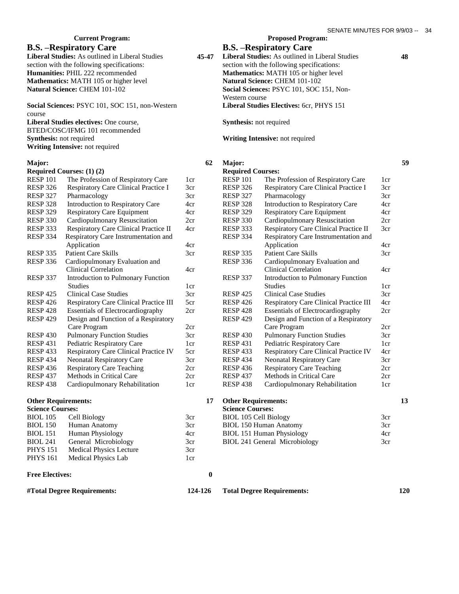**B.S. –Respiratory Care B.S. –Respiratory Care**

**Liberal Studies:** As outlined in Liberal Studies section with the following specifications: **Humanities: PHIL 222 recommended Mathematics:** MATH 105 or higher level **Natural Science:** CHEM 101-102

**Social Sciences:** PSYC 101, SOC 151, non-Western course **Liberal Studies electives:** One course,

BTED/COSC/IFMG 101 recommended **Synthesis:** not required **Writing Intensive:** not required **Writing Intensive:** not required

### **Major: 62 Major: 59**

|                 | <b>Required Courses:</b> $(1)(2)$        |     | <b>Required Courses:</b> |                                          |                 |
|-----------------|------------------------------------------|-----|--------------------------|------------------------------------------|-----------------|
| <b>RESP 101</b> | The Profession of Respiratory Care       | 1cr | <b>RESP 101</b>          | The Profession of Respiratory Care       | 1cr             |
| <b>RESP 326</b> | Respiratory Care Clinical Practice I     | 3cr | <b>RESP 326</b>          | Respiratory Care Clinical Practice I     | 3cr             |
| <b>RESP 327</b> | Pharmacology                             | 3cr | <b>RESP 327</b>          | Pharmacology                             | 3 <sub>cr</sub> |
| <b>RESP 328</b> | Introduction to Respiratory Care         | 4cr | <b>RESP 328</b>          | Introduction to Respiratory Care         | 4 <sub>cr</sub> |
| <b>RESP 329</b> | <b>Respiratory Care Equipment</b>        | 4cr | <b>RESP 329</b>          | <b>Respiratory Care Equipment</b>        | 4 <sub>cr</sub> |
| <b>RESP 330</b> | Cardiopulmonary Resuscitation            | 2cr | <b>RESP 330</b>          | Cardiopulmonary Resuscitation            | 2cr             |
| <b>RESP 333</b> | Respiratory Care Clinical Practice II    | 4cr | <b>RESP 333</b>          | Respiratory Care Clinical Practice II    | 3cr             |
| <b>RESP 334</b> | Respiratory Care Instrumentation and     |     | <b>RESP 334</b>          | Respiratory Care Instrumentation and     |                 |
|                 | Application                              | 4cr |                          | Application                              | 4 <sub>cr</sub> |
| <b>RESP 335</b> | <b>Patient Care Skills</b>               | 3cr | <b>RESP 335</b>          | <b>Patient Care Skills</b>               | 3cr             |
| <b>RESP 336</b> | Cardiopulmonary Evaluation and           |     | <b>RESP 336</b>          | Cardiopulmonary Evaluation and           |                 |
|                 | <b>Clinical Correlation</b>              | 4cr |                          | <b>Clinical Correlation</b>              | 4cr             |
| <b>RESP 337</b> | Introduction to Pulmonary Function       |     | <b>RESP 337</b>          | Introduction to Pulmonary Function       |                 |
|                 | <b>Studies</b>                           | 1cr |                          | <b>Studies</b>                           | 1cr             |
| <b>RESP 425</b> | Clinical Case Studies                    | 3cr | <b>RESP 425</b>          | Clinical Case Studies                    | 3 <sub>cr</sub> |
| <b>RESP 426</b> | Respiratory Care Clinical Practice III   | 5cr | <b>RESP 426</b>          | Respiratory Care Clinical Practice III   | 4 <sub>cr</sub> |
| <b>RESP 428</b> | <b>Essentials of Electrocardiography</b> | 2cr | <b>RESP 428</b>          | <b>Essentials of Electrocardiography</b> | 2cr             |
| <b>RESP 429</b> | Design and Function of a Respiratory     |     | <b>RESP 429</b>          | Design and Function of a Respiratory     |                 |
|                 | Care Program                             | 2cr |                          | Care Program                             | 2 <sub>cr</sub> |
| <b>RESP 430</b> | <b>Pulmonary Function Studies</b>        | 3cr | <b>RESP 430</b>          | <b>Pulmonary Function Studies</b>        | 3cr             |
| <b>RESP 431</b> | Pediatric Respiratory Care               | 1cr | <b>RESP 431</b>          | Pediatric Respiratory Care               | 1 <sub>cr</sub> |
| <b>RESP 433</b> | Respiratory Care Clinical Practice IV    | 5cr | <b>RESP 433</b>          | Respiratory Care Clinical Practice IV    | 4cr             |
| <b>RESP 434</b> | <b>Neonatal Respiratory Care</b>         | 3cr | <b>RESP 434</b>          | Neonatal Respiratory Care                | 3cr             |
| <b>RESP 436</b> | <b>Respiratory Care Teaching</b>         | 2cr | <b>RESP 436</b>          | <b>Respiratory Care Teaching</b>         | 2cr             |
| <b>RESP 437</b> | Methods in Critical Care                 | 2cr | <b>RESP 437</b>          | Methods in Critical Care                 | 2cr             |
| <b>RESP 438</b> | Cardiopulmonary Rehabilitation           | 1cr | <b>RESP 438</b>          | Cardiopulmonary Rehabilitation           | 1 <sub>cr</sub> |
|                 |                                          |     |                          |                                          |                 |

| Stience Courses.       |                                |     |  |  |
|------------------------|--------------------------------|-----|--|--|
| <b>BIOL</b> 105        | Cell Biology                   | 3cr |  |  |
| <b>BIOL</b> 150        | Human Anatomy                  | 3cr |  |  |
| <b>BIOL</b> 151        | Human Physiology               | 4cr |  |  |
| <b>BIOL 241</b>        | General Microbiology           | 3cr |  |  |
| <b>PHYS 151</b>        | <b>Medical Physics Lecture</b> | 3cr |  |  |
| <b>PHYS</b> 161        | Medical Physics Lab            | 1cr |  |  |
|                        |                                |     |  |  |
| <b>Free Electives:</b> |                                |     |  |  |

## **Current Program: Proposed Program:**

| 45-47 | <b>Liberal Studies:</b> As outlined in Liberal Studies |
|-------|--------------------------------------------------------|
|       | section with the following specifications:             |
|       | <b>Mathematics: MATH 105 or higher level</b>           |
|       | Natural Science: CHEM 101-102                          |
|       | Social Sciences: PSYC 101, SOC 151, Non-               |
|       | Western course                                         |
|       | Liberal Studies Electives: 6cr, PHYS 151               |
|       |                                                        |

**Synthesis:** not required

 **48**

| <b>Required Courses: (1) (2)</b> |                                          |                 |                 | <b>Required Courses:</b>                 |     |  |  |
|----------------------------------|------------------------------------------|-----------------|-----------------|------------------------------------------|-----|--|--|
| <b>RESP 101</b>                  | The Profession of Respiratory Care       | 1cr             | <b>RESP 101</b> | The Profession of Respiratory Care       | 1cr |  |  |
| <b>RESP 326</b>                  | Respiratory Care Clinical Practice I     | 3cr             | <b>RESP 326</b> | Respiratory Care Clinical Practice I     | 3cr |  |  |
| <b>RESP 327</b>                  | Pharmacology                             | 3cr             | <b>RESP 327</b> | Pharmacology                             | 3cr |  |  |
| RESP 328                         | Introduction to Respiratory Care         | 4cr             | <b>RESP 328</b> | Introduction to Respiratory Care         | 4cr |  |  |
| <b>RESP 329</b>                  | <b>Respiratory Care Equipment</b>        | 4cr             | <b>RESP 329</b> | <b>Respiratory Care Equipment</b>        | 4cr |  |  |
| RESP 330                         | Cardiopulmonary Resuscitation            | 2cr             | <b>RESP 330</b> | Cardiopulmonary Resuscitation            | 2cr |  |  |
| RESP 333                         | Respiratory Care Clinical Practice II    | 4cr             | <b>RESP 333</b> | Respiratory Care Clinical Practice II    | 3cr |  |  |
| RESP 334                         | Respiratory Care Instrumentation and     |                 | <b>RESP 334</b> | Respiratory Care Instrumentation and     |     |  |  |
|                                  | Application                              | 4cr             |                 | Application                              | 4cr |  |  |
| RESP 335                         | <b>Patient Care Skills</b>               | 3cr             | <b>RESP 335</b> | <b>Patient Care Skills</b>               | 3cr |  |  |
| RESP 336                         | Cardiopulmonary Evaluation and           |                 | <b>RESP 336</b> | Cardiopulmonary Evaluation and           |     |  |  |
|                                  | <b>Clinical Correlation</b>              | 4cr             |                 | Clinical Correlation                     | 4cr |  |  |
| RESP 337                         | Introduction to Pulmonary Function       |                 | <b>RESP 337</b> | Introduction to Pulmonary Function       |     |  |  |
|                                  | <b>Studies</b>                           | 1 <sub>cr</sub> |                 | <b>Studies</b>                           | 1cr |  |  |
| RESP 425                         | <b>Clinical Case Studies</b>             | 3cr             | <b>RESP 425</b> | <b>Clinical Case Studies</b>             | 3cr |  |  |
| RESP 426                         | Respiratory Care Clinical Practice III   | 5cr             | <b>RESP 426</b> | Respiratory Care Clinical Practice III   | 4cr |  |  |
| RESP 428                         | <b>Essentials of Electrocardiography</b> | 2cr             | <b>RESP 428</b> | <b>Essentials of Electrocardiography</b> | 2cr |  |  |
| RESP 429                         | Design and Function of a Respiratory     |                 | <b>RESP 429</b> | Design and Function of a Respiratory     |     |  |  |
|                                  | Care Program                             | 2cr             |                 | Care Program                             | 2cr |  |  |
| RESP 430                         | <b>Pulmonary Function Studies</b>        | 3cr             | <b>RESP 430</b> | <b>Pulmonary Function Studies</b>        | 3cr |  |  |
| <b>RESP 431</b>                  | Pediatric Respiratory Care               | 1 <sub>cr</sub> | <b>RESP 431</b> | Pediatric Respiratory Care               | 1cr |  |  |
| RESP 433                         | Respiratory Care Clinical Practice IV    | 5cr             | <b>RESP 433</b> | Respiratory Care Clinical Practice IV    | 4cr |  |  |
| RESP 434                         | <b>Neonatal Respiratory Care</b>         | 3cr             | <b>RESP 434</b> | Neonatal Respiratory Care                | 3cr |  |  |
| <b>RESP 436</b>                  | <b>Respiratory Care Teaching</b>         | 2cr             | <b>RESP 436</b> | <b>Respiratory Care Teaching</b>         | 2cr |  |  |
| RESP 437                         | Methods in Critical Care                 | 2cr             | <b>RESP 437</b> | Methods in Critical Care                 | 2cr |  |  |
| <b>RESP 438</b>                  | Cardiopulmonary Rehabilitation           | 1cr             | <b>RESP 438</b> | Cardiopulmonary Rehabilitation           | 1cr |  |  |

Other Requirements: **17 Other Requirements:** 13<br> **17 Other Requirements:** 13<br> **17 Other Requirements:** 13 **Science Courses: Science Courses:** BIOL 105 Cell Biology 3cr BIOL 105 Cell Biology 3cr BIOL 150 Human Anatomy 3cr BIOL 150 Human Anatomy 3cr BIOL 151 Human Physiology 4cr BIOL 151 Human Physiology 4cr BIOL 241 General Microbiology 3cr BIOL 241 General Microbiology 3cr

**#Total Degree Requirements: 124-126 Total Degree Requirements: 120**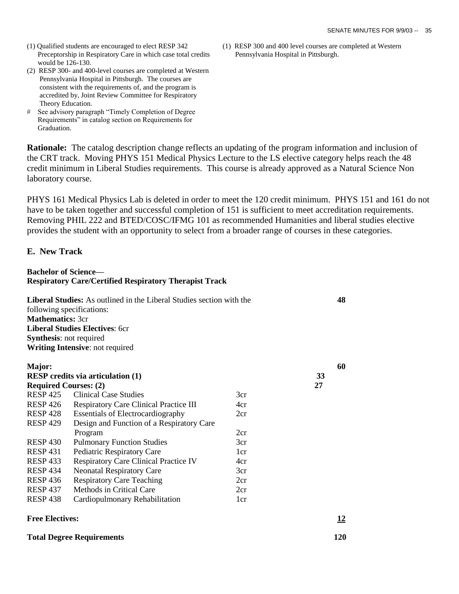- (1) Qualified students are encouraged to elect RESP 342 Preceptorship in Respiratory Care in which case total credits would be 126-130.
- (2) RESP 300- and 400-level courses are completed at Western Pennsylvania Hospital in Pittsburgh. The courses are consistent with the requirements of, and the program is accredited by, Joint Review Committee for Respiratory Theory Education.
- # See advisory paragraph "Timely Completion of Degree Requirements" in catalog section on Requirements for Graduation.
- (1) RESP 300 and 400 level courses are completed at Western Pennsylvania Hospital in Pittsburgh.

**Rationale:** The catalog description change reflects an updating of the program information and inclusion of the CRT track. Moving PHYS 151 Medical Physics Lecture to the LS elective category helps reach the 48 credit minimum in Liberal Studies requirements. This course is already approved as a Natural Science Non laboratory course.

PHYS 161 Medical Physics Lab is deleted in order to meet the 120 credit minimum. PHYS 151 and 161 do not have to be taken together and successful completion of 151 is sufficient to meet accreditation requirements. Removing PHIL 222 and BTED/COSC/IFMG 101 as recommended Humanities and liberal studies elective provides the student with an opportunity to select from a broader range of courses in these categories.

# **E. New Track**

# **Bachelor of Science— Respiratory Care/Certified Respiratory Therapist Track**

| <b>Liberal Studies:</b> As outlined in the Liberal Studies section with the | 48 |
|-----------------------------------------------------------------------------|----|
| following specifications:                                                   |    |
| <b>Mathematics: 3cr</b>                                                     |    |
| <b>Liberal Studies Electives: 6cr</b>                                       |    |
| <b>Synthesis:</b> not required                                              |    |
| <b>Writing Intensive:</b> not required                                      |    |

| Major:                                   |                                               |     |  | 60 |
|------------------------------------------|-----------------------------------------------|-----|--|----|
| <b>RESP</b> credits via articulation (1) | 33                                            |     |  |    |
| <b>Required Courses: (2)</b>             | 27                                            |     |  |    |
| <b>RESP 425</b>                          | <b>Clinical Case Studies</b>                  | 3cr |  |    |
| RESP 426                                 | <b>Respiratory Care Clinical Practice III</b> | 4cr |  |    |
| RESP <sub>428</sub>                      | <b>Essentials of Electrocardiography</b>      | 2cr |  |    |
| <b>RESP 429</b>                          | Design and Function of a Respiratory Care     |     |  |    |
|                                          | Program                                       | 2cr |  |    |
| <b>RESP 430</b>                          | <b>Pulmonary Function Studies</b>             | 3cr |  |    |
| <b>RESP 431</b>                          | Pediatric Respiratory Care                    | 1cr |  |    |
| <b>RESP 433</b>                          | <b>Respiratory Care Clinical Practice IV</b>  | 4cr |  |    |
| RESP <sub>434</sub>                      | <b>Neonatal Respiratory Care</b>              | 3cr |  |    |
| RESP 436                                 | <b>Respiratory Care Teaching</b>              | 2cr |  |    |
| <b>RESP 437</b>                          | Methods in Critical Care                      | 2cr |  |    |
| <b>RESP 438</b>                          | Cardiopulmonary Rehabilitation                | 1cr |  |    |
| <b>Free Electives:</b>                   |                                               |     |  | 12 |

## **Total Degree Requirements 120**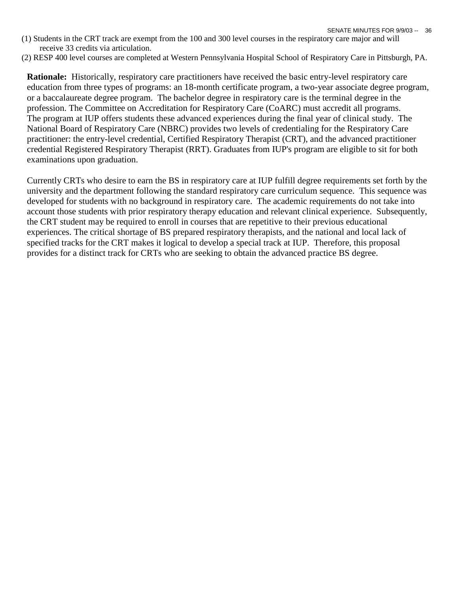(1) Students in the CRT track are exempt from the 100 and 300 level courses in the respiratory care major and will receive 33 credits via articulation.

(2) RESP 400 level courses are completed at Western Pennsylvania Hospital School of Respiratory Care in Pittsburgh, PA.

**Rationale:** Historically, respiratory care practitioners have received the basic entry-level respiratory care education from three types of programs: an 18-month certificate program, a two-year associate degree program, or a baccalaureate degree program. The bachelor degree in respiratory care is the terminal degree in the profession. The Committee on Accreditation for Respiratory Care (CoARC) must accredit all programs. The program at IUP offers students these advanced experiences during the final year of clinical study. The National Board of Respiratory Care (NBRC) provides two levels of credentialing for the Respiratory Care practitioner: the entry-level credential, Certified Respiratory Therapist (CRT), and the advanced practitioner credential Registered Respiratory Therapist (RRT). Graduates from IUP's program are eligible to sit for both examinations upon graduation.

Currently CRTs who desire to earn the BS in respiratory care at IUP fulfill degree requirements set forth by the university and the department following the standard respiratory care curriculum sequence. This sequence was developed for students with no background in respiratory care. The academic requirements do not take into account those students with prior respiratory therapy education and relevant clinical experience. Subsequently, the CRT student may be required to enroll in courses that are repetitive to their previous educational experiences. The critical shortage of BS prepared respiratory therapists, and the national and local lack of specified tracks for the CRT makes it logical to develop a special track at IUP. Therefore, this proposal provides for a distinct track for CRTs who are seeking to obtain the advanced practice BS degree.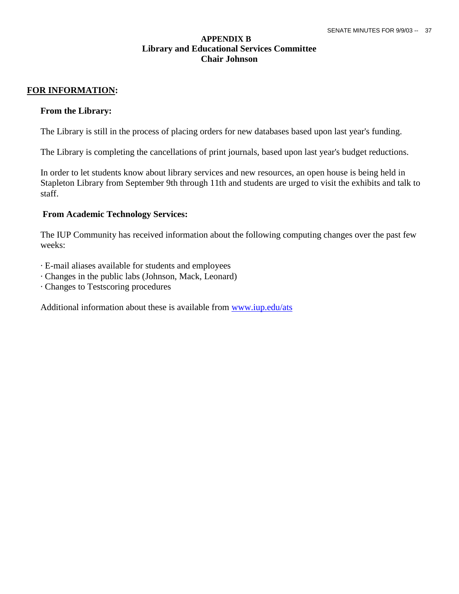# **APPENDIX B Library and Educational Services Committee Chair Johnson**

# **FOR INFORMATION:**

# **From the Library:**

The Library is still in the process of placing orders for new databases based upon last year's funding.

The Library is completing the cancellations of print journals, based upon last year's budget reductions.

In order to let students know about library services and new resources, an open house is being held in Stapleton Library from September 9th through 11th and students are urged to visit the exhibits and talk to staff.

# **From Academic Technology Services:**

The IUP Community has received information about the following computing changes over the past few weeks:

- · E-mail aliases available for students and employees
- · Changes in the public labs (Johnson, Mack, Leonard)
- · Changes to Testscoring procedures

Additional information about these is available from [www.iup.edu/ats](http://www.iup.edu/ats)